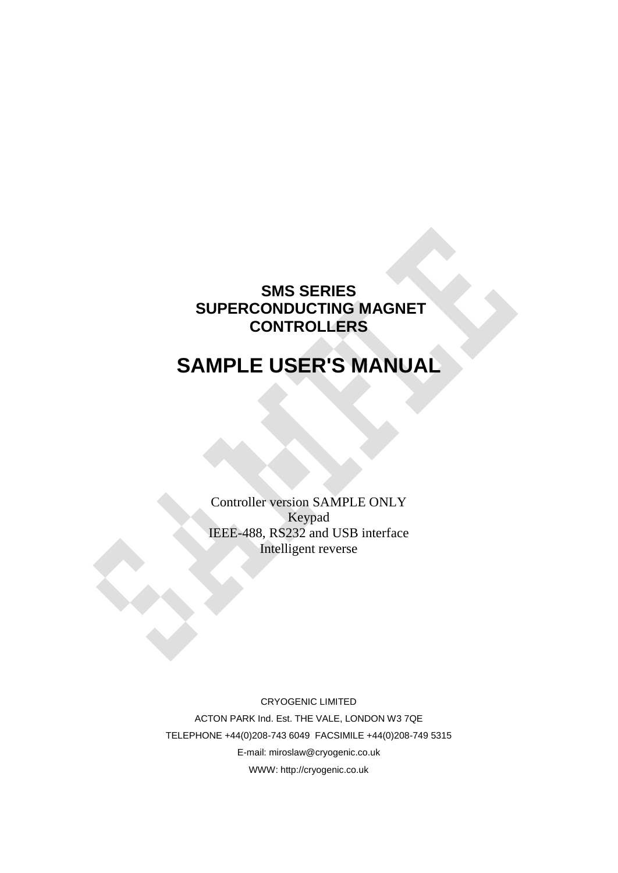#### **SMS SERIES SUPERCONDUCTING MAGNET CONTROLLERS**

# **SAMPLE USER'S MANUAL**

Controller version SAMPLE ONLY Keypad IEEE-488, RS232 and USB interface Intelligent reverse

CRYOGENIC LIMITED ACTON PARK Ind. Est. THE VALE, LONDON W3 7QE TELEPHONE +44(0)208-743 6049 FACSIMILE +44(0)208-749 5315 E-mail: miroslaw@cryogenic.co.uk WWW: http://cryogenic.co.uk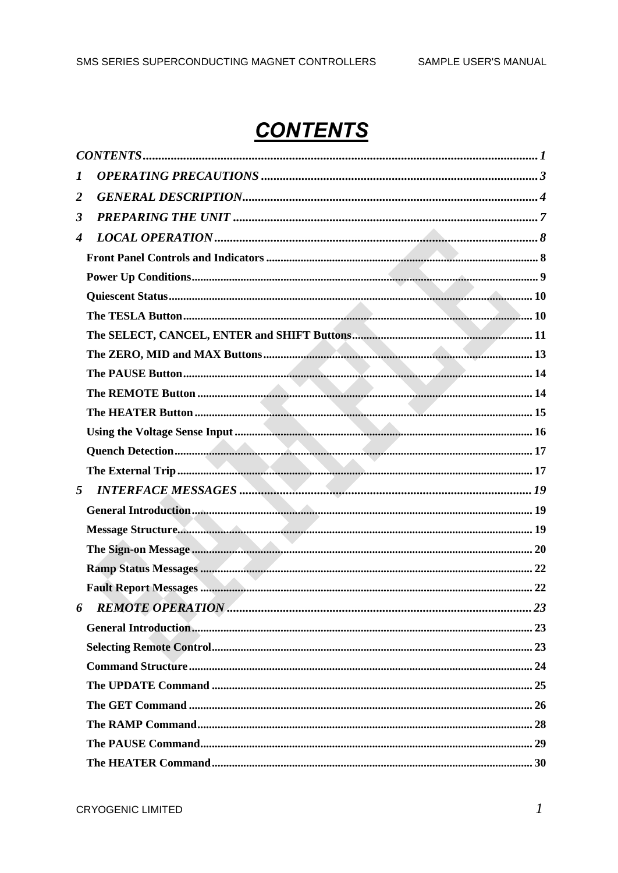# **CONTENTS**

| 1                |  |
|------------------|--|
| 2                |  |
| 3                |  |
| $\boldsymbol{4}$ |  |
|                  |  |
|                  |  |
|                  |  |
|                  |  |
|                  |  |
|                  |  |
|                  |  |
|                  |  |
|                  |  |
|                  |  |
|                  |  |
|                  |  |
| 5                |  |
|                  |  |
|                  |  |
|                  |  |
|                  |  |
|                  |  |
| 6                |  |
|                  |  |
|                  |  |
|                  |  |
|                  |  |
|                  |  |
|                  |  |
|                  |  |
|                  |  |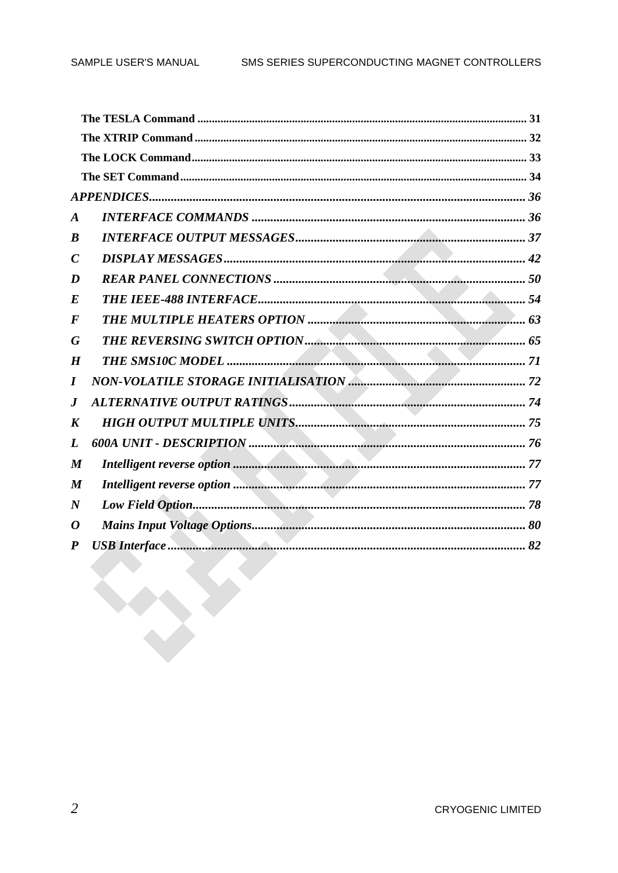| $\boldsymbol{A}$ |                                     |  |
|------------------|-------------------------------------|--|
| $\boldsymbol{B}$ |                                     |  |
| $\boldsymbol{C}$ |                                     |  |
| D                |                                     |  |
| $\boldsymbol{E}$ |                                     |  |
| $\bm{F}$         |                                     |  |
| G                |                                     |  |
| $\boldsymbol{H}$ |                                     |  |
| $\bm{I}$         | NON-VOLATILE STORAGE INITIALISATION |  |
| $\bm{J}$         |                                     |  |
| K                |                                     |  |
| L                |                                     |  |
| $\boldsymbol{M}$ |                                     |  |
| $\boldsymbol{M}$ |                                     |  |
| $\boldsymbol{N}$ |                                     |  |
| 0                |                                     |  |
| $\boldsymbol{P}$ |                                     |  |
|                  |                                     |  |
|                  |                                     |  |
|                  |                                     |  |
|                  |                                     |  |
|                  |                                     |  |
|                  |                                     |  |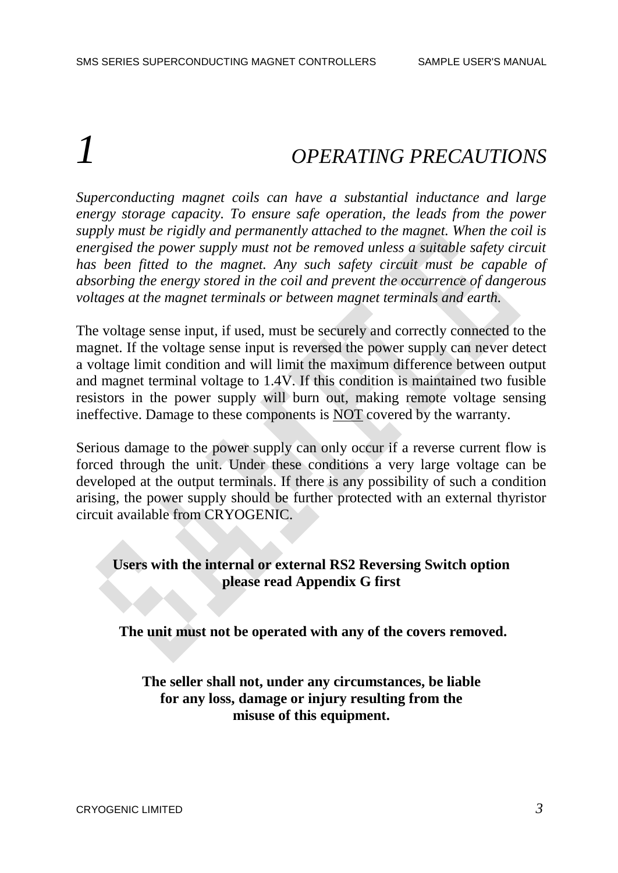# *1 OPERATING PRECAUTIONS*

*Superconducting magnet coils can have a substantial inductance and large energy storage capacity. To ensure safe operation, the leads from the power supply must be rigidly and permanently attached to the magnet. When the coil is energised the power supply must not be removed unless a suitable safety circuit*  has been fitted to the magnet. Any such safety circuit must be capable of *absorbing the energy stored in the coil and prevent the occurrence of dangerous voltages at the magnet terminals or between magnet terminals and earth.*

The voltage sense input, if used, must be securely and correctly connected to the magnet. If the voltage sense input is reversed the power supply can never detect a voltage limit condition and will limit the maximum difference between output and magnet terminal voltage to 1.4V. If this condition is maintained two fusible resistors in the power supply will burn out, making remote voltage sensing ineffective. Damage to these components is NOT covered by the warranty.

Serious damage to the power supply can only occur if a reverse current flow is forced through the unit. Under these conditions a very large voltage can be developed at the output terminals. If there is any possibility of such a condition arising, the power supply should be further protected with an external thyristor circuit available from CRYOGENIC.

#### **Users with the internal or external RS2 Reversing Switch option please read Appendix G first**

**The unit must not be operated with any of the covers removed.**

**The seller shall not, under any circumstances, be liable for any loss, damage or injury resulting from the misuse of this equipment.**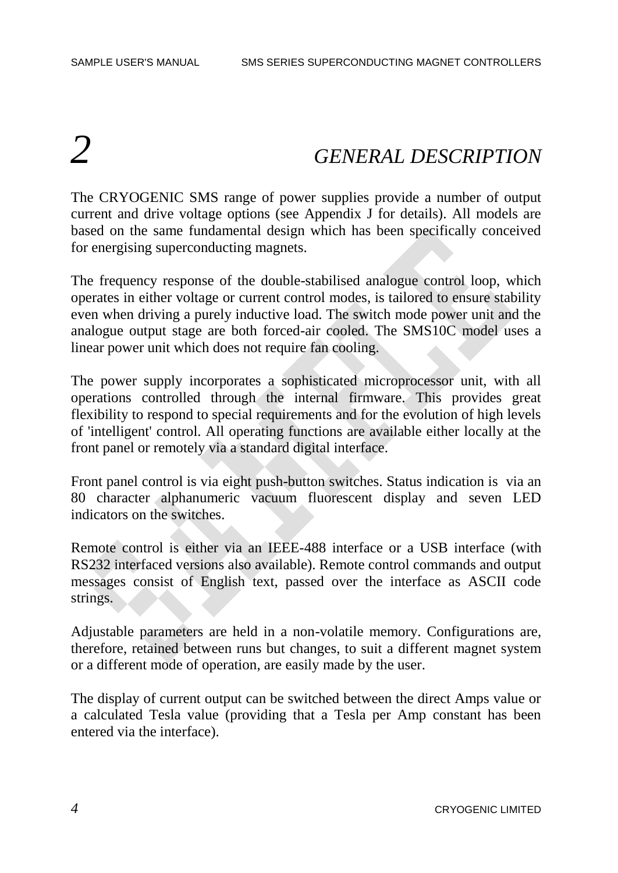# *2 GENERAL DESCRIPTION*

The CRYOGENIC SMS range of power supplies provide a number of output current and drive voltage options (see Appendix J for details). All models are based on the same fundamental design which has been specifically conceived for energising superconducting magnets.

The frequency response of the double-stabilised analogue control loop, which operates in either voltage or current control modes, is tailored to ensure stability even when driving a purely inductive load. The switch mode power unit and the analogue output stage are both forced-air cooled. The SMS10C model uses a linear power unit which does not require fan cooling.

The power supply incorporates a sophisticated microprocessor unit, with all operations controlled through the internal firmware. This provides great flexibility to respond to special requirements and for the evolution of high levels of 'intelligent' control. All operating functions are available either locally at the front panel or remotely via a standard digital interface.

Front panel control is via eight push-button switches. Status indication is via an 80 character alphanumeric vacuum fluorescent display and seven LED indicators on the switches.

Remote control is either via an IEEE-488 interface or a USB interface (with RS232 interfaced versions also available). Remote control commands and output messages consist of English text, passed over the interface as ASCII code strings.

Adjustable parameters are held in a non-volatile memory. Configurations are, therefore, retained between runs but changes, to suit a different magnet system or a different mode of operation, are easily made by the user.

The display of current output can be switched between the direct Amps value or a calculated Tesla value (providing that a Tesla per Amp constant has been entered via the interface).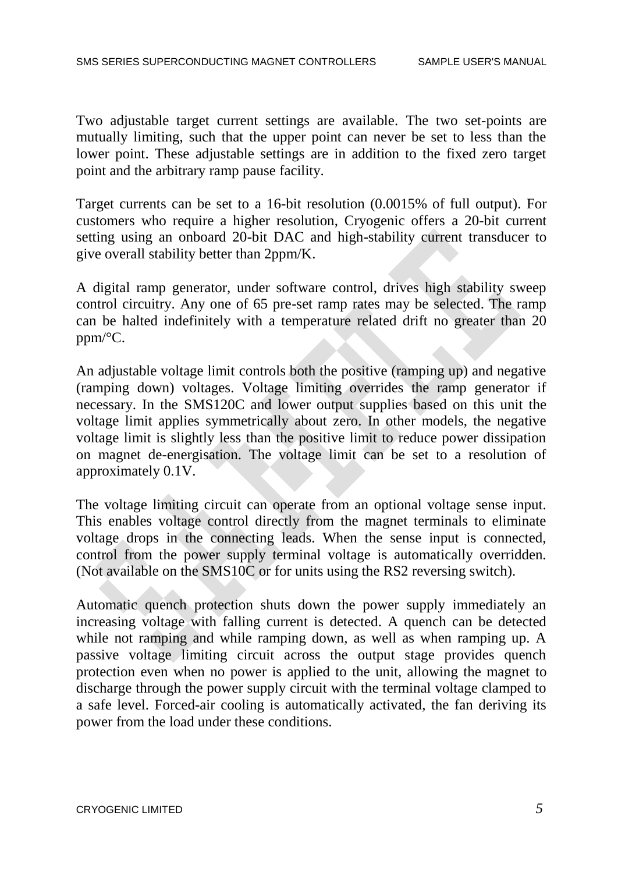Two adjustable target current settings are available. The two set-points are mutually limiting, such that the upper point can never be set to less than the lower point. These adjustable settings are in addition to the fixed zero target point and the arbitrary ramp pause facility.

Target currents can be set to a 16-bit resolution (0.0015% of full output). For customers who require a higher resolution, Cryogenic offers a 20-bit current setting using an onboard 20-bit DAC and high-stability current transducer to give overall stability better than 2ppm/K.

A digital ramp generator, under software control, drives high stability sweep control circuitry. Any one of 65 pre-set ramp rates may be selected. The ramp can be halted indefinitely with a temperature related drift no greater than 20 ppm/°C.

An adjustable voltage limit controls both the positive (ramping up) and negative (ramping down) voltages. Voltage limiting overrides the ramp generator if necessary. In the SMS120C and lower output supplies based on this unit the voltage limit applies symmetrically about zero. In other models, the negative voltage limit is slightly less than the positive limit to reduce power dissipation on magnet de-energisation. The voltage limit can be set to a resolution of approximately 0.1V.

The voltage limiting circuit can operate from an optional voltage sense input. This enables voltage control directly from the magnet terminals to eliminate voltage drops in the connecting leads. When the sense input is connected, control from the power supply terminal voltage is automatically overridden. (Not available on the SMS10C or for units using the RS2 reversing switch).

Automatic quench protection shuts down the power supply immediately an increasing voltage with falling current is detected. A quench can be detected while not ramping and while ramping down, as well as when ramping up. A passive voltage limiting circuit across the output stage provides quench protection even when no power is applied to the unit, allowing the magnet to discharge through the power supply circuit with the terminal voltage clamped to a safe level. Forced-air cooling is automatically activated, the fan deriving its power from the load under these conditions.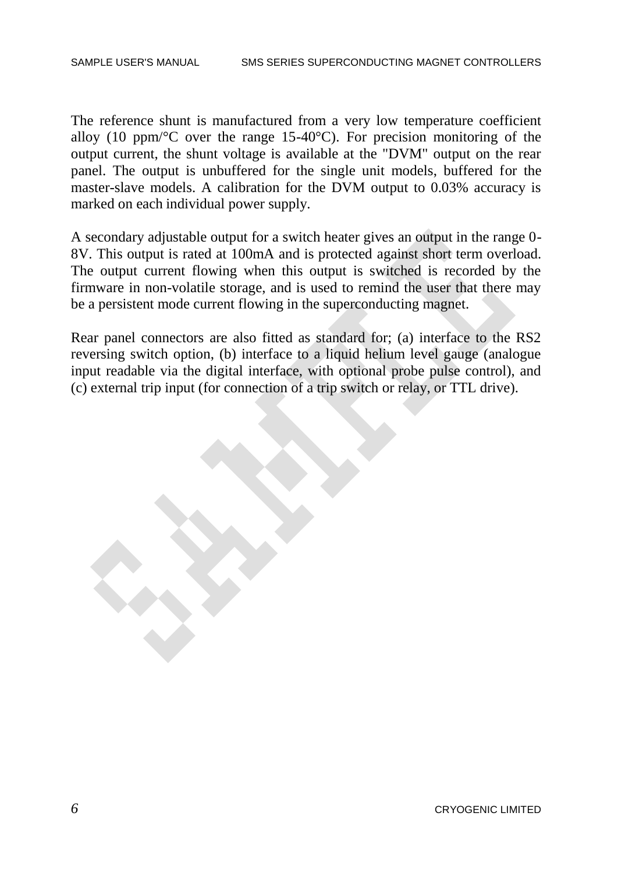The reference shunt is manufactured from a very low temperature coefficient alloy (10 ppm/ $\mathrm{C}$  over the range 15-40 $\mathrm{C}$ ). For precision monitoring of the output current, the shunt voltage is available at the "DVM" output on the rear panel. The output is unbuffered for the single unit models, buffered for the master-slave models. A calibration for the DVM output to 0.03% accuracy is marked on each individual power supply.

A secondary adjustable output for a switch heater gives an output in the range 0- 8V. This output is rated at 100mA and is protected against short term overload. The output current flowing when this output is switched is recorded by the firmware in non-volatile storage, and is used to remind the user that there may be a persistent mode current flowing in the superconducting magnet.

Rear panel connectors are also fitted as standard for; (a) interface to the RS2 reversing switch option, (b) interface to a liquid helium level gauge (analogue input readable via the digital interface, with optional probe pulse control), and (c) external trip input (for connection of a trip switch or relay, or TTL drive).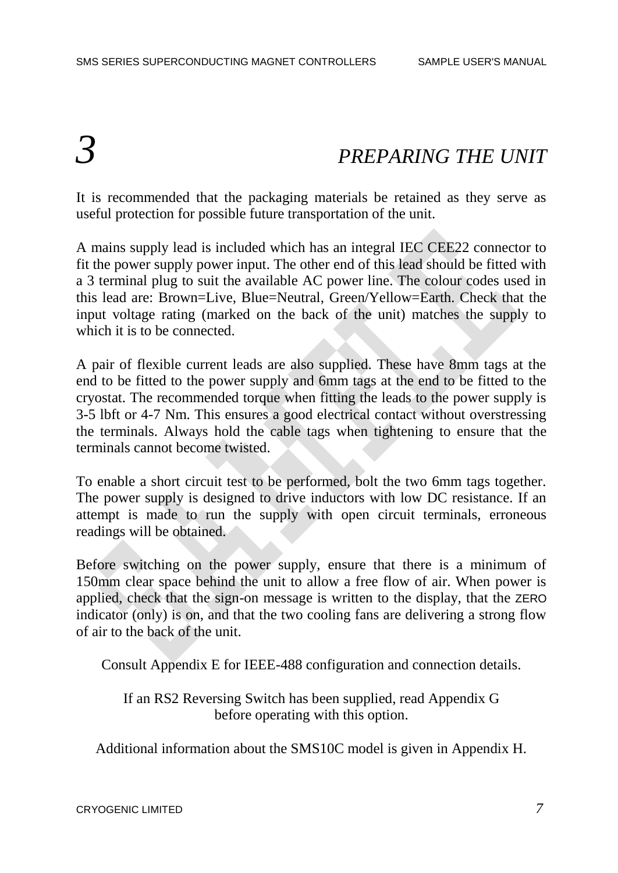# *3 PREPARING THE UNIT*

It is recommended that the packaging materials be retained as they serve as useful protection for possible future transportation of the unit.

A mains supply lead is included which has an integral IEC CEE22 connector to fit the power supply power input. The other end of this lead should be fitted with a 3 terminal plug to suit the available AC power line. The colour codes used in this lead are: Brown=Live, Blue=Neutral, Green/Yellow=Earth. Check that the input voltage rating (marked on the back of the unit) matches the supply to which it is to be connected.

A pair of flexible current leads are also supplied. These have 8mm tags at the end to be fitted to the power supply and 6mm tags at the end to be fitted to the cryostat. The recommended torque when fitting the leads to the power supply is 3-5 lbft or 4-7 Nm. This ensures a good electrical contact without overstressing the terminals. Always hold the cable tags when tightening to ensure that the terminals cannot become twisted.

To enable a short circuit test to be performed, bolt the two 6mm tags together. The power supply is designed to drive inductors with low DC resistance. If an attempt is made to run the supply with open circuit terminals, erroneous readings will be obtained.

Before switching on the power supply, ensure that there is a minimum of 150mm clear space behind the unit to allow a free flow of air. When power is applied, check that the sign-on message is written to the display, that the ZERO indicator (only) is on, and that the two cooling fans are delivering a strong flow of air to the back of the unit.

Consult Appendix E for IEEE-488 configuration and connection details.

If an RS2 Reversing Switch has been supplied, read Appendix G before operating with this option.

Additional information about the SMS10C model is given in Appendix H.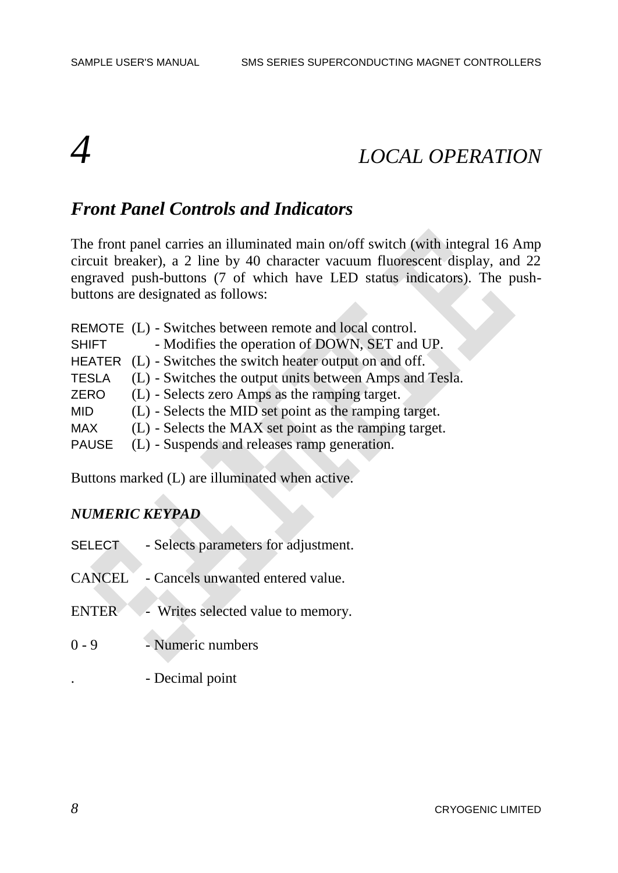# *4 LOCAL OPERATION*

#### *Front Panel Controls and Indicators*

The front panel carries an illuminated main on/off switch (with integral 16 Amp circuit breaker), a 2 line by 40 character vacuum fluorescent display, and 22 engraved push-buttons (7 of which have LED status indicators). The pushbuttons are designated as follows:

|               | REMOTE (L) - Switches between remote and local control. |
|---------------|---------------------------------------------------------|
| <b>SHIFT</b>  | - Modifies the operation of DOWN, SET and UP.           |
| <b>HEATER</b> | (L) - Switches the switch heater output on and off.     |
| <b>TESLA</b>  | (L) - Switches the output units between Amps and Tesla. |
| <b>ZERO</b>   | (L) - Selects zero Amps as the ramping target.          |
| <b>MID</b>    | (L) - Selects the MID set point as the ramping target.  |
| <b>MAX</b>    | (L) - Selects the MAX set point as the ramping target.  |
| <b>PAUSE</b>  | (L) - Suspends and releases ramp generation.            |
|               |                                                         |

Buttons marked (L) are illuminated when active.

#### *NUMERIC KEYPAD*

- SELECT Selects parameters for adjustment. CANCEL - Cancels unwanted entered value. ENTER - Writes selected value to memory. 0 - 9 - Numeric numbers
	- . Decimal point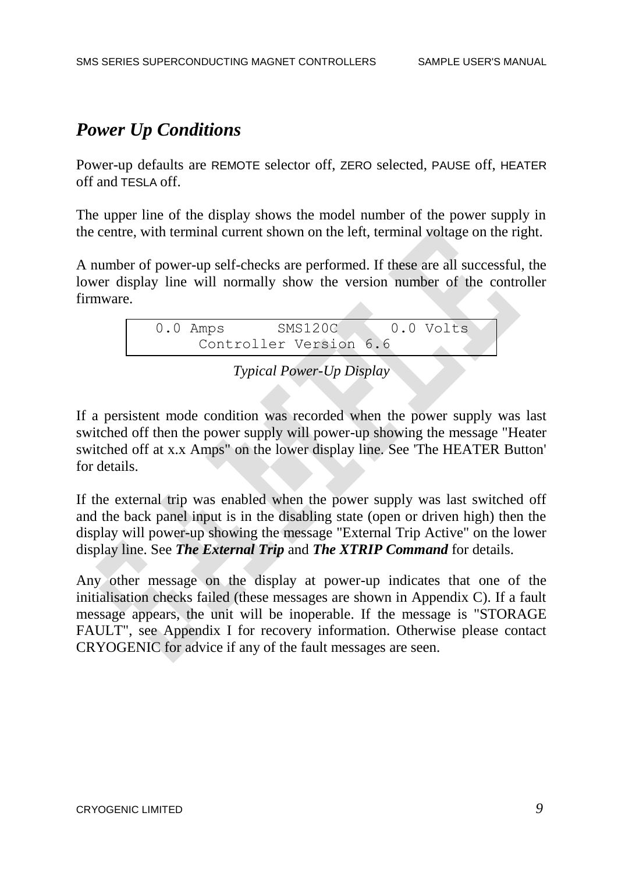## *Power Up Conditions*

Power-up defaults are REMOTE selector off, ZERO selected, PAUSE off, HEATER off and TESLA off.

The upper line of the display shows the model number of the power supply in the centre, with terminal current shown on the left, terminal voltage on the right.

A number of power-up self-checks are performed. If these are all successful, the lower display line will normally show the version number of the controller firmware.

```
0.0 Amps SMS120C 0.0 Volts
     Controller Version 6.6
```
#### *Typical Power-Up Display*

If a persistent mode condition was recorded when the power supply was last switched off then the power supply will power-up showing the message "Heater switched off at x.x Amps" on the lower display line. See 'The HEATER Button' for details.

If the external trip was enabled when the power supply was last switched off and the back panel input is in the disabling state (open or driven high) then the display will power-up showing the message "External Trip Active" on the lower display line. See *The External Trip* and *The XTRIP Command* for details.

Any other message on the display at power-up indicates that one of the initialisation checks failed (these messages are shown in Appendix C). If a fault message appears, the unit will be inoperable. If the message is "STORAGE FAULT", see Appendix I for recovery information. Otherwise please contact CRYOGENIC for advice if any of the fault messages are seen.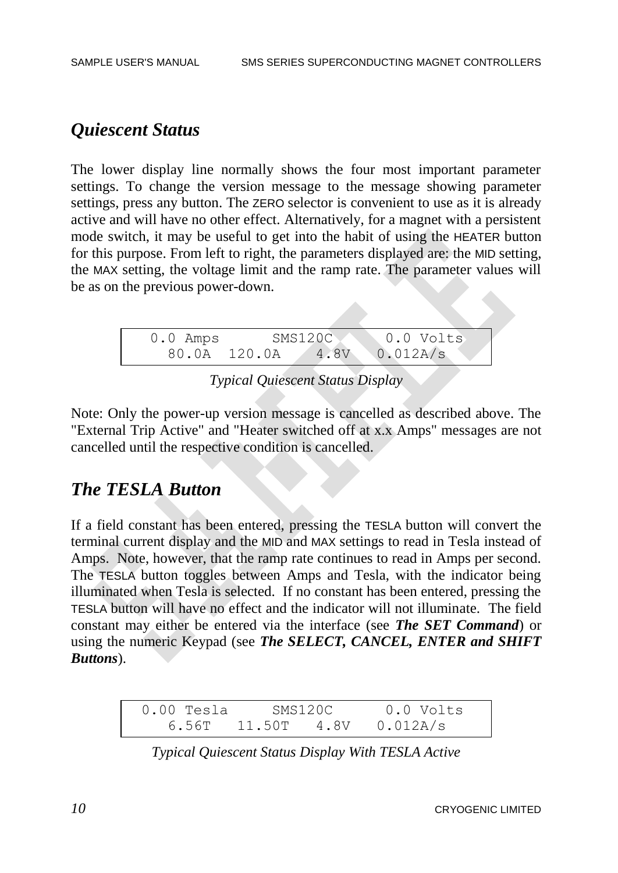### *Quiescent Status*

The lower display line normally shows the four most important parameter settings. To change the version message to the message showing parameter settings, press any button. The ZERO selector is convenient to use as it is already active and will have no other effect. Alternatively, for a magnet with a persistent mode switch, it may be useful to get into the habit of using the HEATER button for this purpose. From left to right, the parameters displayed are: the MID setting, the MAX setting, the voltage limit and the ramp rate. The parameter values will be as on the previous power-down.



*Typical Quiescent Status Display*

Note: Only the power-up version message is cancelled as described above. The "External Trip Active" and "Heater switched off at x.x Amps" messages are not cancelled until the respective condition is cancelled.

#### *The TESLA Button*

If a field constant has been entered, pressing the TESLA button will convert the terminal current display and the MID and MAX settings to read in Tesla instead of Amps. Note, however, that the ramp rate continues to read in Amps per second. The TESLA button toggles between Amps and Tesla, with the indicator being illuminated when Tesla is selected. If no constant has been entered, pressing the TESLA button will have no effect and the indicator will not illuminate. The field constant may either be entered via the interface (see *The SET Command*) or using the numeric Keypad (see *The SELECT, CANCEL, ENTER and SHIFT Buttons*).

| $0.00$ Tesla | SMS120C             | 0.0 Volts |
|--------------|---------------------|-----------|
|              | $6.56T$ 11.50T 4.8V | 0.012A/s  |

*Typical Quiescent Status Display With TESLA Active*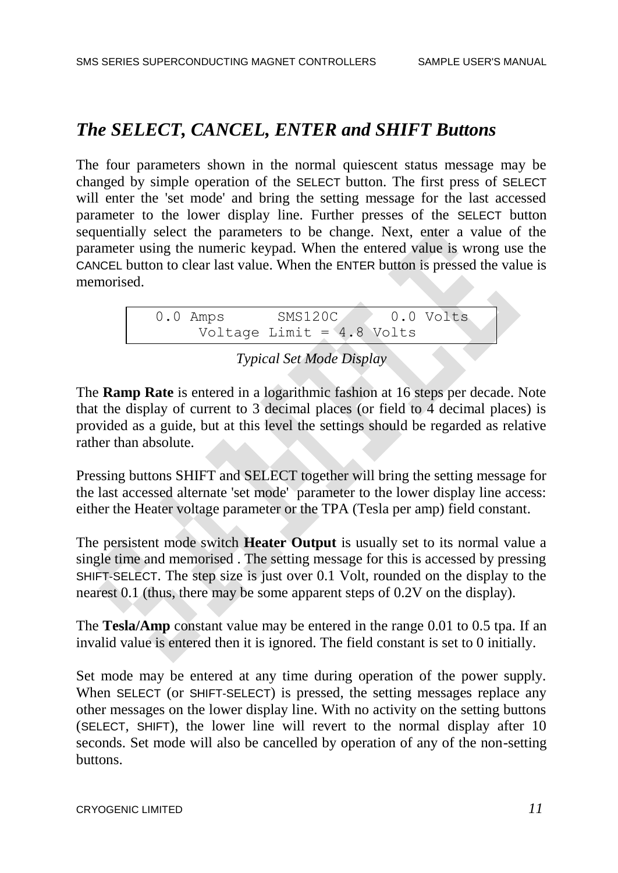## *The SELECT, CANCEL, ENTER and SHIFT Buttons*

The four parameters shown in the normal quiescent status message may be changed by simple operation of the SELECT button. The first press of SELECT will enter the 'set mode' and bring the setting message for the last accessed parameter to the lower display line. Further presses of the SELECT button sequentially select the parameters to be change. Next, enter a value of the parameter using the numeric keypad. When the entered value is wrong use the CANCEL button to clear last value. When the ENTER button is pressed the value is memorised.

```
0.0 Amps SMS120C 0.0 Volts
     Voltage Limit = 4.8 Volts
```
#### *Typical Set Mode Display*

The **Ramp Rate** is entered in a logarithmic fashion at 16 steps per decade. Note that the display of current to 3 decimal places (or field to 4 decimal places) is provided as a guide, but at this level the settings should be regarded as relative rather than absolute.

Pressing buttons SHIFT and SELECT together will bring the setting message for the last accessed alternate 'set mode' parameter to the lower display line access: either the Heater voltage parameter or the TPA (Tesla per amp) field constant.

The persistent mode switch **Heater Output** is usually set to its normal value a single time and memorised . The setting message for this is accessed by pressing SHIFT-SELECT. The step size is just over 0.1 Volt, rounded on the display to the nearest 0.1 (thus, there may be some apparent steps of 0.2V on the display).

The **Tesla/Amp** constant value may be entered in the range 0.01 to 0.5 tpa. If an invalid value is entered then it is ignored. The field constant is set to 0 initially.

Set mode may be entered at any time during operation of the power supply. When SELECT (or SHIFT-SELECT) is pressed, the setting messages replace any other messages on the lower display line. With no activity on the setting buttons (SELECT, SHIFT), the lower line will revert to the normal display after 10 seconds. Set mode will also be cancelled by operation of any of the non-setting buttons.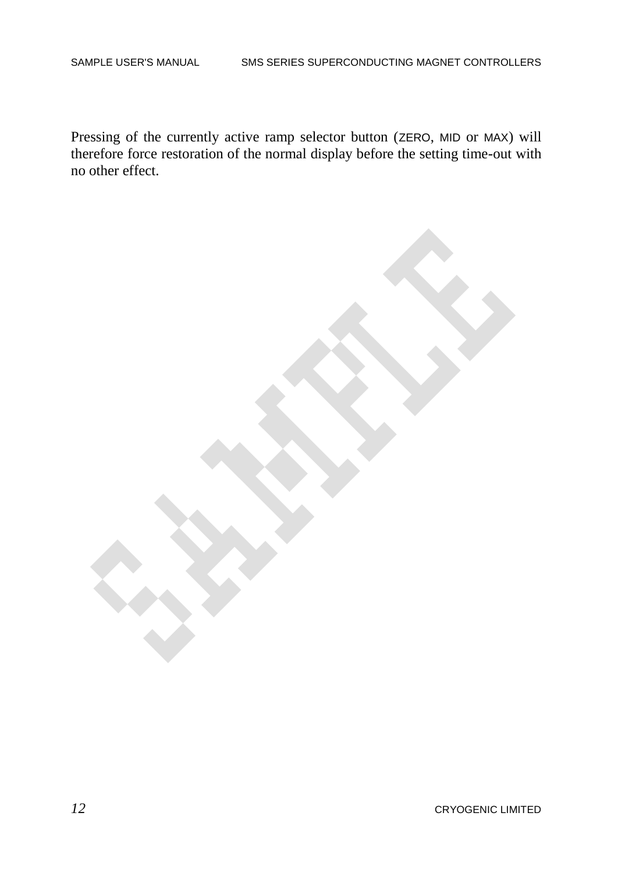Pressing of the currently active ramp selector button (ZERO, MID or MAX) will therefore force restoration of the normal display before the setting time-out with no other effect.

*12* CRYOGENIC LIMITED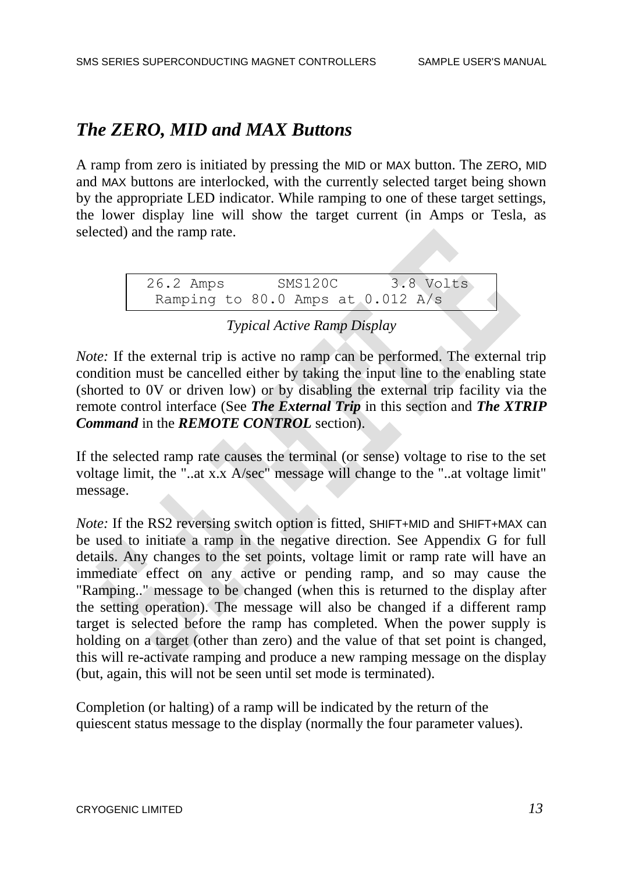## *The ZERO, MID and MAX Buttons*

A ramp from zero is initiated by pressing the MID or MAX button. The ZERO, MID and MAX buttons are interlocked, with the currently selected target being shown by the appropriate LED indicator. While ramping to one of these target settings, the lower display line will show the target current (in Amps or Tesla, as selected) and the ramp rate.

> 26.2 Amps SMS120C 3.8 Volts Ramping to 80.0 Amps at 0.012 A/s

#### *Typical Active Ramp Display*

*Note:* If the external trip is active no ramp can be performed. The external trip condition must be cancelled either by taking the input line to the enabling state (shorted to 0V or driven low) or by disabling the external trip facility via the remote control interface (See *The External Trip* in this section and *The XTRIP Command* in the *REMOTE CONTROL* section).

If the selected ramp rate causes the terminal (or sense) voltage to rise to the set voltage limit, the "..at x.x A/sec" message will change to the "..at voltage limit" message.

*Note:* If the RS2 reversing switch option is fitted, SHIFT+MID and SHIFT+MAX can be used to initiate a ramp in the negative direction. See Appendix G for full details. Any changes to the set points, voltage limit or ramp rate will have an immediate effect on any active or pending ramp, and so may cause the "Ramping.." message to be changed (when this is returned to the display after the setting operation). The message will also be changed if a different ramp target is selected before the ramp has completed. When the power supply is holding on a target (other than zero) and the value of that set point is changed, this will re-activate ramping and produce a new ramping message on the display (but, again, this will not be seen until set mode is terminated).

Completion (or halting) of a ramp will be indicated by the return of the quiescent status message to the display (normally the four parameter values).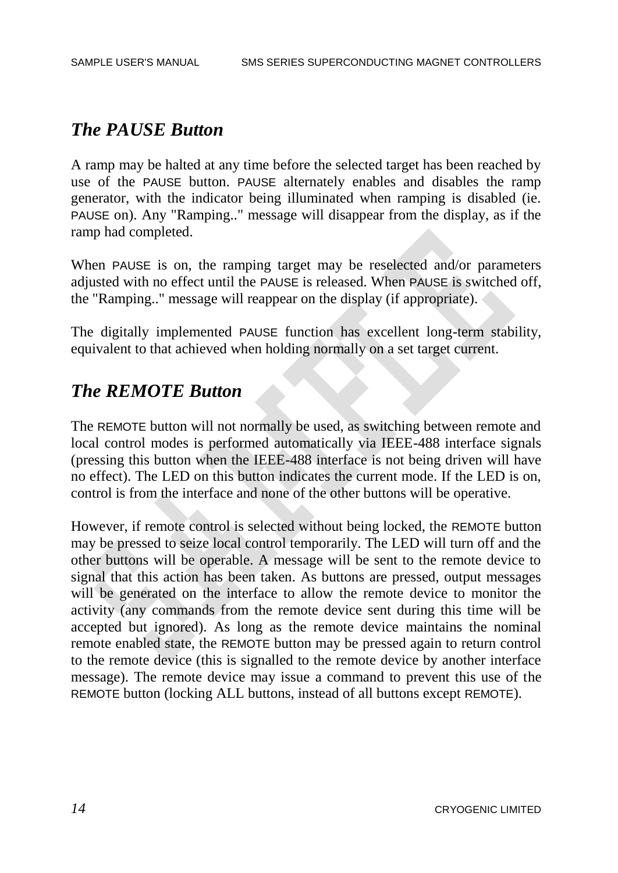#### *The PAUSE Button*

A ramp may be halted at any time before the selected target has been reached by use of the PAUSE button. PAUSE alternately enables and disables the ramp generator, with the indicator being illuminated when ramping is disabled (ie. PAUSE on). Any "Ramping.." message will disappear from the display, as if the ramp had completed.

When PAUSE is on, the ramping target may be reselected and/or parameters adjusted with no effect until the PAUSE is released. When PAUSE is switched off, the "Ramping.." message will reappear on the display (if appropriate).

The digitally implemented PAUSE function has excellent long-term stability, equivalent to that achieved when holding normally on a set target current.

#### *The REMOTE Button*

The REMOTE button will not normally be used, as switching between remote and local control modes is performed automatically via IEEE-488 interface signals (pressing this button when the IEEE-488 interface is not being driven will have no effect). The LED on this button indicates the current mode. If the LED is on, control is from the interface and none of the other buttons will be operative.

However, if remote control is selected without being locked, the REMOTE button may be pressed to seize local control temporarily. The LED will turn off and the other buttons will be operable. A message will be sent to the remote device to signal that this action has been taken. As buttons are pressed, output messages will be generated on the interface to allow the remote device to monitor the activity (any commands from the remote device sent during this time will be accepted but ignored). As long as the remote device maintains the nominal remote enabled state, the REMOTE button may be pressed again to return control to the remote device (this is signalled to the remote device by another interface message). The remote device may issue a command to prevent this use of the REMOTE button (locking ALL buttons, instead of all buttons except REMOTE).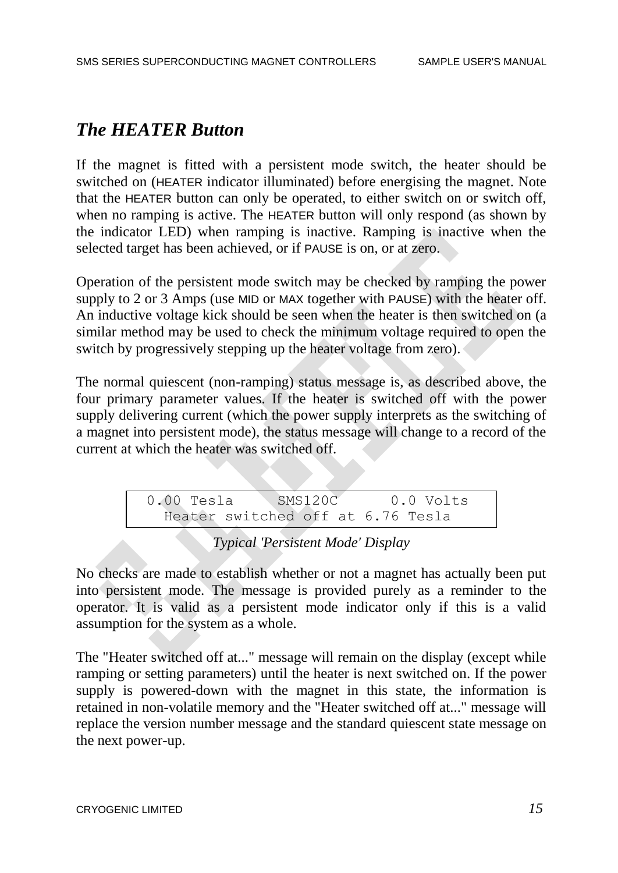### *The HEATER Button*

If the magnet is fitted with a persistent mode switch, the heater should be switched on (HEATER indicator illuminated) before energising the magnet. Note that the HEATER button can only be operated, to either switch on or switch off, when no ramping is active. The HEATER button will only respond (as shown by the indicator LED) when ramping is inactive. Ramping is inactive when the selected target has been achieved, or if PAUSE is on, or at zero.

Operation of the persistent mode switch may be checked by ramping the power supply to 2 or 3 Amps (use MID or MAX together with PAUSE) with the heater off. An inductive voltage kick should be seen when the heater is then switched on (a similar method may be used to check the minimum voltage required to open the switch by progressively stepping up the heater voltage from zero).

The normal quiescent (non-ramping) status message is, as described above, the four primary parameter values. If the heater is switched off with the power supply delivering current (which the power supply interprets as the switching of a magnet into persistent mode), the status message will change to a record of the current at which the heater was switched off.

> 0.00 Tesla SMS120C 0.0 Volts Heater switched off at 6.76 Tesla

#### *Typical 'Persistent Mode' Display*

No checks are made to establish whether or not a magnet has actually been put into persistent mode. The message is provided purely as a reminder to the operator. It is valid as a persistent mode indicator only if this is a valid assumption for the system as a whole.

The "Heater switched off at..." message will remain on the display (except while ramping or setting parameters) until the heater is next switched on. If the power supply is powered-down with the magnet in this state, the information is retained in non-volatile memory and the "Heater switched off at..." message will replace the version number message and the standard quiescent state message on the next power-up.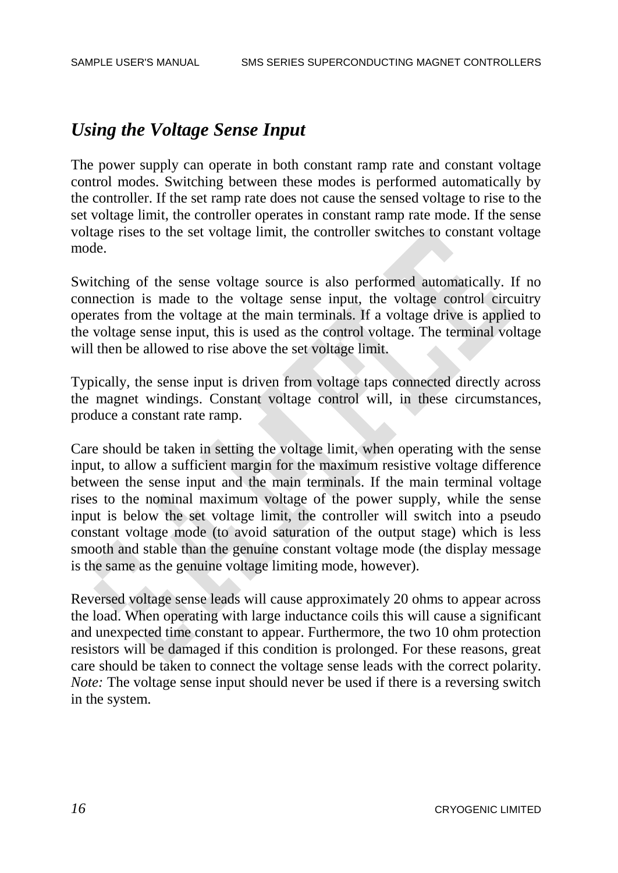### *Using the Voltage Sense Input*

The power supply can operate in both constant ramp rate and constant voltage control modes. Switching between these modes is performed automatically by the controller. If the set ramp rate does not cause the sensed voltage to rise to the set voltage limit, the controller operates in constant ramp rate mode. If the sense voltage rises to the set voltage limit, the controller switches to constant voltage mode.

Switching of the sense voltage source is also performed automatically. If no connection is made to the voltage sense input, the voltage control circuitry operates from the voltage at the main terminals. If a voltage drive is applied to the voltage sense input, this is used as the control voltage. The terminal voltage will then be allowed to rise above the set voltage limit.

Typically, the sense input is driven from voltage taps connected directly across the magnet windings. Constant voltage control will, in these circumstances, produce a constant rate ramp.

Care should be taken in setting the voltage limit, when operating with the sense input, to allow a sufficient margin for the maximum resistive voltage difference between the sense input and the main terminals. If the main terminal voltage rises to the nominal maximum voltage of the power supply, while the sense input is below the set voltage limit, the controller will switch into a pseudo constant voltage mode (to avoid saturation of the output stage) which is less smooth and stable than the genuine constant voltage mode (the display message is the same as the genuine voltage limiting mode, however).

Reversed voltage sense leads will cause approximately 20 ohms to appear across the load. When operating with large inductance coils this will cause a significant and unexpected time constant to appear. Furthermore, the two 10 ohm protection resistors will be damaged if this condition is prolonged. For these reasons, great care should be taken to connect the voltage sense leads with the correct polarity. *Note:* The voltage sense input should never be used if there is a reversing switch in the system.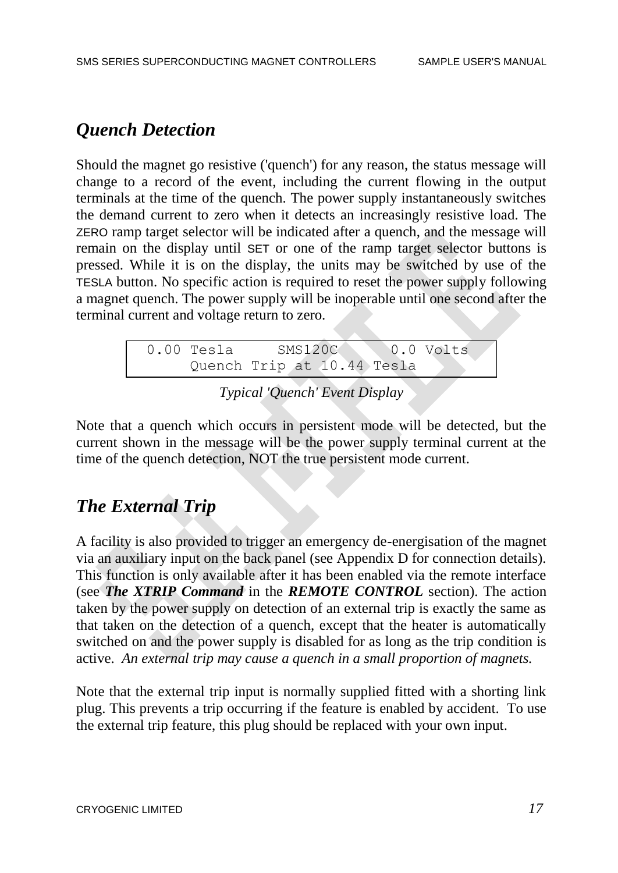# *Quench Detection*

Should the magnet go resistive ('quench') for any reason, the status message will change to a record of the event, including the current flowing in the output terminals at the time of the quench. The power supply instantaneously switches the demand current to zero when it detects an increasingly resistive load. The ZERO ramp target selector will be indicated after a quench, and the message will remain on the display until SET or one of the ramp target selector buttons is pressed. While it is on the display, the units may be switched by use of the TESLA button. No specific action is required to reset the power supply following a magnet quench. The power supply will be inoperable until one second after the terminal current and voltage return to zero.

| $0.00$ Tesla | SMS120C                    |  | 0.0 Volts |  |
|--------------|----------------------------|--|-----------|--|
|              | Quench Trip at 10.44 Tesla |  |           |  |

*Typical 'Quench' Event Display*

Note that a quench which occurs in persistent mode will be detected, but the current shown in the message will be the power supply terminal current at the time of the quench detection, NOT the true persistent mode current.

# *The External Trip*

A facility is also provided to trigger an emergency de-energisation of the magnet via an auxiliary input on the back panel (see Appendix D for connection details). This function is only available after it has been enabled via the remote interface (see *The XTRIP Command* in the *REMOTE CONTROL* section). The action taken by the power supply on detection of an external trip is exactly the same as that taken on the detection of a quench, except that the heater is automatically switched on and the power supply is disabled for as long as the trip condition is active. *An external trip may cause a quench in a small proportion of magnets.*

Note that the external trip input is normally supplied fitted with a shorting link plug. This prevents a trip occurring if the feature is enabled by accident. To use the external trip feature, this plug should be replaced with your own input.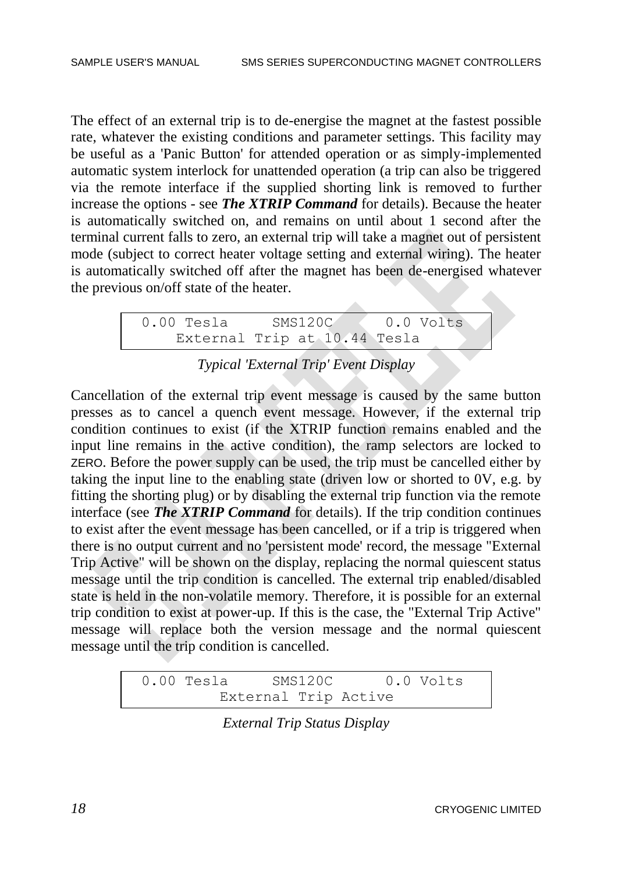The effect of an external trip is to de-energise the magnet at the fastest possible rate, whatever the existing conditions and parameter settings. This facility may be useful as a 'Panic Button' for attended operation or as simply-implemented automatic system interlock for unattended operation (a trip can also be triggered via the remote interface if the supplied shorting link is removed to further increase the options - see *The XTRIP Command* for details). Because the heater is automatically switched on, and remains on until about 1 second after the terminal current falls to zero, an external trip will take a magnet out of persistent mode (subject to correct heater voltage setting and external wiring). The heater is automatically switched off after the magnet has been de-energised whatever the previous on/off state of the heater.

> 0.00 Tesla SMS120C 0.0 Volts External Trip at 10.44 Tesla

*Typical 'External Trip' Event Display*

Cancellation of the external trip event message is caused by the same button presses as to cancel a quench event message. However, if the external trip condition continues to exist (if the XTRIP function remains enabled and the input line remains in the active condition), the ramp selectors are locked to ZERO. Before the power supply can be used, the trip must be cancelled either by taking the input line to the enabling state (driven low or shorted to 0V, e.g. by fitting the shorting plug) or by disabling the external trip function via the remote interface (see *The XTRIP Command* for details). If the trip condition continues to exist after the event message has been cancelled, or if a trip is triggered when there is no output current and no 'persistent mode' record, the message "External Trip Active" will be shown on the display, replacing the normal quiescent status message until the trip condition is cancelled. The external trip enabled/disabled state is held in the non-volatile memory. Therefore, it is possible for an external trip condition to exist at power-up. If this is the case, the "External Trip Active" message will replace both the version message and the normal quiescent message until the trip condition is cancelled.

| 0.00 Tesla | SMS120C |                      | 0.0 Volts |
|------------|---------|----------------------|-----------|
|            |         | External Trip Active |           |

*External Trip Status Display*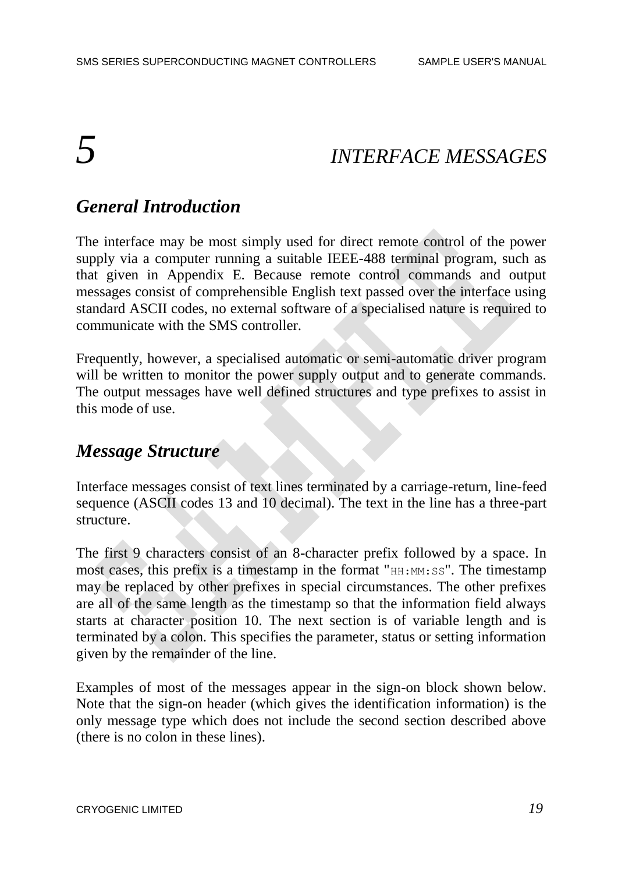# *5 INTERFACE MESSAGES*

## *General Introduction*

The interface may be most simply used for direct remote control of the power supply via a computer running a suitable IEEE-488 terminal program, such as that given in Appendix E. Because remote control commands and output messages consist of comprehensible English text passed over the interface using standard ASCII codes, no external software of a specialised nature is required to communicate with the SMS controller.

Frequently, however, a specialised automatic or semi-automatic driver program will be written to monitor the power supply output and to generate commands. The output messages have well defined structures and type prefixes to assist in this mode of use.

#### *Message Structure*

Interface messages consist of text lines terminated by a carriage-return, line-feed sequence (ASCII codes 13 and 10 decimal). The text in the line has a three-part structure.

The first 9 characters consist of an 8-character prefix followed by a space. In most cases, this prefix is a timestamp in the format " $HH:MM:SS$ ". The timestamp may be replaced by other prefixes in special circumstances. The other prefixes are all of the same length as the timestamp so that the information field always starts at character position 10. The next section is of variable length and is terminated by a colon. This specifies the parameter, status or setting information given by the remainder of the line.

Examples of most of the messages appear in the sign-on block shown below. Note that the sign-on header (which gives the identification information) is the only message type which does not include the second section described above (there is no colon in these lines).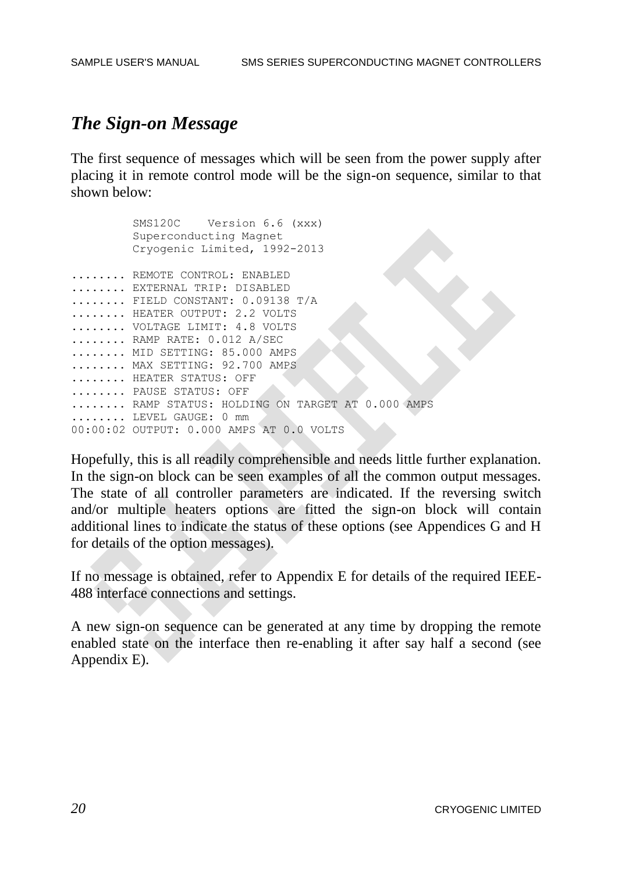#### *The Sign-on Message*

The first sequence of messages which will be seen from the power supply after placing it in remote control mode will be the sign-on sequence, similar to that shown below:

 SMS120C Version 6.6 (xxx) Superconducting Magnet Cryogenic Limited, 1992-2013 ........ REMOTE CONTROL: ENABLED ........ EXTERNAL TRIP: DISABLED ........ FIELD CONSTANT: 0.09138 T/A ........ HEATER OUTPUT: 2.2 VOLTS ........ VOLTAGE LIMIT: 4.8 VOLTS ........ RAMP RATE: 0.012 A/SEC ........ MID SETTING: 85.000 AMPS ........ MAX SETTING: 92.700 AMPS ........ HEATER STATUS: OFF ........ PAUSE STATUS: OFF ........ RAMP STATUS: HOLDING ON TARGET AT 0.000 AMPS ........ LEVEL GAUGE: 0 mm 00:00:02 OUTPUT: 0.000 AMPS AT 0.0 VOLTS

Hopefully, this is all readily comprehensible and needs little further explanation. In the sign-on block can be seen examples of all the common output messages. The state of all controller parameters are indicated. If the reversing switch and/or multiple heaters options are fitted the sign-on block will contain additional lines to indicate the status of these options (see Appendices G and H for details of the option messages).

If no message is obtained, refer to Appendix E for details of the required IEEE-488 interface connections and settings.

A new sign-on sequence can be generated at any time by dropping the remote enabled state on the interface then re-enabling it after say half a second (see Appendix E).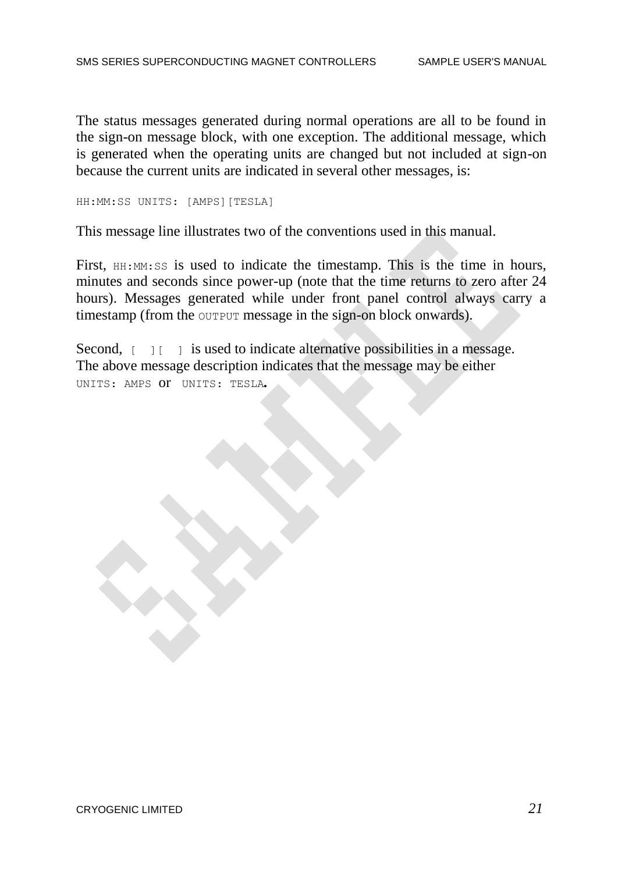The status messages generated during normal operations are all to be found in the sign-on message block, with one exception. The additional message, which is generated when the operating units are changed but not included at sign-on because the current units are indicated in several other messages, is:

HH:MM:SS UNITS: [AMPS][TESLA]

This message line illustrates two of the conventions used in this manual.

First, HH:MM:SS is used to indicate the timestamp. This is the time in hours, minutes and seconds since power-up (note that the time returns to zero after 24 hours). Messages generated while under front panel control always carry a timestamp (from the OUTPUT message in the sign-on block onwards).

Second,  $\begin{bmatrix} 1 \\ 1 \end{bmatrix}$  is used to indicate alternative possibilities in a message. The above message description indicates that the message may be either UNITS: AMPSor UNITS: TESLA*.*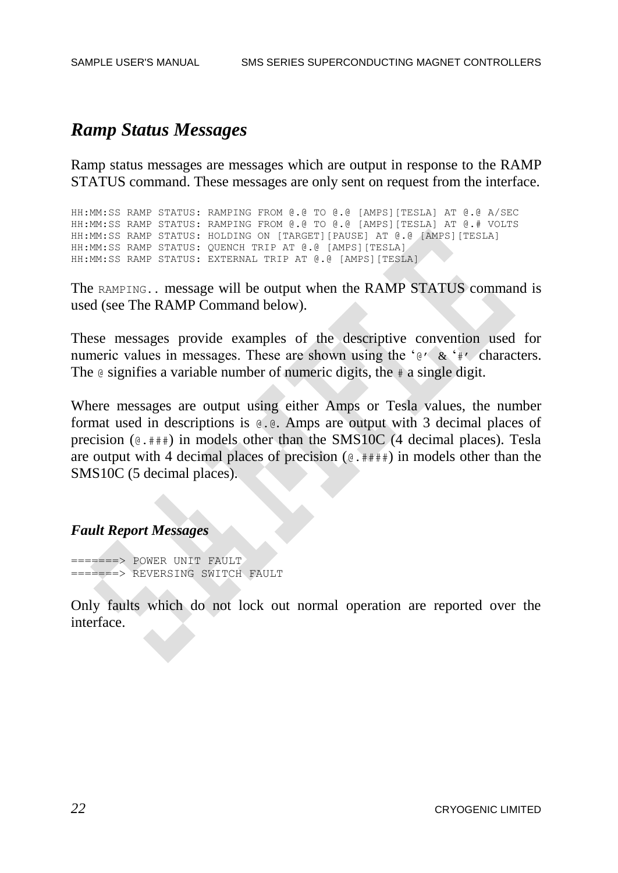### *Ramp Status Messages*

Ramp status messages are messages which are output in response to the RAMP STATUS command. These messages are only sent on request from the interface.

HH:MM:SS RAMP STATUS: RAMPING FROM @.@ TO @.@ [AMPS][TESLA] AT @.@ A/SEC HH:MM:SS RAMP STATUS: RAMPING FROM @.@ TO @.@ [AMPS][TESLA] AT @.# VOLTS HH:MM:SS RAMP STATUS: HOLDING ON [TARGET][PAUSE] AT @.@ [AMPS][TESLA] HH:MM:SS RAMP STATUS: QUENCH TRIP AT @.@ [AMPS][TESLA] HH:MM:SS RAMP STATUS: EXTERNAL TRIP AT @.@ [AMPS][TESLA]

The RAMPING.. message will be output when the RAMP STATUS command is used (see The RAMP Command below).

These messages provide examples of the descriptive convention used for numeric values in messages. These are shown using the '@' & '#' characters. The  $\theta$  signifies a variable number of numeric digits, the  $\#$  a single digit.

Where messages are output using either Amps or Tesla values, the number format used in descriptions is @.@. Amps are output with 3 decimal places of precision  $(e. \# \#)$  in models other than the SMS10C (4 decimal places). Tesla are output with 4 decimal places of precision  $(e. ###)$  in models other than the SMS10C (5 decimal places).

#### *Fault Report Messages*

=======> POWER UNIT FAULT =======> REVERSING SWITCH FAULT

Only faults which do not lock out normal operation are reported over the interface.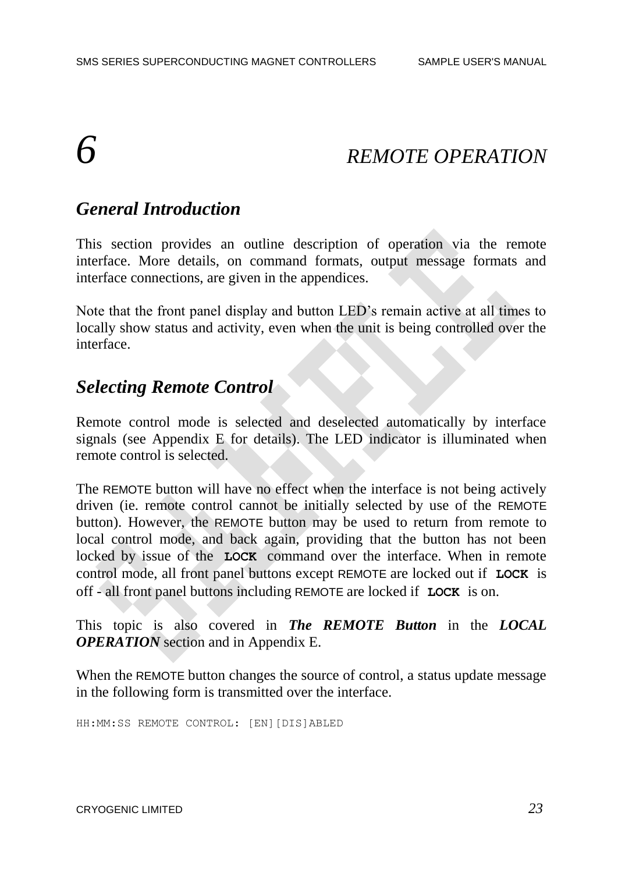# *6 REMOTE OPERATION*

### *General Introduction*

This section provides an outline description of operation via the remote interface. More details, on command formats, output message formats and interface connections, are given in the appendices.

Note that the front panel display and button LED's remain active at all times to locally show status and activity, even when the unit is being controlled over the interface.

#### *Selecting Remote Control*

Remote control mode is selected and deselected automatically by interface signals (see Appendix E for details). The LED indicator is illuminated when remote control is selected.

The REMOTE button will have no effect when the interface is not being actively driven (ie. remote control cannot be initially selected by use of the REMOTE button). However, the REMOTE button may be used to return from remote to local control mode, and back again, providing that the button has not been locked by issue of the **LOCK** command over the interface. When in remote control mode, all front panel buttons except REMOTE are locked out if **LOCK** is off - all front panel buttons including REMOTE are locked if **LOCK** is on.

This topic is also covered in *The REMOTE Button* in the *LOCAL OPERATION* section and in Appendix E.

When the REMOTE button changes the source of control, a status update message in the following form is transmitted over the interface.

HH:MM:SS REMOTE CONTROL: [EN][DIS]ABLED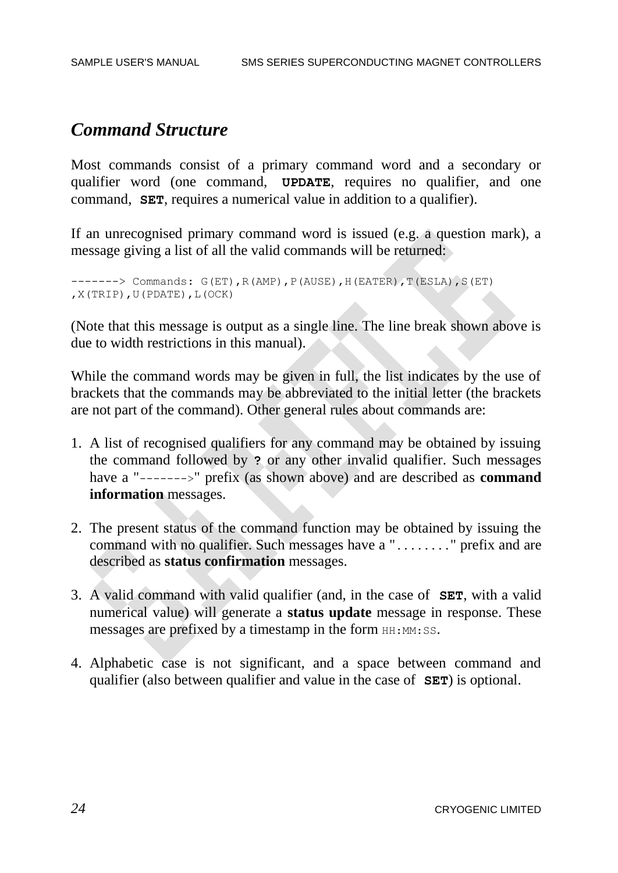#### *Command Structure*

Most commands consist of a primary command word and a secondary or qualifier word (one command, **UPDATE**, requires no qualifier, and one command, **SET**, requires a numerical value in addition to a qualifier).

If an unrecognised primary command word is issued (e.g. a question mark), a message giving a list of all the valid commands will be returned:

```
------> Commands: G(ET), R(AMP), P(AUSE), H(EATER), T(ESLA), S(ET)
,X(TRIP),U(PDATE),L(OCK)
```
(Note that this message is output as a single line. The line break shown above is due to width restrictions in this manual).

While the command words may be given in full, the list indicates by the use of brackets that the commands may be abbreviated to the initial letter (the brackets are not part of the command). Other general rules about commands are:

- 1. A list of recognised qualifiers for any command may be obtained by issuing the command followed by **?** or any other invalid qualifier. Such messages have a "------->" prefix (as shown above) and are described as **command information** messages.
- 2. The present status of the command function may be obtained by issuing the command with no qualifier. Such messages have a "........" prefix and are described as **status confirmation** messages.
- 3. A valid command with valid qualifier (and, in the case of **SET**, with a valid numerical value) will generate a **status update** message in response. These messages are prefixed by a timestamp in the form  $HH:MM:SS$ .
- 4. Alphabetic case is not significant, and a space between command and qualifier (also between qualifier and value in the case of **SET**) is optional.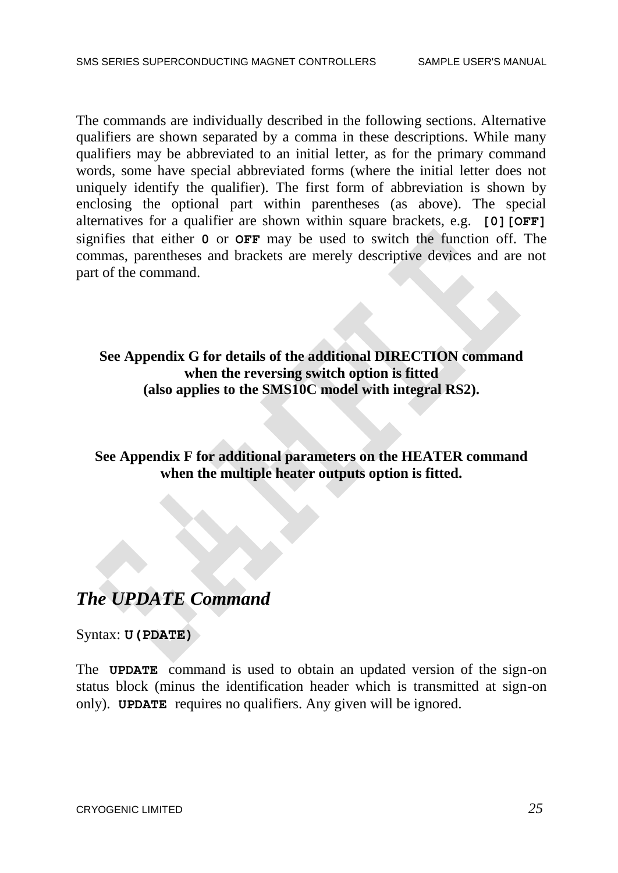The commands are individually described in the following sections. Alternative qualifiers are shown separated by a comma in these descriptions. While many qualifiers may be abbreviated to an initial letter, as for the primary command words, some have special abbreviated forms (where the initial letter does not uniquely identify the qualifier). The first form of abbreviation is shown by enclosing the optional part within parentheses (as above). The special alternatives for a qualifier are shown within square brackets, e.g. **[0][OFF]** signifies that either **0** or **OFF** may be used to switch the function off. The commas, parentheses and brackets are merely descriptive devices and are not part of the command.

**See Appendix G for details of the additional DIRECTION command when the reversing switch option is fitted (also applies to the SMS10C model with integral RS2).**

**See Appendix F for additional parameters on the HEATER command when the multiple heater outputs option is fitted.**

### *The UPDATE Command*

Syntax: **U(PDATE)**

The **UPDATE** command is used to obtain an updated version of the sign-on status block (minus the identification header which is transmitted at sign-on only). **UPDATE** requires no qualifiers. Any given will be ignored.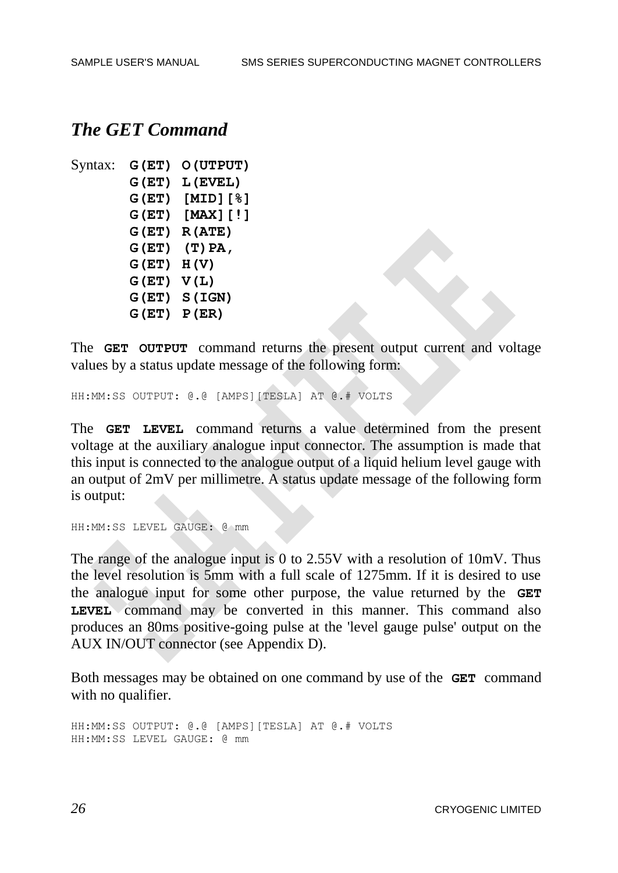#### *The GET Command*

```
Syntax: G(ET) O(UTPUT)
       G(ET) L(EVEL)
       G(ET) [MID][%]
       G(ET) [MAX][!]
       G(ET) R(ATE)
       G(ET) (T)PA,
       G(ET) H(V)
       G(ET) V(L)
       G(ET) S(IGN)
       G(ET) P(ER)
```
The **GET OUTPUT** command returns the present output current and voltage values by a status update message of the following form:

HH:MM:SS OUTPUT: @.@ [AMPS][TESLA] AT @.# VOLTS

The **GET LEVEL** command returns a value determined from the present voltage at the auxiliary analogue input connector. The assumption is made that this input is connected to the analogue output of a liquid helium level gauge with an output of 2mV per millimetre. A status update message of the following form is output:

```
HH:MM:SS LEVEL GAUGE: @ mm
```
The range of the analogue input is 0 to 2.55V with a resolution of 10mV. Thus the level resolution is 5mm with a full scale of 1275mm. If it is desired to use the analogue input for some other purpose, the value returned by the **GET LEVEL** command may be converted in this manner. This command also produces an 80ms positive-going pulse at the 'level gauge pulse' output on the AUX IN/OUT connector (see Appendix D).

Both messages may be obtained on one command by use of the **GET** command with no qualifier.

HH:MM:SS OUTPUT: @.@ [AMPS][TESLA] AT @.# VOLTS HH:MM:SS LEVEL GAUGE: @ mm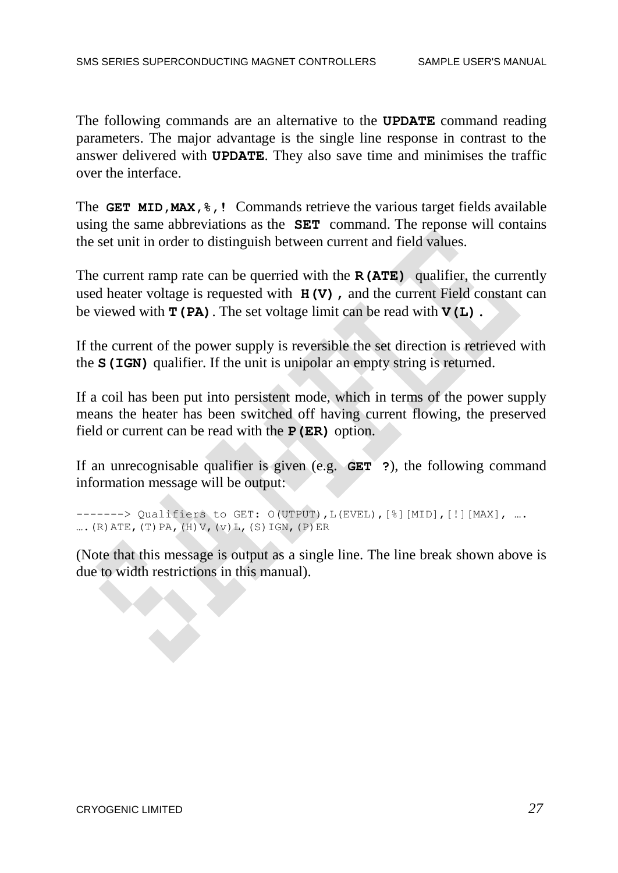The following commands are an alternative to the **UPDATE** command reading parameters. The major advantage is the single line response in contrast to the answer delivered with **UPDATE**. They also save time and minimises the traffic over the interface.

The **GET MID,MAX,%,!** Commands retrieve the various target fields available using the same abbreviations as the **SET** command. The reponse will contains the set unit in order to distinguish between current and field values.

The current ramp rate can be querried with the **R(ATE)** qualifier, the currently used heater voltage is requested with  $H(V)$ , and the current Field constant can be viewed with  $\mathbf{T}(\mathbf{PA})$ . The set voltage limit can be read with  $\mathbf{V}(\mathbf{L})$ .

If the current of the power supply is reversible the set direction is retrieved with the **S(IGN)** qualifier. If the unit is unipolar an empty string is returned.

If a coil has been put into persistent mode, which in terms of the power supply means the heater has been switched off having current flowing, the preserved field or current can be read with the **P(ER)** option.

If an unrecognisable qualifier is given (e.g. **GET ?**), the following command information message will be output:

```
-------> Qualifiers to GET: O(UTPUT), L(EVEL), [%][MID], [!][MAX], ....
\ldots. (R) ATE, (T) PA, (H) V, (v) L, (S) IGN, (P) ER
```
(Note that this message is output as a single line. The line break shown above is due to width restrictions in this manual).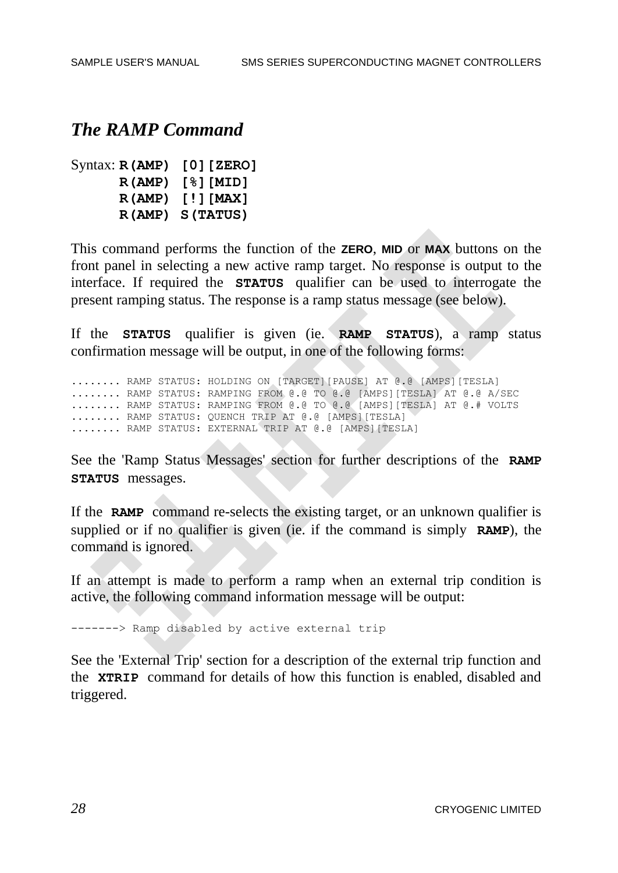#### *The RAMP Command*

```
Syntax: R(AMP) [0][ZERO]
      R(AMP) [%][MID]
     R(AMP) [!][MAX]
      R(AMP) S(TATUS)
```
This command performs the function of the **ZERO**, **MID** or **MAX** buttons on the front panel in selecting a new active ramp target. No response is output to the interface. If required the **STATUS** qualifier can be used to interrogate the present ramping status. The response is a ramp status message (see below).

If the **STATUS** qualifier is given (ie. **RAMP STATUS**), a ramp status confirmation message will be output, in one of the following forms:

........ RAMP STATUS: HOLDING ON [TARGET][PAUSE] AT @.@ [AMPS][TESLA] ........ RAMP STATUS: RAMPING FROM @.@ TO @.@ [AMPS][TESLA] AT @.@ A/SEC ........ RAMP STATUS: RAMPING FROM @.@ TO @.@ [AMPS][TESLA] AT @.# VOLTS ........ RAMP STATUS: QUENCH TRIP AT @.@ [AMPS][TESLA] ........ RAMP STATUS: EXTERNAL TRIP AT @.@ [AMPS][TESLA]

See the 'Ramp Status Messages' section for further descriptions of the **RAMP STATUS** messages.

If the **RAMP** command re-selects the existing target, or an unknown qualifier is supplied or if no qualifier is given (ie. if the command is simply **RAMP**), the command is ignored.

If an attempt is made to perform a ramp when an external trip condition is active, the following command information message will be output:

-------> Ramp disabled by active external trip

See the 'External Trip' section for a description of the external trip function and the **XTRIP** command for details of how this function is enabled, disabled and triggered.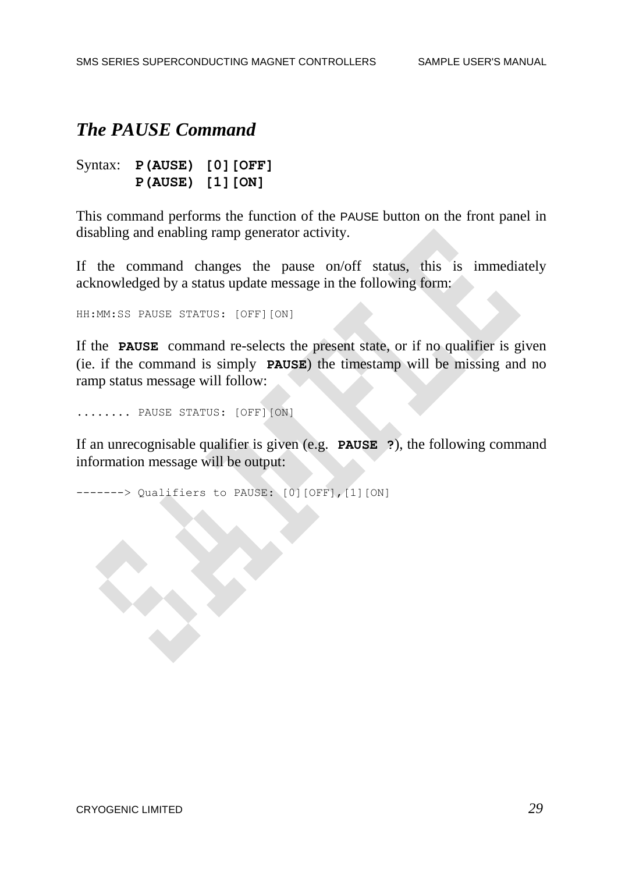### *The PAUSE Command*

Syntax: **P(AUSE) [0][OFF] P(AUSE) [1][ON]**

This command performs the function of the PAUSE button on the front panel in disabling and enabling ramp generator activity.

If the command changes the pause on/off status, this is immediately acknowledged by a status update message in the following form:

HH:MM:SS PAUSE STATUS: [OFF][ON]

If the **PAUSE** command re-selects the present state, or if no qualifier is given (ie. if the command is simply **PAUSE**) the timestamp will be missing and no ramp status message will follow:

........ PAUSE STATUS: [OFF][ON]

If an unrecognisable qualifier is given (e.g. **PAUSE ?**), the following command information message will be output:

------> Qualifiers to PAUSE: [0][OFF], [1] [ON]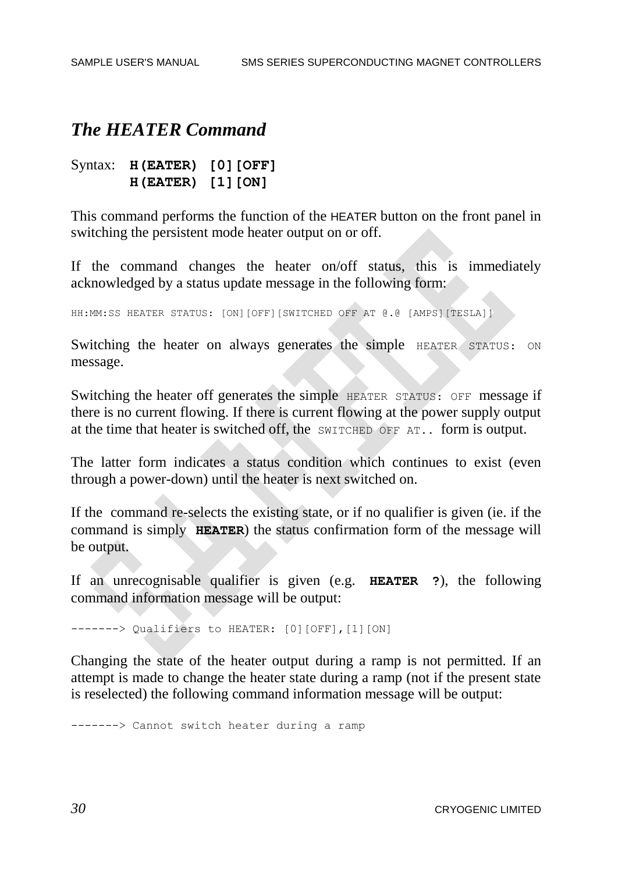#### *The HEATER Command*

Syntax: **H(EATER) [0][OFF] H(EATER) [1][ON]**

This command performs the function of the HEATER button on the front panel in switching the persistent mode heater output on or off.

If the command changes the heater on/off status, this is immediately acknowledged by a status update message in the following form:

HH:MM:SS HEATER STATUS: [ON][OFF][SWITCHED OFF AT @.@ [AMPS][TESLA]]

Switching the heater on always generates the simple HEATER STATUS: ON message.

Switching the heater off generates the simple HEATER STATUS: OFF message if there is no current flowing. If there is current flowing at the power supply output at the time that heater is switched off, the SWITCHED OFF AT.. form is output.

The latter form indicates a status condition which continues to exist (even through a power-down) until the heater is next switched on.

If the command re-selects the existing state, or if no qualifier is given (ie. if the command is simply **HEATER**) the status confirmation form of the message will be output.

If an unrecognisable qualifier is given (e.g. **HEATER ?**), the following command information message will be output:

-------> Qualifiers to HEATER: [0][OFF],[1][ON]

Changing the state of the heater output during a ramp is not permitted. If an attempt is made to change the heater state during a ramp (not if the present state is reselected) the following command information message will be output:

-------> Cannot switch heater during a ramp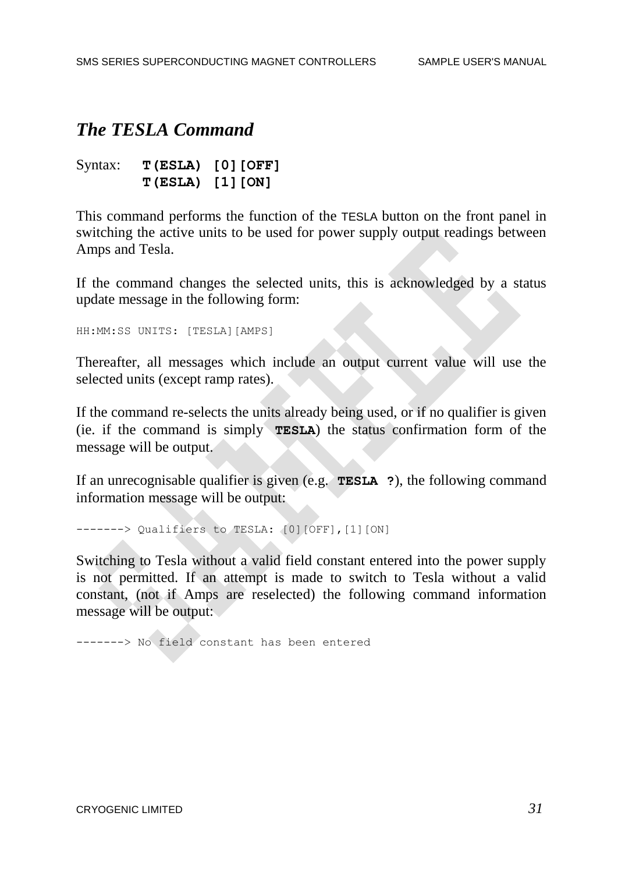### *The TESLA Command*

| Syntax: |                  | T(ESLA) [0] [OFF] |  |
|---------|------------------|-------------------|--|
|         | T(ESLA) [1] [ON] |                   |  |

This command performs the function of the TESLA button on the front panel in switching the active units to be used for power supply output readings between Amps and Tesla.

If the command changes the selected units, this is acknowledged by a status update message in the following form:

HH:MM:SS UNITS: [TESLA][AMPS]

Thereafter, all messages which include an output current value will use the selected units (except ramp rates).

If the command re-selects the units already being used, or if no qualifier is given (ie. if the command is simply **TESLA**) the status confirmation form of the message will be output.

If an unrecognisable qualifier is given (e.g. **TESLA ?**), the following command information message will be output:

-------> Qualifiers to TESLA: [0][OFF],[1][ON]

Switching to Tesla without a valid field constant entered into the power supply is not permitted. If an attempt is made to switch to Tesla without a valid constant, (not if Amps are reselected) the following command information message will be output:

-------> No field constant has been entered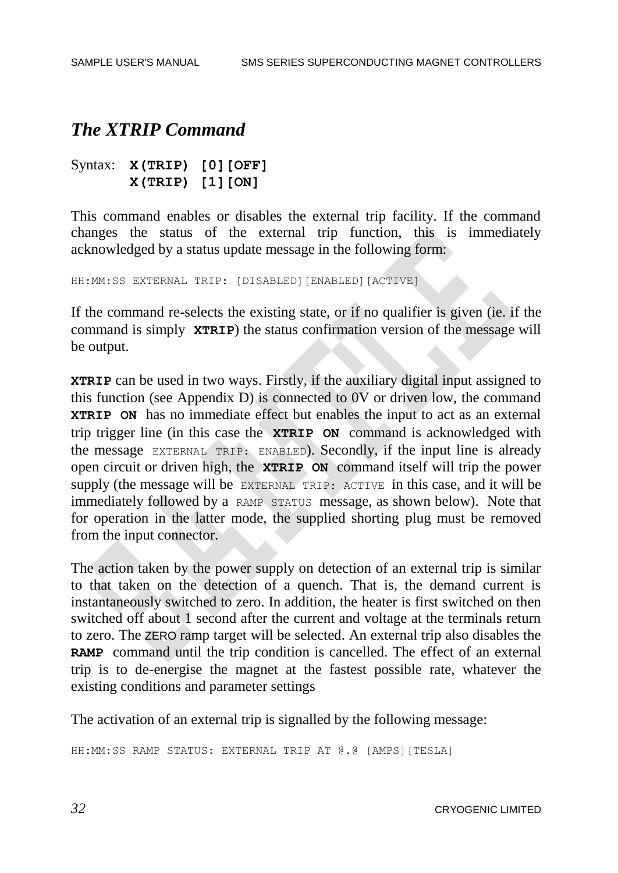### *The XTRIP Command*

Syntax: **X(TRIP) [0][OFF] X(TRIP) [1][ON]**

This command enables or disables the external trip facility. If the command changes the status of the external trip function, this is immediately acknowledged by a status update message in the following form:

HH:MM:SS EXTERNAL TRIP: [DISABLED][ENABLED][ACTIVE]

If the command re-selects the existing state, or if no qualifier is given (ie. if the command is simply **XTRIP**) the status confirmation version of the message will be output.

**XTRIP** can be used in two ways. Firstly, if the auxiliary digital input assigned to this function (see Appendix D) is connected to 0V or driven low, the command **XTRIP ON** has no immediate effect but enables the input to act as an external trip trigger line (in this case the **XTRIP ON** command is acknowledged with the message EXTERNAL TRIP: ENABLED). Secondly, if the input line is already open circuit or driven high, the **XTRIP ON** command itself will trip the power supply (the message will be EXTERNAL TRIP: ACTIVE in this case, and it will be immediately followed by a RAMP STATUS message, as shown below). Note that for operation in the latter mode, the supplied shorting plug must be removed from the input connector.

The action taken by the power supply on detection of an external trip is similar to that taken on the detection of a quench. That is, the demand current is instantaneously switched to zero. In addition, the heater is first switched on then switched off about 1 second after the current and voltage at the terminals return to zero. The ZERO ramp target will be selected. An external trip also disables the **RAMP** command until the trip condition is cancelled. The effect of an external trip is to de-energise the magnet at the fastest possible rate, whatever the existing conditions and parameter settings

The activation of an external trip is signalled by the following message:

HH:MM:SS RAMP STATUS: EXTERNAL TRIP AT @.@ [AMPS][TESLA]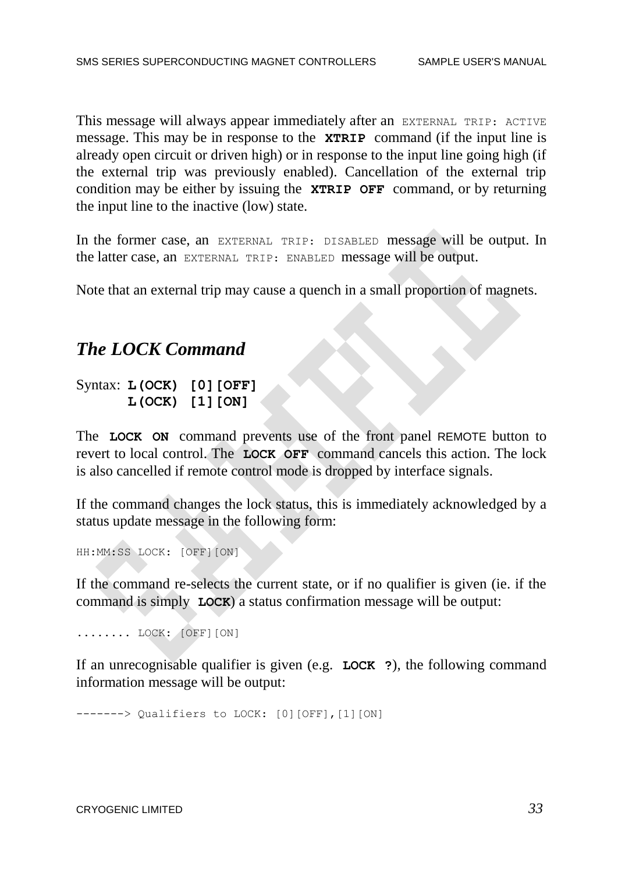This message will always appear immediately after an EXTERNAL TRIP: ACTIVE message. This may be in response to the **XTRIP** command (if the input line is already open circuit or driven high) or in response to the input line going high (if the external trip was previously enabled). Cancellation of the external trip condition may be either by issuing the **XTRIP OFF** command, or by returning the input line to the inactive (low) state.

In the former case, an EXTERNAL TRIP: DISABLED message will be output. In the latter case, an EXTERNAL TRIP: ENABLED message will be output.

Note that an external trip may cause a quench in a small proportion of magnets.

#### *The LOCK Command*

#### Syntax: **L(OCK) [0][OFF] L(OCK) [1][ON]**

The **LOCK ON** command prevents use of the front panel REMOTE button to revert to local control. The **LOCK OFF** command cancels this action. The lock is also cancelled if remote control mode is dropped by interface signals.

If the command changes the lock status, this is immediately acknowledged by a status update message in the following form:

HH:MM:SS LOCK: [OFF][ON]

If the command re-selects the current state, or if no qualifier is given (ie. if the command is simply **LOCK**) a status confirmation message will be output:

........ LOCK: [OFF][ON]

If an unrecognisable qualifier is given (e.g. **LOCK ?**), the following command information message will be output:

-------> Qualifiers to LOCK: [0][OFF],[1][ON]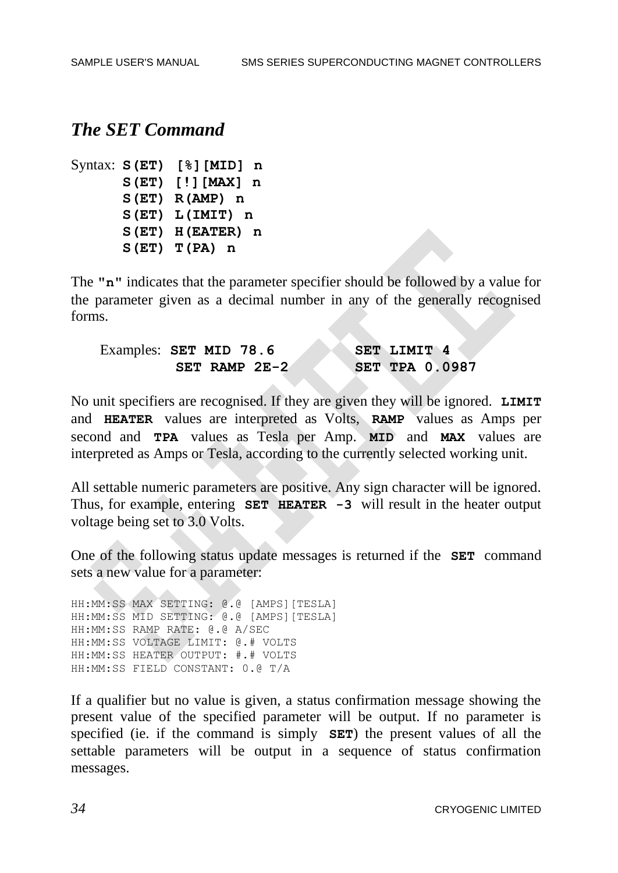#### *The SET Command*

```
Syntax: S(ET) [%][MID] n
      S(ET) [!][MAX] n
      S(ET) R(AMP) n
      S(ET) L(IMIT) n
      S(ET) H(EATER) n
      S(ET) T(PA) n
```
The **"n"** indicates that the parameter specifier should be followed by a value for the parameter given as a decimal number in any of the generally recognised forms.

| Examples: SET MID 78.6 | SET LIMIT 4           |
|------------------------|-----------------------|
| SET RAMP $2E-2$        | <b>SET TPA 0.0987</b> |

No unit specifiers are recognised. If they are given they will be ignored. **LIMIT**  and **HEATER** values are interpreted as Volts, **RAMP** values as Amps per second and **TPA** values as Tesla per Amp. **MID** and **MAX** values are interpreted as Amps or Tesla, according to the currently selected working unit.

All settable numeric parameters are positive. Any sign character will be ignored. Thus, for example, entering **SET HEATER -3** will result in the heater output voltage being set to 3.0 Volts.

One of the following status update messages is returned if the **SET** command sets a new value for a parameter:

HH:MM:SS MAX SETTING: @.@ [AMPS][TESLA] HH:MM:SS MID SETTING: @.@ [AMPS][TESLA] HH:MM:SS RAMP RATE: @.@ A/SEC HH:MM:SS VOLTAGE LIMIT: @.# VOLTS HH:MM:SS HEATER OUTPUT: #.# VOLTS HH:MM:SS FIELD CONSTANT: 0.@ T/A

If a qualifier but no value is given, a status confirmation message showing the present value of the specified parameter will be output. If no parameter is specified (ie. if the command is simply **SET**) the present values of all the settable parameters will be output in a sequence of status confirmation messages.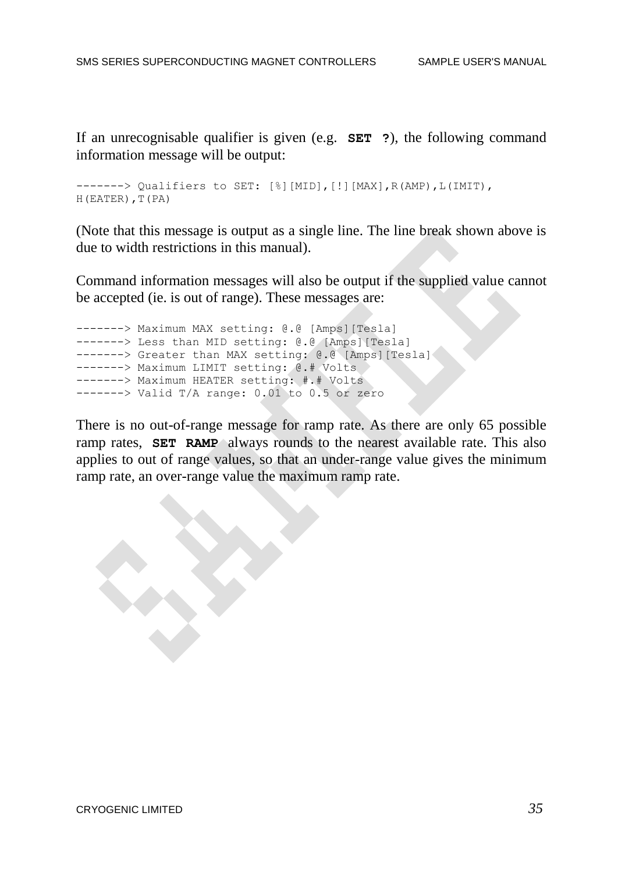If an unrecognisable qualifier is given (e.g. **SET ?**), the following command information message will be output:

------> Qualifiers to SET: [%][MID], [!][MAX], R(AMP), L(IMIT), H(EATER), T(PA)

(Note that this message is output as a single line. The line break shown above is due to width restrictions in this manual).

Command information messages will also be output if the supplied value cannot be accepted (ie. is out of range). These messages are:

```
-------> Maximum MAX setting: @.@ [Amps][Tesla]
------> Less than MID setting: @.@ [Amps] [Tesla]
-------> Greater than MAX setting: @.@ [Amps] [Tesla]
-------> Maximum LIMIT setting: @.# Volts
-------> Maximum HEATER setting: #.# Volts
-----> Valid T/A range: 0.01 to 0.5 or zero
```
There is no out-of-range message for ramp rate. As there are only 65 possible ramp rates, **SET RAMP** always rounds to the nearest available rate. This also applies to out of range values, so that an under-range value gives the minimum ramp rate, an over-range value the maximum ramp rate.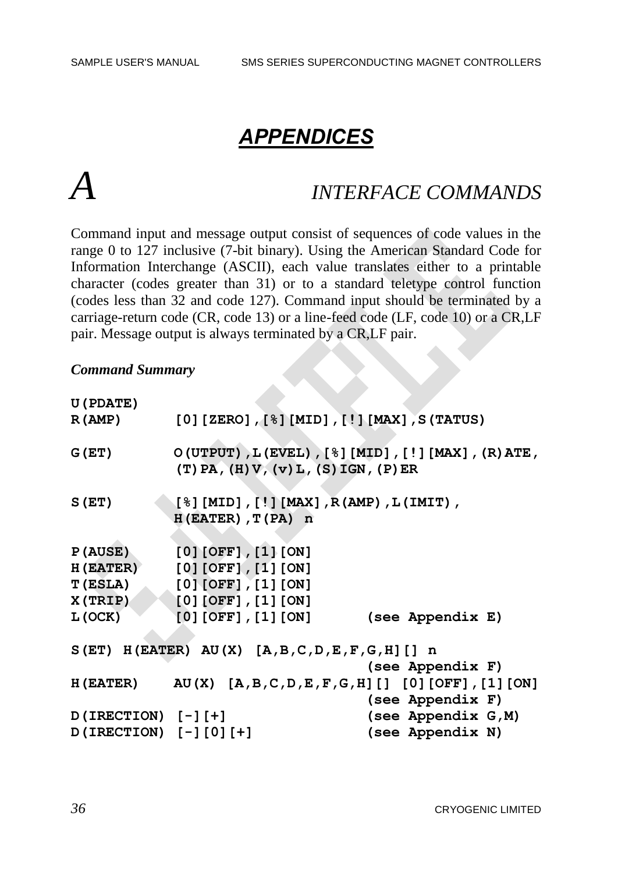# *APPENDICES*

# *A INTERFACE COMMANDS*

Command input and message output consist of sequences of code values in the range 0 to 127 inclusive (7-bit binary). Using the American Standard Code for Information Interchange (ASCII), each value translates either to a printable character (codes greater than 31) or to a standard teletype control function (codes less than 32 and code 127). Command input should be terminated by a carriage-return code (CR, code 13) or a line-feed code (LF, code 10) or a CR,LF pair. Message output is always terminated by a CR,LF pair.

#### *Command Summary*

| U (PDATE)                                    |                                                                      |                                                 |                                                                    |
|----------------------------------------------|----------------------------------------------------------------------|-------------------------------------------------|--------------------------------------------------------------------|
| R(AMP)                                       |                                                                      |                                                 | $[0]$ [ZERO], $[8]$ [MID], $[!]$ [MAX], S(TATUS)                   |
| G(ET)                                        |                                                                      | $(T)$ PA, $(H)$ V, $(v)$ L, $(S)$ IGN, $(P)$ ER | $O(UTPUT)$ , L(EVEL), [ $\S$ ][MID], [!][MAX], (R)ATE,             |
| S(ET)                                        | $[8] [MID], [!] [MAX], R (AMP), L (IMIT),$<br>$H(EATER)$ , $T(PA)$ n |                                                 |                                                                    |
| P(AUSE)                                      | $[0]$ [OFF], $[1]$ [ON]                                              |                                                 |                                                                    |
| <b>H (EATER)</b>                             | $[0]$ [OFF], $[1]$ [ON]                                              |                                                 |                                                                    |
| <b>T (ESLA)</b>                              | $[0]$ [OFF], $[1]$ [ON]                                              |                                                 |                                                                    |
| X(TRIP)                                      | $[0]$ [OFF], $[1]$ [ON]                                              |                                                 |                                                                    |
| L(OCK)                                       | [0] [OFF] , [1] [ON]                                                 |                                                 | (see Appendix E)                                                   |
| $S(ET)$ H(EATER) AU(X) [A,B,C,D,E,F,G,H][] n |                                                                      |                                                 |                                                                    |
|                                              |                                                                      |                                                 | (see Appendix F)                                                   |
|                                              |                                                                      |                                                 | $H(EXTER)$ AU(X) $[A, B, C, D, E, F, G, H]$ [] [0] [OFF], [1] [ON] |
|                                              |                                                                      |                                                 | (see Appendix F)                                                   |
| $D (IRECTION) [-1]$ [-]                      |                                                                      |                                                 | (see Appendix G, M)                                                |
| D(IRECTION) [-][0][+]                        |                                                                      |                                                 | (see Appendix N)                                                   |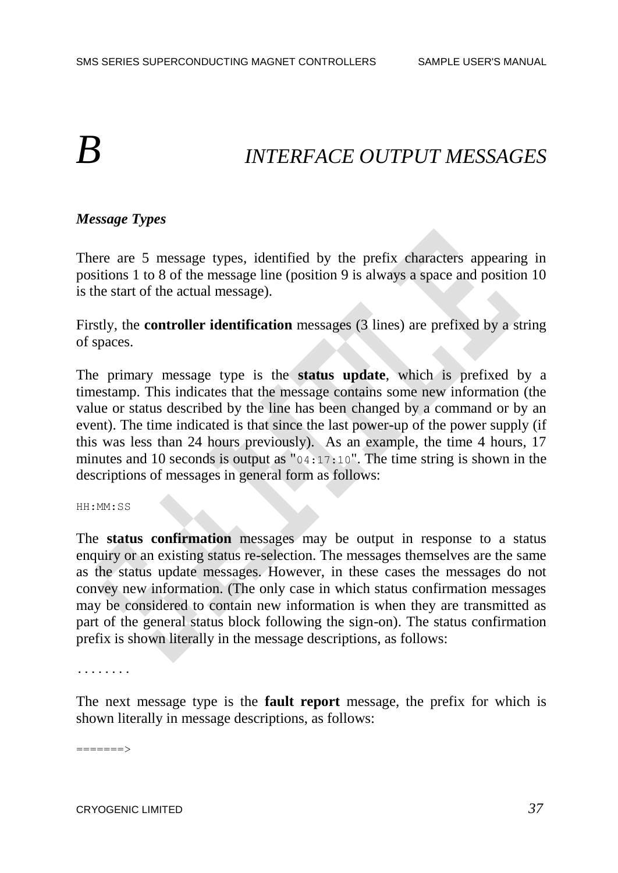# *B INTERFACE OUTPUT MESSAGES*

### *Message Types*

There are 5 message types, identified by the prefix characters appearing in positions 1 to 8 of the message line (position 9 is always a space and position 10 is the start of the actual message).

Firstly, the **controller identification** messages (3 lines) are prefixed by a string of spaces.

The primary message type is the **status update**, which is prefixed by a timestamp. This indicates that the message contains some new information (the value or status described by the line has been changed by a command or by an event). The time indicated is that since the last power-up of the power supply (if this was less than 24 hours previously). As an example, the time 4 hours, 17 minutes and 10 seconds is output as "04:17:10". The time string is shown in the descriptions of messages in general form as follows:

HH:MM:SS

The **status confirmation** messages may be output in response to a status enquiry or an existing status re-selection. The messages themselves are the same as the status update messages. However, in these cases the messages do not convey new information. (The only case in which status confirmation messages may be considered to contain new information is when they are transmitted as part of the general status block following the sign-on). The status confirmation prefix is shown literally in the message descriptions, as follows:

........

The next message type is the **fault report** message, the prefix for which is shown literally in message descriptions, as follows:

=======>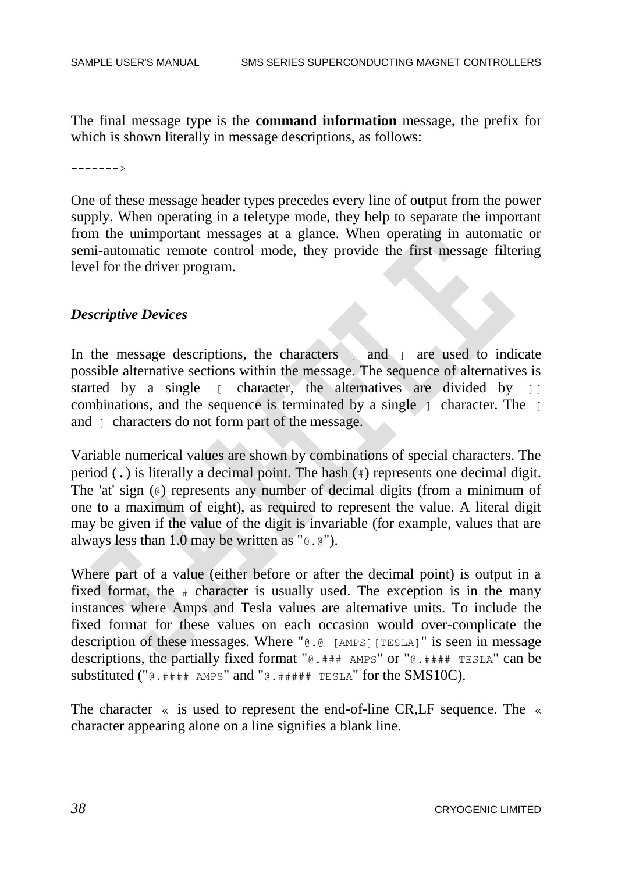The final message type is the **command information** message, the prefix for which is shown literally in message descriptions, as follows:

------->

One of these message header types precedes every line of output from the power supply. When operating in a teletype mode, they help to separate the important from the unimportant messages at a glance. When operating in automatic or semi-automatic remote control mode, they provide the first message filtering level for the driver program.

#### *Descriptive Devices*

In the message descriptions, the characters [ and ] are used to indicate possible alternative sections within the message. The sequence of alternatives is started by a single  $\lceil$  character, the alternatives are divided by  $\lceil$  [ combinations, and the sequence is terminated by a single  $\uparrow$  character. The  $\uparrow$ and  $\lceil$  characters do not form part of the message.

Variable numerical values are shown by combinations of special characters. The period (.) is literally a decimal point. The hash (#) represents one decimal digit. The 'at' sign (@) represents any number of decimal digits (from a minimum of one to a maximum of eight), as required to represent the value. A literal digit may be given if the value of the digit is invariable (for example, values that are always less than 1.0 may be written as "0.@").

Where part of a value (either before or after the decimal point) is output in a fixed format, the  $\#$  character is usually used. The exception is in the many instances where Amps and Tesla values are alternative units. To include the fixed format for these values on each occasion would over-complicate the description of these messages. Where "@.@ [AMPS][TESLA]" is seen in message descriptions, the partially fixed format " $\mathbb{C}$ .  $\# \# \#$  AMPS" or " $\mathbb{C}$ .  $\# \# \# \#$  TESLA" can be substituted (" $@.+$ #### AMPS" and " $@.+$ #### TESLA" for the SMS10C).

The character « is used to represent the end-of-line CR, LF sequence. The « character appearing alone on a line signifies a blank line.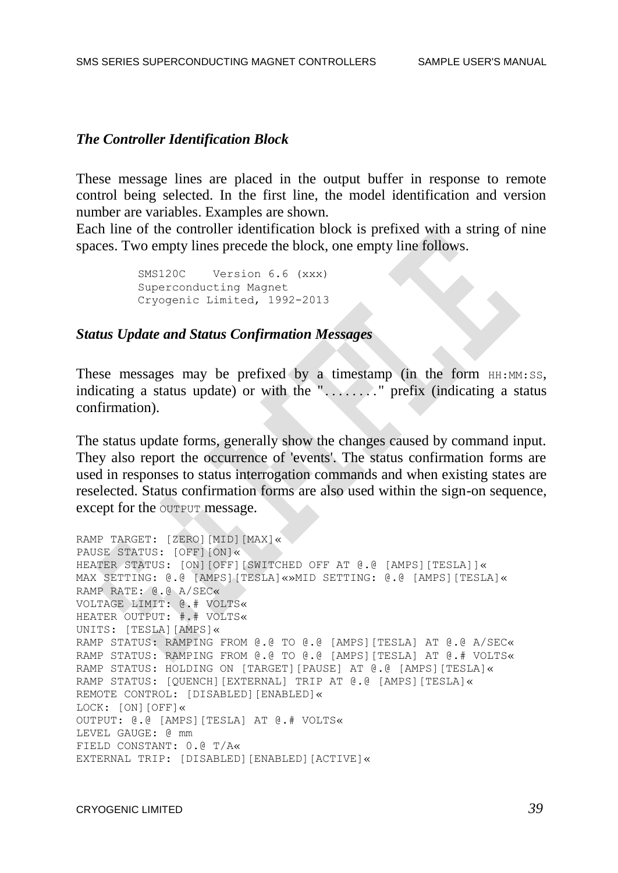#### *The Controller Identification Block*

These message lines are placed in the output buffer in response to remote control being selected. In the first line, the model identification and version number are variables. Examples are shown.

Each line of the controller identification block is prefixed with a string of nine spaces. Two empty lines precede the block, one empty line follows.

> SMS120C Version 6.6 (xxx) Superconducting Magnet Cryogenic Limited, 1992-2013

#### *Status Update and Status Confirmation Messages*

These messages may be prefixed by a timestamp (in the form  $HH:MM:SS$ , indicating a status update) or with the "........" prefix (indicating a status confirmation).

The status update forms, generally show the changes caused by command input. They also report the occurrence of 'events'. The status confirmation forms are used in responses to status interrogation commands and when existing states are reselected. Status confirmation forms are also used within the sign-on sequence, except for the OUTPUT message.

```
RAMP TARGET: [ZERO][MID][MAX]«
PAUSE STATUS: [OFF][ON]«
HEATER STATUS: [ON][OFF][SWITCHED OFF AT @.@ [AMPS][TESLA]]«
MAX SETTING: @.@ [AMPS][TESLA]«»MID SETTING: @.@ [AMPS][TESLA]«
RAMP RATE: @.@ A/SEC«
VOLTAGE LIMIT: @.# VOLTS«
HEATER OUTPUT: #.# VOLTS«
UNITS: [TESLA][AMPS]«
RAMP STATUS: RAMPING FROM @.@ TO @.@ [AMPS][TESLA] AT @.@ A/SEC«
RAMP STATUS: RAMPING FROM @.@ TO @.@ [AMPS][TESLA] AT @.# VOLTS«
RAMP STATUS: HOLDING ON [TARGET][PAUSE] AT @.@ [AMPS][TESLA]«
RAMP STATUS: [QUENCH][EXTERNAL] TRIP AT @.@ [AMPS][TESLA]«
REMOTE CONTROL: [DISABLED][ENABLED]«
LOCK: [ON][OFF]«
OUTPUT: @.@ [AMPS][TESLA] AT @.# VOLTS«
LEVEL GAUGE: @ mm
FIELD CONSTANT: 0.@ T/A«
EXTERNAL TRIP: [DISABLED][ENABLED][ACTIVE]«
```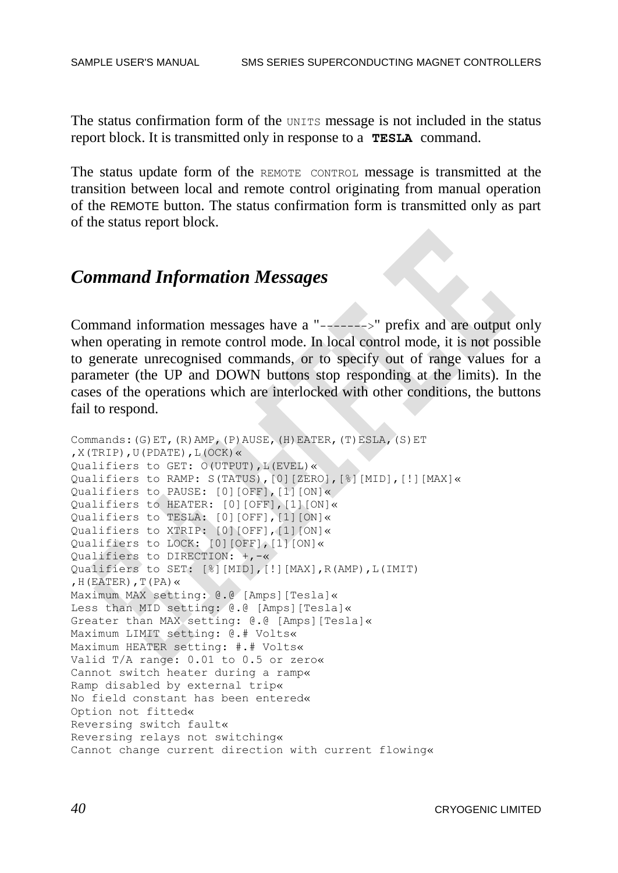The status confirmation form of the UNITS message is not included in the status report block. It is transmitted only in response to a **TESLA** command.

The status update form of the REMOTE CONTROL message is transmitted at the transition between local and remote control originating from manual operation of the REMOTE button. The status confirmation form is transmitted only as part of the status report block.

## *Command Information Messages*

Command information messages have a "------->" prefix and are output only when operating in remote control mode. In local control mode, it is not possible to generate unrecognised commands, or to specify out of range values for a parameter (the UP and DOWN buttons stop responding at the limits). In the cases of the operations which are interlocked with other conditions, the buttons fail to respond.

```
Commands:(G)ET,(R)AMP,(P)AUSE,(H)EATER,(T)ESLA,(S)ET
, X(TRIP), U(PDATE), L(OCK) \llQualifiers to GET: O(UTPUT),L(EVEL)«
Qualifiers to RAMP: S(TATUS),[0][ZERO],[%][MID],[!][MAX]«
Qualifiers to PAUSE: [0][OFF],[1][ON]«
Qualifiers to HEATER: [0][OFF],[1][ON]«
Qualifiers to TESLA: [0][OFF],[1][ON]«
Qualifiers to XTRIP: [0][OFF],[1][ON]«
Qualifiers to LOCK: [0][OFF],[1][ON]«
Qualifiers to DIRECTION: +,-«
Qualifiers to SET: [%][MID],[!][MAX],R(AMP),L(IMIT)
, H(EATER), T(PA) \ltimesMaximum MAX setting: @.@ [Amps][Tesla]«
Less than MID setting: @.@ [Amps][Tesla]«
Greater than MAX setting: @.@ [Amps][Tesla]«
Maximum LIMIT setting: @.# Volts«
Maximum HEATER setting: #.# Volts«
Valid T/A range: 0.01 to 0.5 or zero«
Cannot switch heater during a ramp«
Ramp disabled by external trip«
No field constant has been entered«
Option not fitted«
Reversing switch fault«
Reversing relays not switching«
Cannot change current direction with current flowing«
```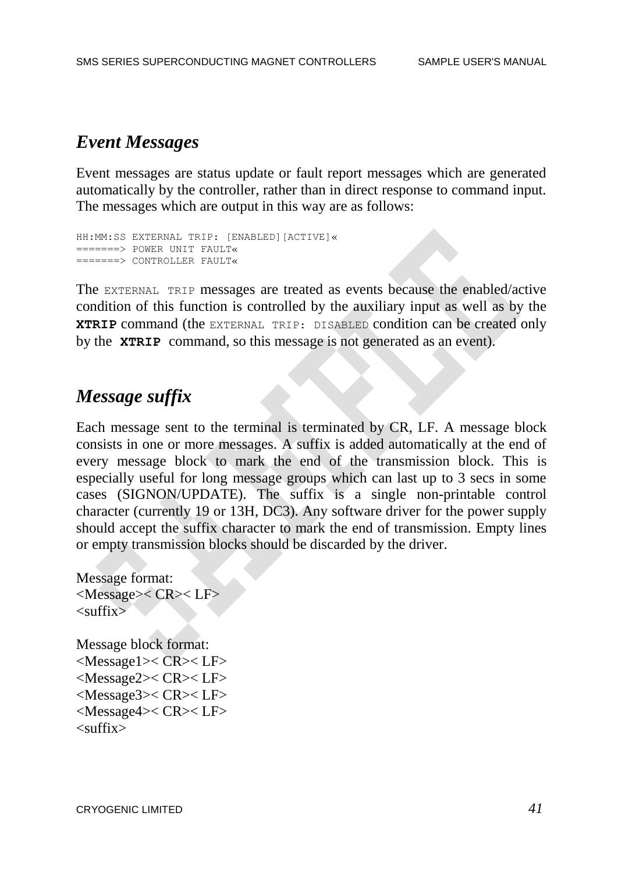## *Event Messages*

Event messages are status update or fault report messages which are generated automatically by the controller, rather than in direct response to command input. The messages which are output in this way are as follows:

```
HH:MM:SS EXTERNAL TRIP: [ENABLED][ACTIVE]«
=======> POWER UNIT FAULT«
=======> CONTROLLER FAULT«
```
The EXTERNAL TRIP messages are treated as events because the enabled/active condition of this function is controlled by the auxiliary input as well as by the **XTRIP** command (the EXTERNAL TRIP: DISABLED condition can be created only by the **XTRIP** command, so this message is not generated as an event).

# *Message suffix*

Each message sent to the terminal is terminated by CR, LF. A message block consists in one or more messages. A suffix is added automatically at the end of every message block to mark the end of the transmission block. This is especially useful for long message groups which can last up to 3 secs in some cases (SIGNON/UPDATE). The suffix is a single non-printable control character (currently 19 or 13H, DC3). Any software driver for the power supply should accept the suffix character to mark the end of transmission. Empty lines or empty transmission blocks should be discarded by the driver.

```
Message format:
<Message>< CR>< LF>
\langlesuffix\rangle
```
Message block format: <Message1>< CR>< LF> <Message2>< CR>< LF> <Message3>< CR>< LF> <Message4>< CR>< LF>  $\langle$ suffix $\rangle$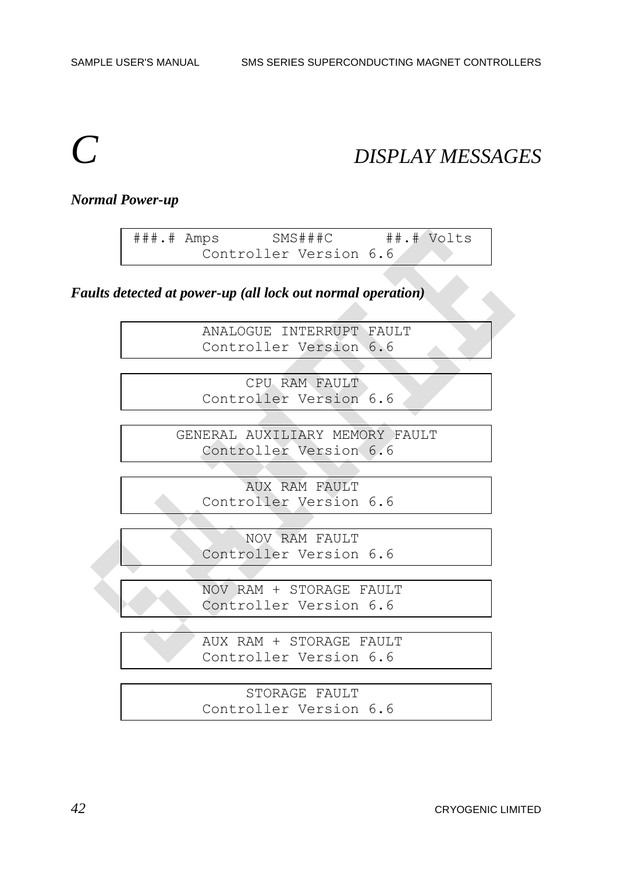# *C DISPLAY MESSAGES*

#### *Normal Power-up*

###.# Amps SMS###C ##.# Volts Controller Version 6.6

*Faults detected at power-up (all lock out normal operation)*

 ANALOGUE INTERRUPT FAULT Controller Version 6.6

> CPU RAM FAULT Controller Version 6.6

 GENERAL AUXILIARY MEMORY FAULT Controller Version 6.6

 AUX RAM FAULT Controller Version 6.6

 NOV RAM FAULT Controller Version 6.6

 NOV RAM + STORAGE FAULT Controller Version 6.6

 AUX RAM + STORAGE FAULT Controller Version 6.6

 STORAGE FAULT Controller Version 6.6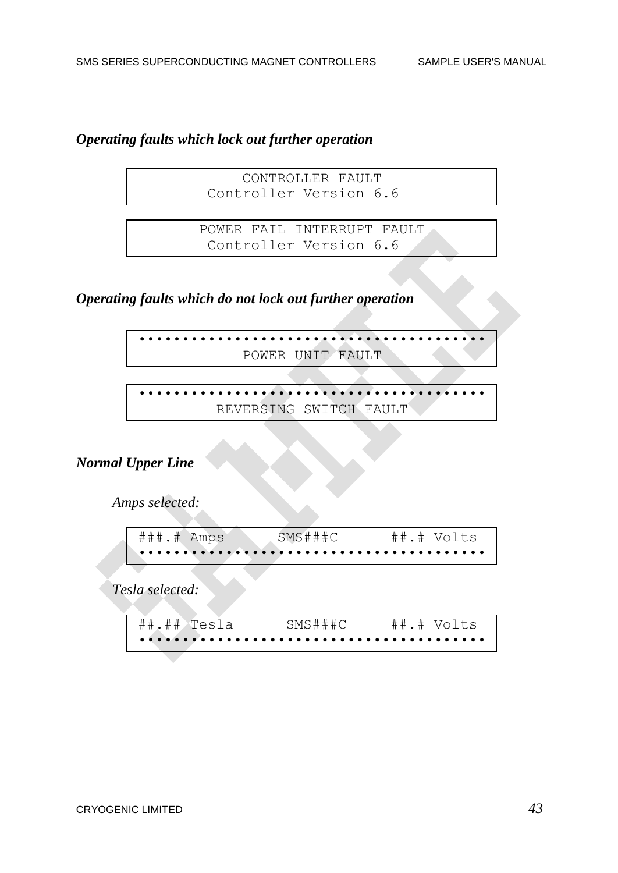### *Operating faults which lock out further operation*

 CONTROLLER FAULT Controller Version 6.6

 POWER FAIL INTERRUPT FAULT Controller Version 6.6

*Operating faults which do not lock out further operation*

•••••••••••••••••••••••••••••••••••••••• POWER UNIT FAULT

> •••••••••••••••••••••••••••••••••••••••• REVERSING SWITCH FAULT

### *Normal Upper Line*

 *Amps selected:*

| $\# \# \#$ . $\#$ Amps | SMS###C | $\#$ $\#$ . $\#$ Volts |
|------------------------|---------|------------------------|
|                        |         |                        |

 *Tesla selected:*

| ##.##>Tesla | SMS###C | $\#$ #.# Volts |
|-------------|---------|----------------|
|             |         |                |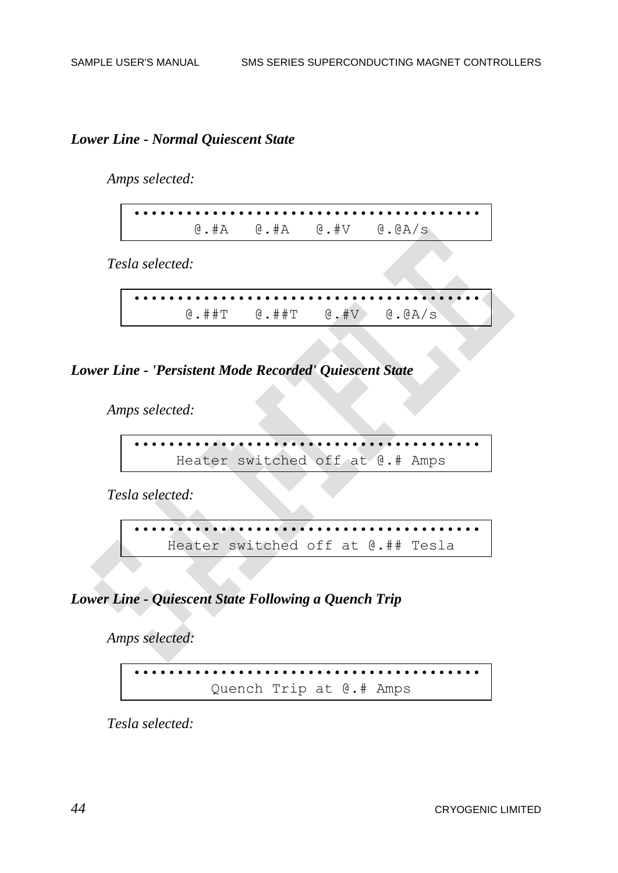#### *Lower Line - Normal Quiescent State*

 *Amps selected:*

•••••••••••••••••••••••••••••••••••••••• @.#A @.#A @.#V @.@A/s

 *Tesla selected:*

•••••••••••••••••••••••••••••••••••••••• @.##T @.##T @.#V @.@A/s

*Lower Line - 'Persistent Mode Recorded' Quiescent State*

 *Amps selected:*

•••••••••••••••••••••••••••••••••••••••• Heater switched off at @.# Amps

 *Tesla selected:*

•••••••••••••••••••••••••••••••••••••••• Heater switched off at @.## Tesla

### *Lower Line - Quiescent State Following a Quench Trip*

 *Amps selected:*

•••••••••••••••••••••••••••••••••••••••• Quench Trip at @.# Amps

 *Tesla selected:*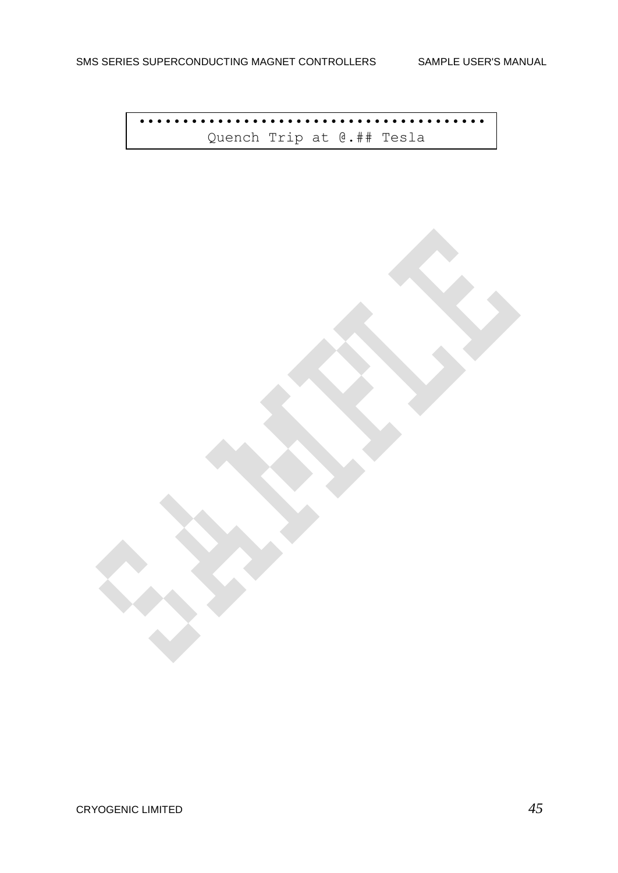•••••••••••••••••••••••••••••••••••••••• Quench Trip at @.## Tesla

CRYOGENIC LIMITED *45*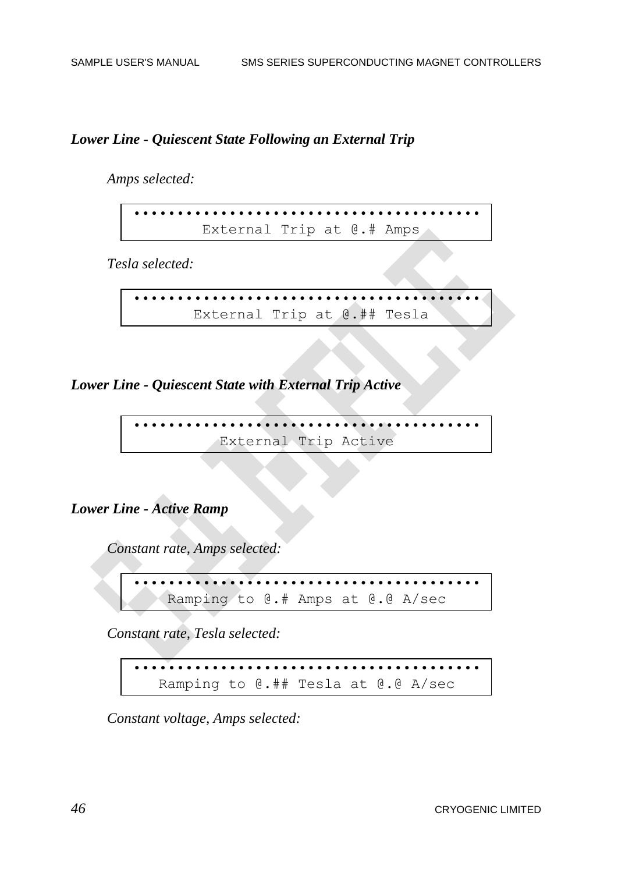#### *Lower Line - Quiescent State Following an External Trip*

 *Amps selected:*

•••••••••••••••••••••••••••••••••••••••• External Trip at @.# Amps

 *Tesla selected:*

•••••••••••••••••••••••••••••••••••••••• External Trip at @.## Tesla

*Lower Line - Quiescent State with External Trip Active*

•••••••••••••••••••••••••••••••••••••••• External Trip Active

### *Lower Line - Active Ramp*

 *Constant rate, Amps selected:*

•••••••••••••••••••••••••••••••••••••••• Ramping to @.# Amps at @.@ A/sec

 *Constant rate, Tesla selected:*

•••••••••••••••••••••••••••••••••••••••• Ramping to @.## Tesla at @.@ A/sec

 *Constant voltage, Amps selected:*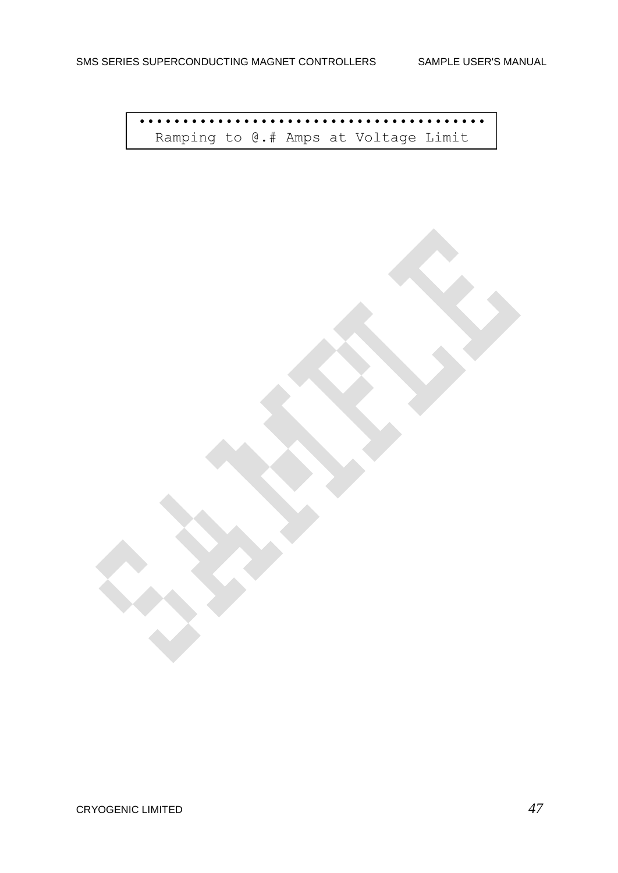•••••••••••••••••••••••••••••••••••••••• Ramping to @.# Amps at Voltage Limit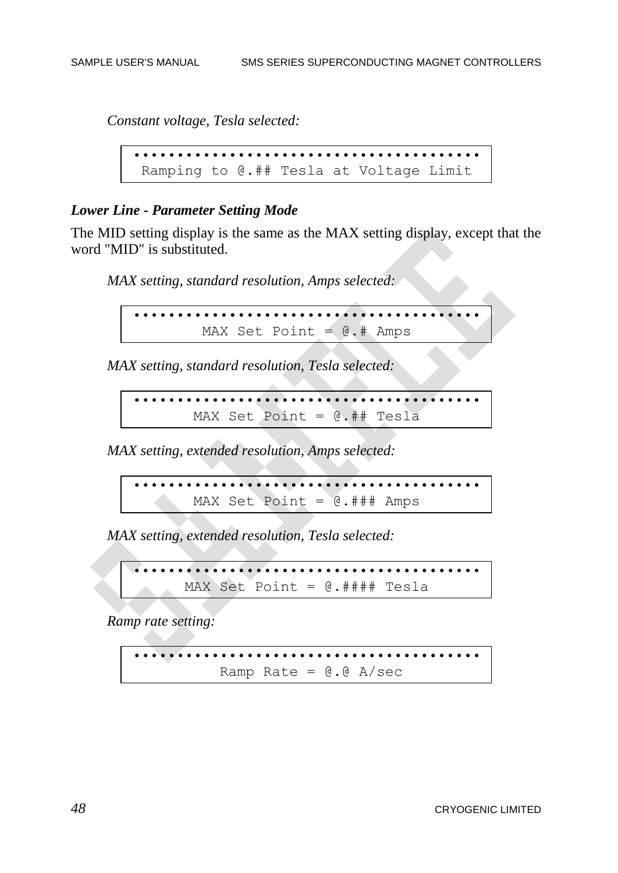*Constant voltage, Tesla selected:*

•••••••••••••••••••••••••••••••••••••••• Ramping to @.## Tesla at Voltage Limit

#### *Lower Line - Parameter Setting Mode*

The MID setting display is the same as the MAX setting display, except that the word "MID" is substituted.

 *MAX setting, standard resolution, Amps selected:*

•••••••••••••••••••••••••••••••••••••••• MAX Set Point  $= 0.4$  Amps

 *MAX setting, standard resolution, Tesla selected:*

•••••••••••••••••••••••••••••••••••••••• MAX Set Point = @.## Tesla

 *MAX setting, extended resolution, Amps selected:*

•••••••••••••••••••••••••••••••••••••••• MAX Set Point = @.### Amps

 *MAX setting, extended resolution, Tesla selected:*

•••••••••••••••••••••••••••••••••••••••• MAX Set Point = @.#### Tesla

 *Ramp rate setting:*

•••••••••••••••••••••••••••••••••••••••• Ramp Rate =  $0.0 A/sec$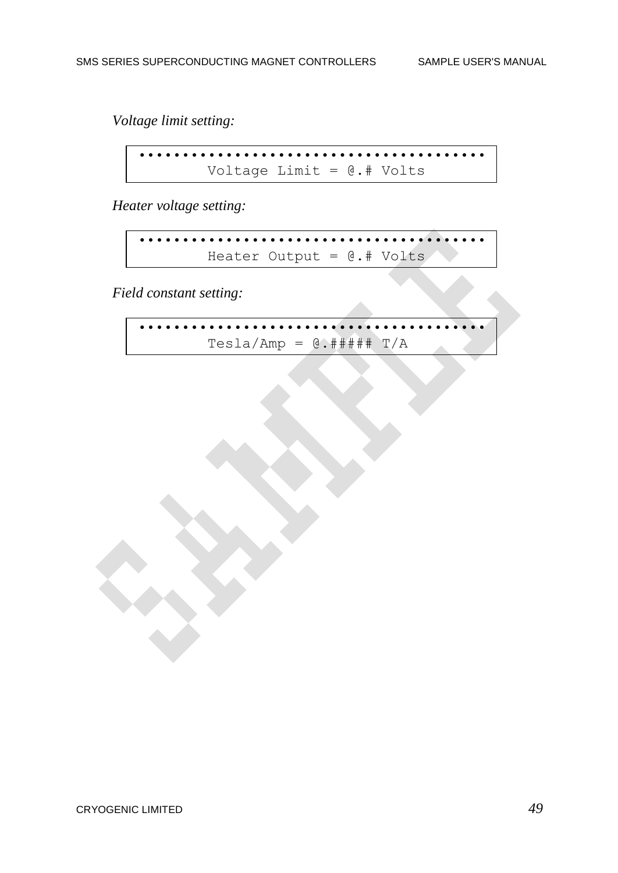*Voltage limit setting:*

•••••••••••••••••••••••••••••••••••••••• Voltage Limit = @.# Volts

 *Heater voltage setting:*

•••••••••••••••••••••••••••••••••••••••• Heater Output = @.# Volts

 *Field constant setting:*

$$
\texttt{resla/amp} = \texttt{C}.\texttt{\#}\texttt{\#}\texttt{\#} \texttt{T/A}
$$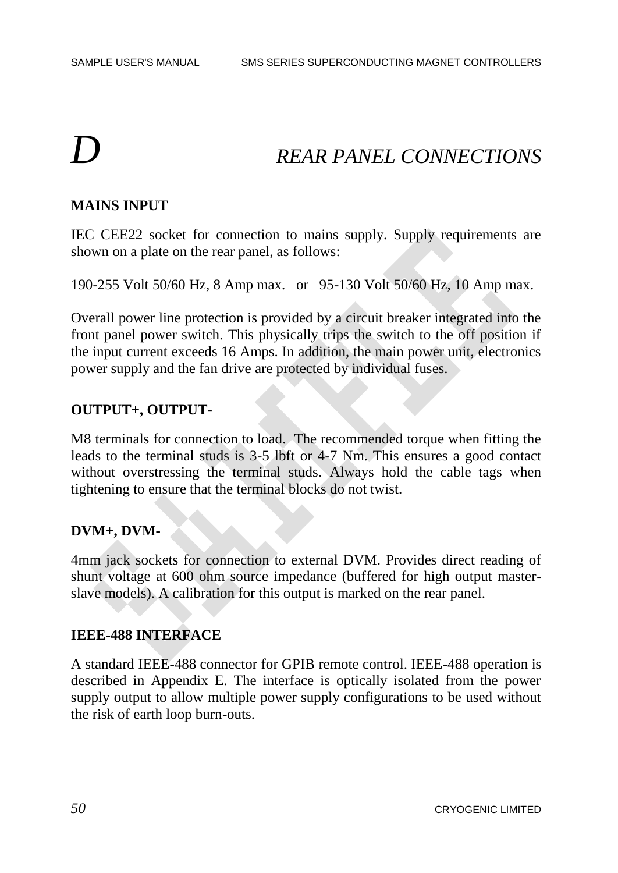# *D REAR PANEL CONNECTIONS*

### **MAINS INPUT**

IEC CEE22 socket for connection to mains supply. Supply requirements are shown on a plate on the rear panel, as follows:

190-255 Volt 50/60 Hz, 8 Amp max. or 95-130 Volt 50/60 Hz, 10 Amp max.

Overall power line protection is provided by a circuit breaker integrated into the front panel power switch. This physically trips the switch to the off position if the input current exceeds 16 Amps. In addition, the main power unit, electronics power supply and the fan drive are protected by individual fuses.

#### **OUTPUT+, OUTPUT-**

M8 terminals for connection to load. The recommended torque when fitting the leads to the terminal studs is 3-5 lbft or 4-7 Nm. This ensures a good contact without overstressing the terminal studs. Always hold the cable tags when tightening to ensure that the terminal blocks do not twist.

#### **DVM+, DVM-**

4mm jack sockets for connection to external DVM. Provides direct reading of shunt voltage at 600 ohm source impedance (buffered for high output masterslave models). A calibration for this output is marked on the rear panel.

#### **IEEE-488 INTERFACE**

A standard IEEE-488 connector for GPIB remote control. IEEE-488 operation is described in Appendix E. The interface is optically isolated from the power supply output to allow multiple power supply configurations to be used without the risk of earth loop burn-outs.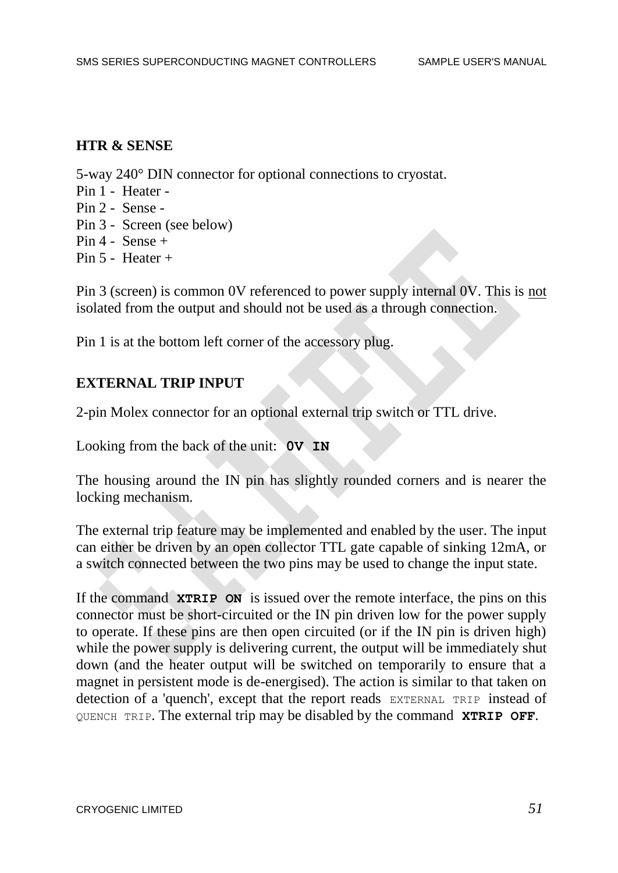#### **HTR & SENSE**

5-way 240° DIN connector for optional connections to cryostat.

- Pin 1 Heater -
- Pin 2 Sense -
- Pin 3 Screen (see below)
- Pin 4 Sense +
- Pin 5 Heater +

Pin 3 (screen) is common 0V referenced to power supply internal 0V. This is not isolated from the output and should not be used as a through connection.

Pin 1 is at the bottom left corner of the accessory plug.

### **EXTERNAL TRIP INPUT**

2-pin Molex connector for an optional external trip switch or TTL drive.

Looking from the back of the unit: **0V IN**

The housing around the IN pin has slightly rounded corners and is nearer the locking mechanism.

The external trip feature may be implemented and enabled by the user. The input can either be driven by an open collector TTL gate capable of sinking 12mA, or a switch connected between the two pins may be used to change the input state.

If the command **XTRIP ON** is issued over the remote interface, the pins on this connector must be short-circuited or the IN pin driven low for the power supply to operate. If these pins are then open circuited (or if the IN pin is driven high) while the power supply is delivering current, the output will be immediately shut down (and the heater output will be switched on temporarily to ensure that a magnet in persistent mode is de-energised). The action is similar to that taken on detection of a 'quench', except that the report reads EXTERNAL TRIP instead of QUENCH TRIP. The external trip may be disabled by the command **XTRIP OFF**.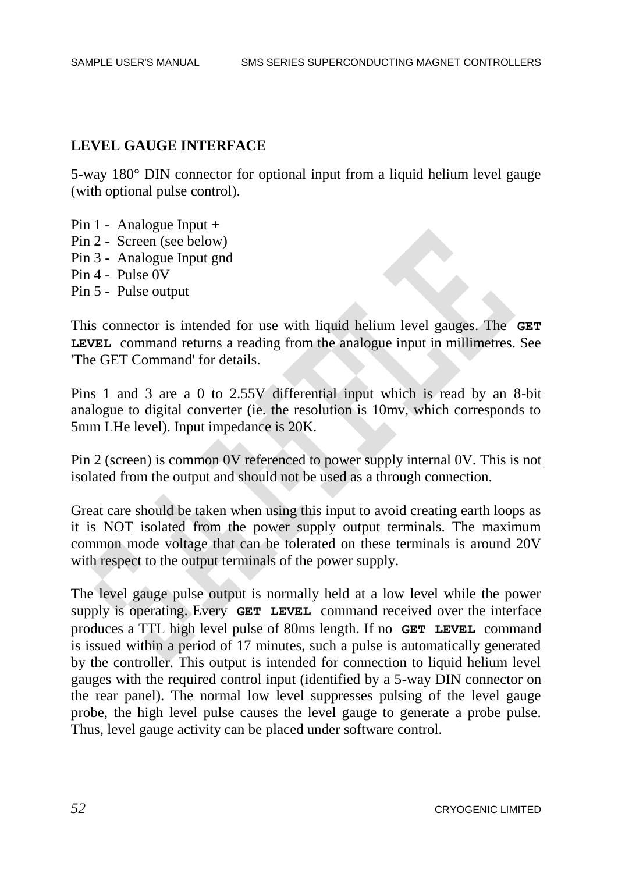#### **LEVEL GAUGE INTERFACE**

5-way 180° DIN connector for optional input from a liquid helium level gauge (with optional pulse control).

- Pin 1 Analogue Input +
- Pin 2 Screen (see below)
- Pin 3 Analogue Input gnd
- Pin 4 Pulse 0V
- Pin 5 Pulse output

This connector is intended for use with liquid helium level gauges. The **GET LEVEL** command returns a reading from the analogue input in millimetres. See 'The GET Command' for details.

Pins 1 and 3 are a 0 to 2.55V differential input which is read by an 8-bit analogue to digital converter (ie. the resolution is 10mv, which corresponds to 5mm LHe level). Input impedance is 20K.

Pin 2 (screen) is common 0V referenced to power supply internal 0V. This is not isolated from the output and should not be used as a through connection.

Great care should be taken when using this input to avoid creating earth loops as it is NOT isolated from the power supply output terminals. The maximum common mode voltage that can be tolerated on these terminals is around 20V with respect to the output terminals of the power supply.

The level gauge pulse output is normally held at a low level while the power supply is operating. Every **GET LEVEL** command received over the interface produces a TTL high level pulse of 80ms length. If no **GET LEVEL** command is issued within a period of 17 minutes, such a pulse is automatically generated by the controller. This output is intended for connection to liquid helium level gauges with the required control input (identified by a 5-way DIN connector on the rear panel). The normal low level suppresses pulsing of the level gauge probe, the high level pulse causes the level gauge to generate a probe pulse. Thus, level gauge activity can be placed under software control.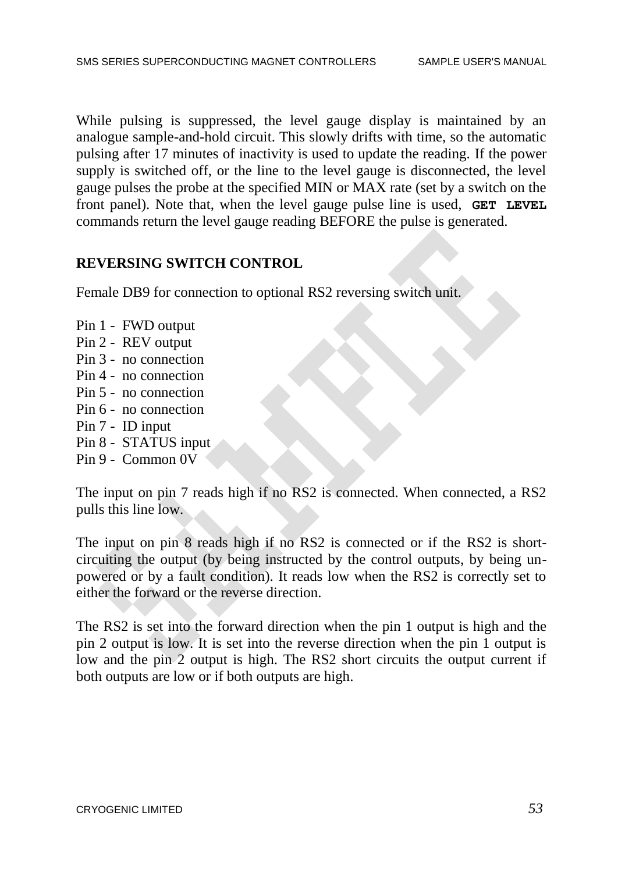While pulsing is suppressed, the level gauge display is maintained by an analogue sample-and-hold circuit. This slowly drifts with time, so the automatic pulsing after 17 minutes of inactivity is used to update the reading. If the power supply is switched off, or the line to the level gauge is disconnected, the level gauge pulses the probe at the specified MIN or MAX rate (set by a switch on the front panel). Note that, when the level gauge pulse line is used, **GET LEVEL**  commands return the level gauge reading BEFORE the pulse is generated.

### **REVERSING SWITCH CONTROL**

Female DB9 for connection to optional RS2 reversing switch unit.

- Pin 1 FWD output Pin 2 - REV output
- Pin 3 no connection
- Pin 4 no connection
- Pin 5 no connection
- Pin 6 no connection
- Pin 7 ID input
- Pin 8 STATUS input
- Pin 9 Common 0V

The input on pin 7 reads high if no RS2 is connected. When connected, a RS2 pulls this line low.

The input on pin 8 reads high if no RS2 is connected or if the RS2 is shortcircuiting the output (by being instructed by the control outputs, by being unpowered or by a fault condition). It reads low when the RS2 is correctly set to either the forward or the reverse direction.

The RS2 is set into the forward direction when the pin 1 output is high and the pin 2 output is low. It is set into the reverse direction when the pin 1 output is low and the pin 2 output is high. The RS2 short circuits the output current if both outputs are low or if both outputs are high.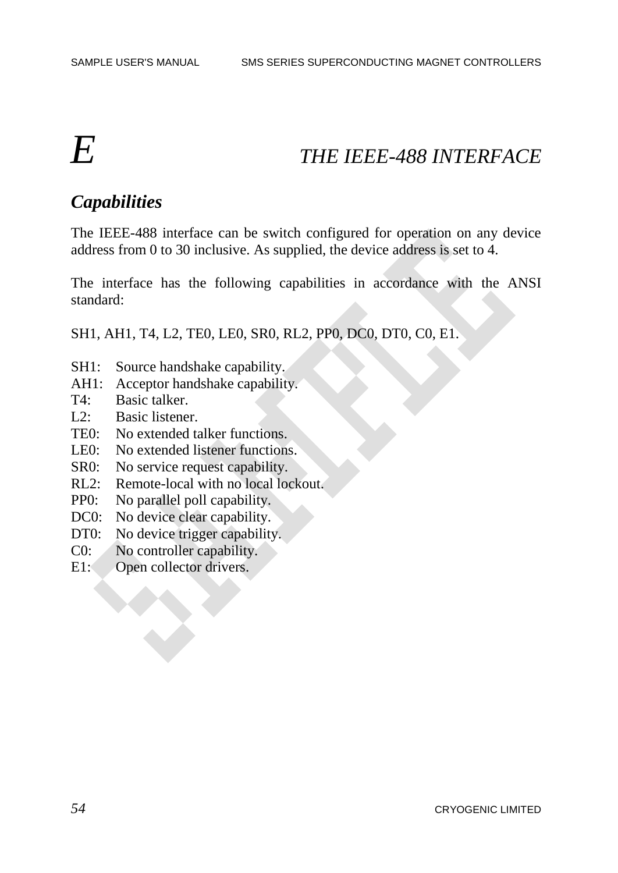# *E THE IEEE-488 INTERFACE*

# *Capabilities*

The IEEE-488 interface can be switch configured for operation on any device address from 0 to 30 inclusive. As supplied, the device address is set to 4.

The interface has the following capabilities in accordance with the ANSI standard:

SH1, AH1, T4, L2, TE0, LE0, SR0, RL2, PP0, DC0, DT0, C0, E1.

- SH1: Source handshake capability.
- AH1: Acceptor handshake capability.
- T4: Basic talker.
- L2: Basic listener.
- TE0: No extended talker functions.
- LE0: No extended listener functions.
- SR0: No service request capability.
- RL2: Remote-local with no local lockout.
- PP0: No parallel poll capability.
- DC0: No device clear capability.
- DT0: No device trigger capability.
- C0: No controller capability.
- E1: Open collector drivers.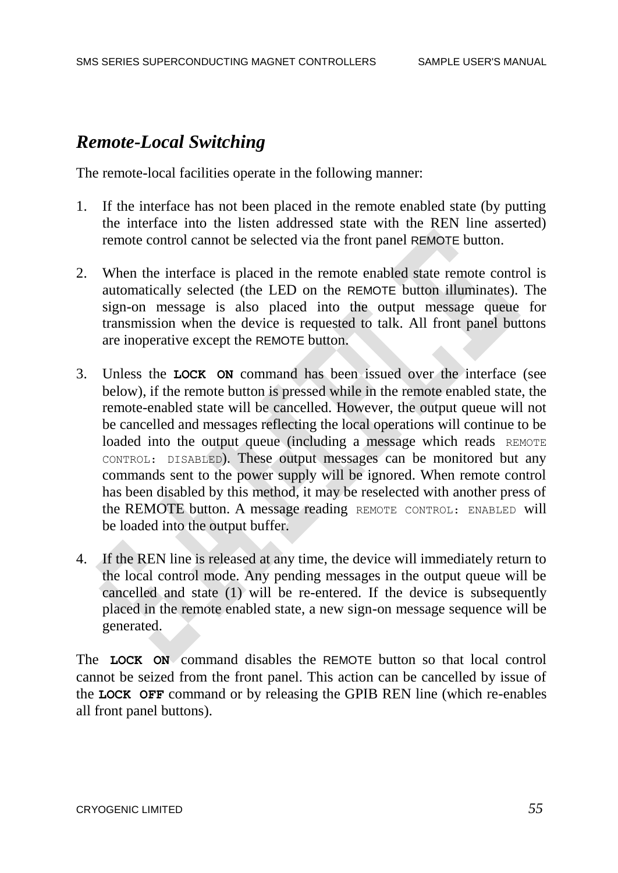# *Remote-Local Switching*

The remote-local facilities operate in the following manner:

- 1. If the interface has not been placed in the remote enabled state (by putting the interface into the listen addressed state with the REN line asserted) remote control cannot be selected via the front panel REMOTE button.
- 2. When the interface is placed in the remote enabled state remote control is automatically selected (the LED on the REMOTE button illuminates). The sign-on message is also placed into the output message queue for transmission when the device is requested to talk. All front panel buttons are inoperative except the REMOTE button.
- 3. Unless the **LOCK ON** command has been issued over the interface (see below), if the remote button is pressed while in the remote enabled state, the remote-enabled state will be cancelled. However, the output queue will not be cancelled and messages reflecting the local operations will continue to be loaded into the output queue (including a message which reads REMOTE CONTROL: DISABLED). These output messages can be monitored but any commands sent to the power supply will be ignored. When remote control has been disabled by this method, it may be reselected with another press of the REMOTE button. A message reading REMOTE CONTROL: ENABLED will be loaded into the output buffer.
- 4. If the REN line is released at any time, the device will immediately return to the local control mode. Any pending messages in the output queue will be cancelled and state (1) will be re-entered. If the device is subsequently placed in the remote enabled state, a new sign-on message sequence will be generated.

The **LOCK ON** command disables the REMOTE button so that local control cannot be seized from the front panel. This action can be cancelled by issue of the **LOCK OFF** command or by releasing the GPIB REN line (which re-enables all front panel buttons).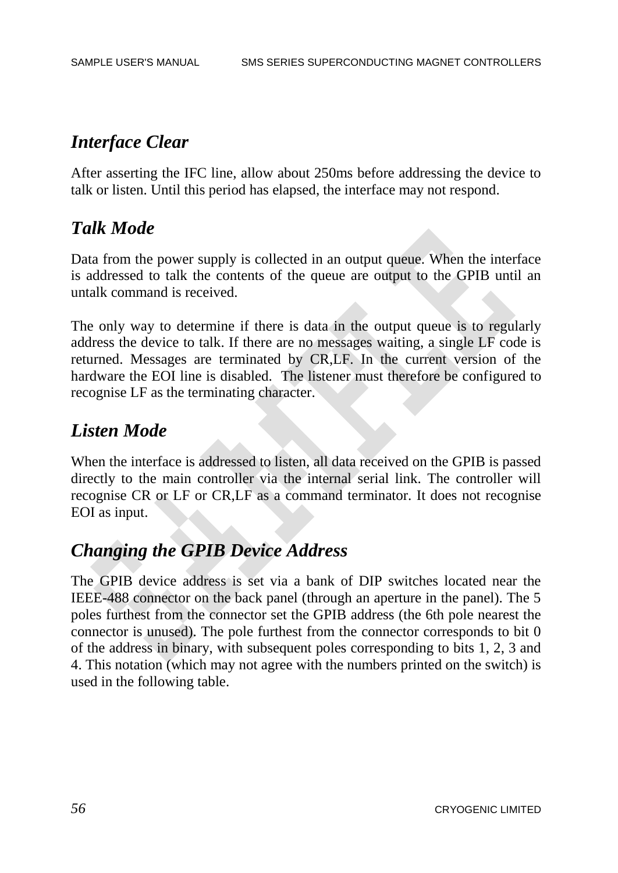# *Interface Clear*

After asserting the IFC line, allow about 250ms before addressing the device to talk or listen. Until this period has elapsed, the interface may not respond.

# *Talk Mode*

Data from the power supply is collected in an output queue. When the interface is addressed to talk the contents of the queue are output to the GPIB until an untalk command is received.

The only way to determine if there is data in the output queue is to regularly address the device to talk. If there are no messages waiting, a single LF code is returned. Messages are terminated by CR,LF. In the current version of the hardware the EOI line is disabled. The listener must therefore be configured to recognise LF as the terminating character.

# *Listen Mode*

When the interface is addressed to listen, all data received on the GPIB is passed directly to the main controller via the internal serial link. The controller will recognise CR or LF or CR,LF as a command terminator. It does not recognise EOI as input.

# *Changing the GPIB Device Address*

The GPIB device address is set via a bank of DIP switches located near the IEEE-488 connector on the back panel (through an aperture in the panel). The 5 poles furthest from the connector set the GPIB address (the 6th pole nearest the connector is unused). The pole furthest from the connector corresponds to bit 0 of the address in binary, with subsequent poles corresponding to bits 1, 2, 3 and 4. This notation (which may not agree with the numbers printed on the switch) is used in the following table.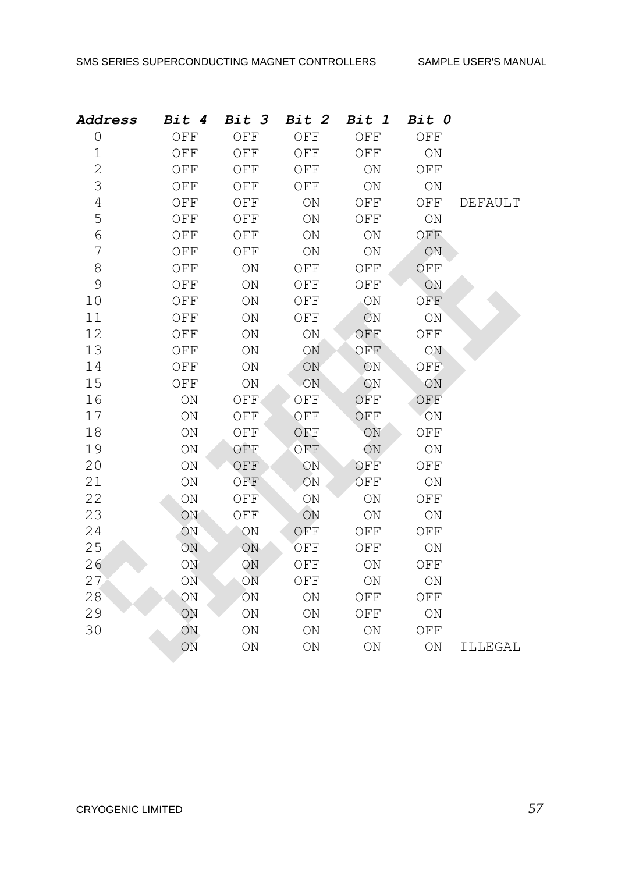| <b>Address</b> | Bit 4             | <b>Bit 3</b>      | Bit 2             | Bit 1              | Bit 0             |                |
|----------------|-------------------|-------------------|-------------------|--------------------|-------------------|----------------|
| $\overline{0}$ | OFF               | OFF               | OFF               | OFF                | OFF               |                |
| $\mathbf 1$    | OFF               | OFF               | OFF               | OFF                | $\mathop{\rm ON}$ |                |
| $\overline{2}$ | OFF               | OFF               | OFF               | ON                 | OFF               |                |
| 3              | OFF               | OFF               | OFF               | ON                 | ON                |                |
| $\overline{4}$ | OFF               | OFF               | ON                | OFF                | OFF               | <b>DEFAULT</b> |
| 5              | OFF               | OFF               | ON                | OFF                | $\mathop{\rm ON}$ |                |
| 6              | OFF               | OFF               | ON                | $\mathop{\rm ON}$  | OFF               |                |
| 7              | OFF               | OFF               | ON                | $\mathop{\rm ON}$  | ON.               |                |
| $8\,$          | OFF               | $\mathop{\rm ON}$ | OFF               | OFF                | OFF               |                |
| 9              | OFF               | $\mathop{\rm ON}$ | OFF               | OFF                | ON                |                |
| 10             | OFF               | $\mathop{\rm ON}$ | OFF               | ON                 | OFF               |                |
| 11             | OFF               | $\mathop{\rm ON}$ | OFF               | ON                 | $\mathop{\rm ON}$ |                |
| 12             | OFF               | ON                | ON                | OFF                | OFF               |                |
| 13             | OFF               | ON                | ON                | OFF                | ON                |                |
| 14             | OFF               | ON                | ON                | ON                 | OFF               |                |
| 15             | OFF               | $\mathop{\rm ON}$ | ON                | ON                 | ON                |                |
| 16             | $\mathop{\rm ON}$ | OFF               | OFF               | OFF                | OFF               |                |
| 17             | $\mathop{\rm ON}$ | OFF               | OFF               | OFF                | ON                |                |
| 18             | ON                | OFF               | OFF               | ON                 | OFF               |                |
| 19             | ON                | OFF               | OFF               | ON                 | $\mathop{\rm ON}$ |                |
| 20             | $\mathop{\rm ON}$ | OFF               | ON                | OFF                | OFF               |                |
| 21             | $\bigcirc$ N      | OFF               | ON                | OFF                | $\mathop{\rm ON}$ |                |
| 22             | ON                | OFF               | ON                | $\mathop{\rm ON}$  | OFF               |                |
| 23             | ON                | OFF               | ON                | ON                 | $\mathop{\rm ON}$ |                |
| 24             | ON                | ON                | OFF               | $\mathop{\rm OFF}$ | OFF               |                |
| 25             | ON                | ON                | OFF               | OFF                | ON                |                |
| 26             | ON                | ON                | OFF               | $\mathop{\rm ON}$  | OFF               |                |
| 27             | ON                | ON                | OFF               | $\mathop{\rm ON}$  | $\mathop{\rm ON}$ |                |
| 28             | $\mathop{\rm ON}$ | $\mathop{\rm ON}$ | $\mathop{\rm ON}$ | OFF                | ${\mathsf{OFF}}$  |                |
| 29             | ON                | $\mathop{\rm ON}$ | ON                | OFF                | $\mathop{\rm ON}$ |                |
| 30             | <b>ON</b>         | ON                | ON                | ON                 | OFF               |                |
|                | ON                | ON                | ON                | ON                 | ON                | ILLEGAL        |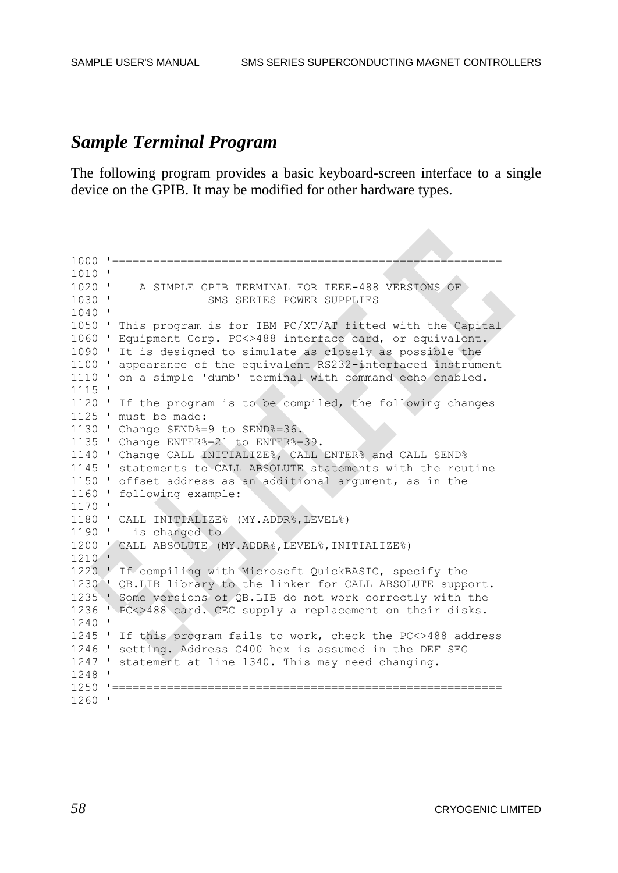# *Sample Terminal Program*

The following program provides a basic keyboard-screen interface to a single device on the GPIB. It may be modified for other hardware types.

```
1000 '=========================================================
1010 '
1020 ' A SIMPLE GPIB TERMINAL FOR IEEE-488 VERSIONS OF
1030 ' SMS SERIES POWER SUPPLIES
1040 '
1050 ' This program is for IBM PC/XT/AT fitted with the Capital
1060 ' Equipment Corp. PC<>488 interface card, or equivalent.
1090 ' It is designed to simulate as closely as possible the
1100 ' appearance of the equivalent RS232-interfaced instrument
1110 ' on a simple 'dumb' terminal with command echo enabled.
1115 '
1120 ' If the program is to be compiled, the following changes
1125 ' must be made:
1130 ' Change SEND%=9 to SEND%=36.
1135 ' Change ENTER%=21 to ENTER%=39.
1140 ' Change CALL INITIALIZE%, CALL ENTER% and CALL SEND%
1145 ' statements to CALL ABSOLUTE statements with the routine
1150 ' offset address as an additional argument, as in the
1160 ' following example:
1170 '
1180 ' CALL INITIALIZE% (MY.ADDR%,LEVEL%)
1190 ' is changed to
1200 ' CALL ABSOLUTE (MY.ADDR%,LEVEL%,INITIALIZE%)
1210 '
1220 ' If compiling with Microsoft QuickBASIC, specify the
1230 ' QB.LIB library to the linker for CALL ABSOLUTE support.
1235 ' Some versions of QB.LIB do not work correctly with the
1236 ' PC<>488 card. CEC supply a replacement on their disks.
1240 '
1245 ' If this program fails to work, check the PC<>488 address
1246 ' setting. Address C400 hex is assumed in the DEF SEG
1247 ' statement at line 1340. This may need changing.
1248 '
1250 '=========================================================
1260 '
```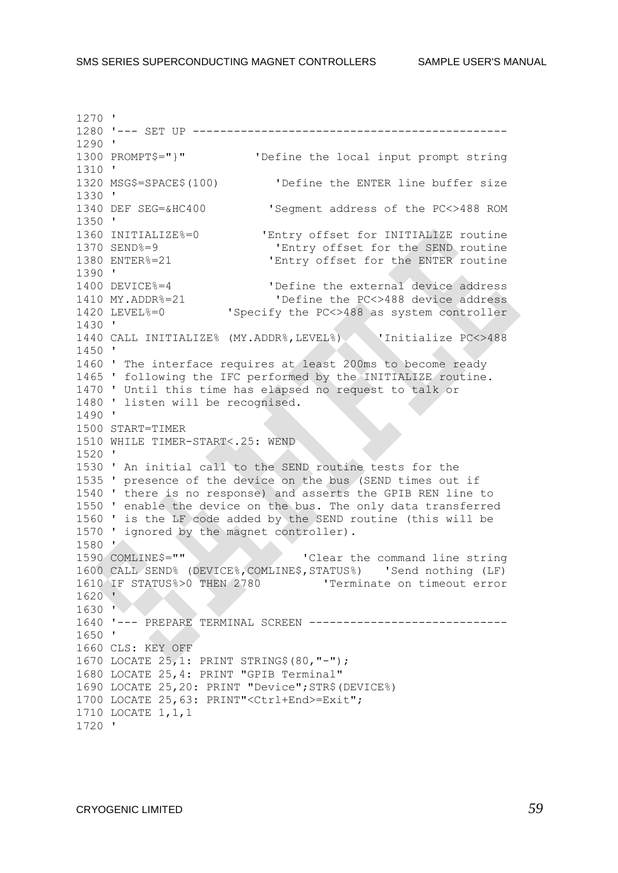1270 ' 1280 '--- SET UP ---------------------------------------------- 1290 ' 1300 PROMPT\$="}" 'Define the local input prompt string 1310 ' 1320 MSG\$=SPACE\$(100) 'Define the ENTER line buffer size 1330 ' 1340 DEF SEG=&HC400 'Segment address of the PC<>488 ROM 1350 ' 1360 INITIALIZE%=0 'Entry offset for INITIALIZE routine 1370 SEND%=9 'Entry offset for the SEND routine 1380 ENTER%=21 'Entry offset for the ENTER routine 1390 ' 1400 DEVICE%=4 'Define the external device address 1410 MY.ADDR%=21 'Define the PC<>488 device address 1420 LEVEL%=0 'Specify the PC<>488 as system controller 1430 ' 1440 CALL INITIALIZE% (MY.ADDR%,LEVEL%) 'Initialize PC<>488 1450 ' 1460 ' The interface requires at least 200ms to become ready 1465 ' following the IFC performed by the INITIALIZE routine. 1470 ' Until this time has elapsed no request to talk or 1480 ' listen will be recognised. 1490 ' 1500 START=TIMER 1510 WHILE TIMER-START<.25: WEND 1520 ' 1530 ' An initial call to the SEND routine tests for the 1535 ' presence of the device on the bus (SEND times out if 1540 ' there is no response) and asserts the GPIB REN line to 1550 ' enable the device on the bus. The only data transferred 1560 ' is the LF code added by the SEND routine (this will be 1570 ' ignored by the magnet controller). 1580 ' 1590 COMLINE\$="" 'Clear the command line string 1600 CALL SEND% (DEVICE%,COMLINE\$,STATUS%) 'Send nothing (LF) 1610 IF STATUS%>0 THEN 2780 'Terminate on timeout error 1620 ' 1630 ' 1640 '--- PREPARE TERMINAL SCREEN ----------------------------- 1650 ' 1660 CLS: KEY OFF 1670 LOCATE 25,1: PRINT STRING\$(80,"-"); 1680 LOCATE 25,4: PRINT "GPIB Terminal" 1690 LOCATE 25,20: PRINT "Device";STR\$(DEVICE%) 1700 LOCATE 25,63: PRINT"<Ctrl+End>=Exit"; 1710 LOCATE 1,1,1 1720 '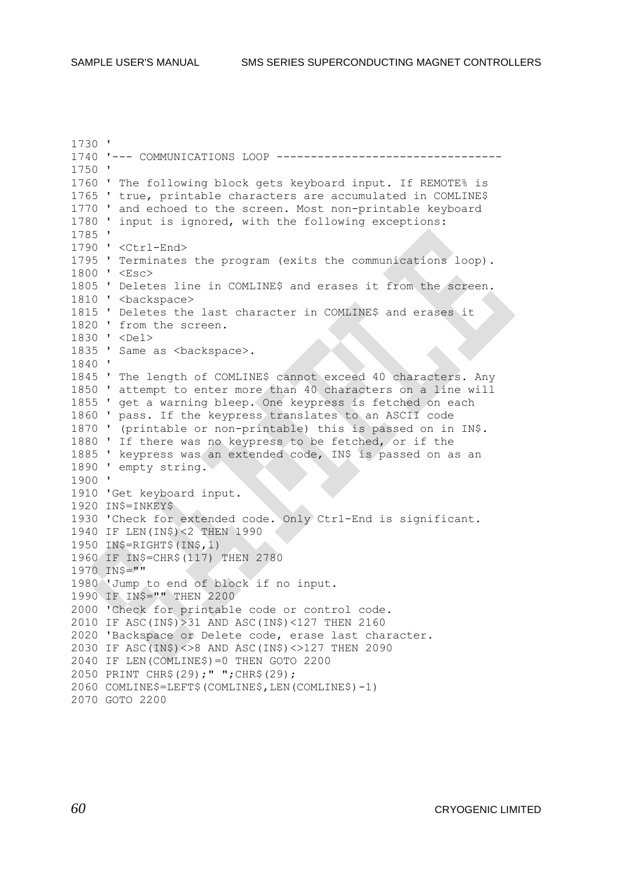1730 ' 1740 '--- COMMUNICATIONS LOOP --------------------------------- 1750 ' 1760 ' The following block gets keyboard input. If REMOTE% is 1765 ' true, printable characters are accumulated in COMLINE\$ 1770 ' and echoed to the screen. Most non-printable keyboard 1780 ' input is ignored, with the following exceptions: 1785 ' 1790 ' <Ctrl-End> 1795 ' Terminates the program (exits the communications loop). 1800 ' <Esc> 1805 ' Deletes line in COMLINE\$ and erases it from the screen. 1810 ' <br/>backspace> 1815 ' Deletes the last character in COMLINE\$ and erases it 1820 ' from the screen. 1830 ' <Del> 1835 ' Same as <br/>backspace>. 1840 ' 1845 ' The length of COMLINE\$ cannot exceed 40 characters. Any 1850 ' attempt to enter more than 40 characters on a line will 1855 ' get a warning bleep. One keypress is fetched on each 1860 ' pass. If the keypress translates to an ASCII code 1870 ' (printable or non-printable) this is passed on in IN\$. 1880 ' If there was no keypress to be fetched, or if the 1885 ' keypress was an extended code, IN\$ is passed on as an 1890 ' empty string. 1900 ' 1910 'Get keyboard input. 1920 IN\$=INKEY\$ 1930 'Check for extended code. Only Ctrl-End is significant. 1940 IF LEN(IN\$)<2 THEN 1990 1950 IN\$=RIGHT\$(IN\$,1) 1960 IF IN\$=CHR\$(117) THEN 2780 1970 IN\$="" 1980 'Jump to end of block if no input. 1990 IF IN\$="" THEN 2200 2000 'Check for printable code or control code. 2010 IF ASC(IN\$)>31 AND ASC(IN\$)<127 THEN 2160 2020 'Backspace or Delete code, erase last character. 2030 IF ASC(IN\$)<>8 AND ASC(IN\$)<>127 THEN 2090 2040 IF LEN(COMLINE\$)=0 THEN GOTO 2200 2050 PRINT CHR\$(29);" ";CHR\$(29); 2060 COMLINE\$=LEFT\$(COMLINE\$,LEN(COMLINE\$)-1) 2070 GOTO 2200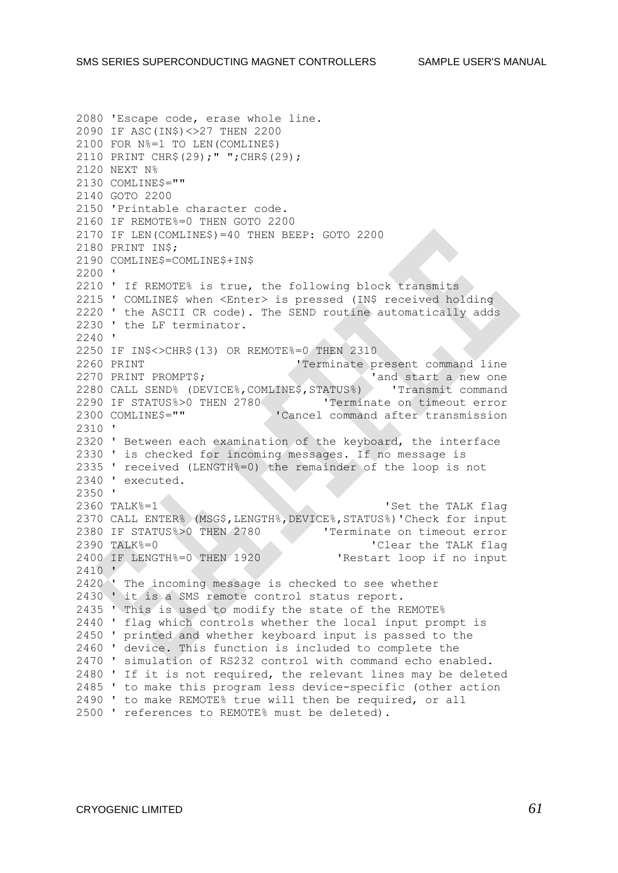2080 'Escape code, erase whole line. 2090 IF ASC(IN\$)<>27 THEN 2200 2100 FOR N%=1 TO LEN(COMLINE\$) 2110 PRINT CHR\$(29);" ";CHR\$(29); 2120 NEXT N% 2130 COMLINE\$="" 2140 GOTO 2200 2150 'Printable character code. 2160 IF REMOTE%=0 THEN GOTO 2200 2170 IF LEN(COMLINE\$)=40 THEN BEEP: GOTO 2200 2180 PRINT IN\$; 2190 COMLINE\$=COMLINE\$+IN\$ 2200 ' 2210 ' If REMOTE% is true, the following block transmits 2215 ' COMLINE\$ when <Enter> is pressed (IN\$ received holding 2220 ' the ASCII CR code). The SEND routine automatically adds 2230 ' the LF terminator. 2240 ' 2250 IF IN\$<>CHR\$(13) OR REMOTE%=0 THEN 2310 2260 PRINT 'Terminate present command line 2270 PRINT PROMPT\$;  $\overline{\phantom{a}}$  and start a new one 2280 CALL SEND% (DEVICE%,COMLINE\$,STATUS%) 'Transmit command 2290 IF STATUS%>0 THEN 2780 'Terminate on timeout error 2300 COMLINE\$="" 'Cancel command after transmission 2310 ' 2320 ' Between each examination of the keyboard, the interface 2330 ' is checked for incoming messages. If no message is 2335 ' received (LENGTH%=0) the remainder of the loop is not 2340 ' executed. 2350 '<br>2360 TALK%=1 'Set the TALK flag 2370 CALL ENTER% (MSG\$,LENGTH%,DEVICE%,STATUS%)'Check for input 2380 IF STATUS%>0 THEN 2780 'Terminate on timeout error 2390 TALK%=0 'Clear the TALK flag 2400 IF LENGTH%=0 THEN 1920 'Restart loop if no input 2410 ' 2420 ' The incoming message is checked to see whether 2430 ' it is a SMS remote control status report. 2435 ' This is used to modify the state of the REMOTE% 2440 ' flag which controls whether the local input prompt is 2450 ' printed and whether keyboard input is passed to the 2460 ' device. This function is included to complete the 2470 ' simulation of RS232 control with command echo enabled. 2480 ' If it is not required, the relevant lines may be deleted 2485 ' to make this program less device-specific (other action 2490 ' to make REMOTE% true will then be required, or all 2500 ' references to REMOTE% must be deleted).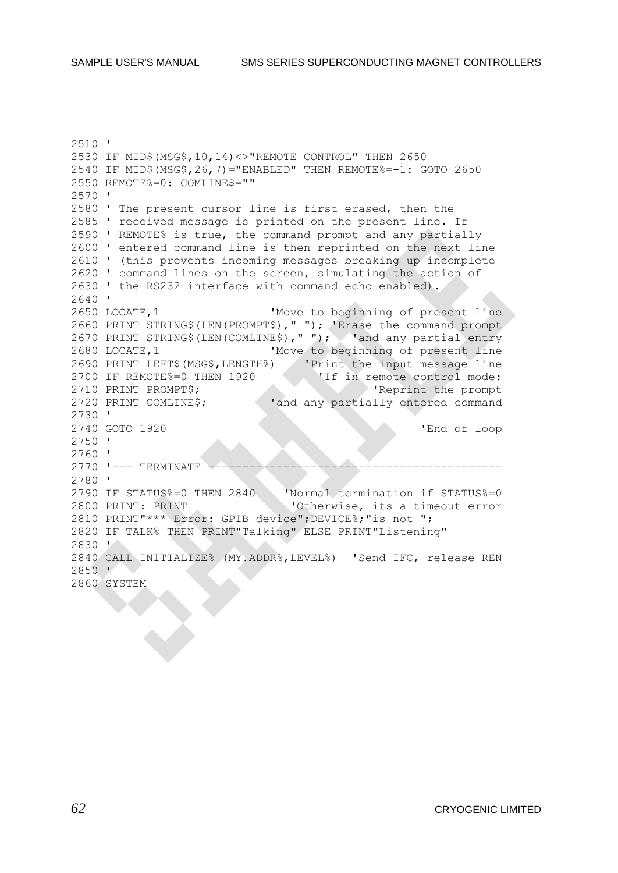2510 ' 2530 IF MID\$(MSG\$,10,14)<>"REMOTE CONTROL" THEN 2650 2540 IF MID\$(MSG\$,26,7)="ENABLED" THEN REMOTE%=-1: GOTO 2650 2550 REMOTE%=0: COMLINE\$="" 2570 ' 2580 ' The present cursor line is first erased, then the 2585 ' received message is printed on the present line. If 2590 ' REMOTE% is true, the command prompt and any partially 2600 ' entered command line is then reprinted on the next line 2610 ' (this prevents incoming messages breaking up incomplete 2620 ' command lines on the screen, simulating the action of 2630 ' the RS232 interface with command echo enabled). 2640 ' 2650 LOCATE,1 'Move to beginning of present line 2660 PRINT STRING\$(LEN(PROMPT\$)," "); 'Erase the command prompt 2600 ININI SINING (LEN(COMLINE\$), " "); 'and any partial entry 2680 LOCATE,1 'Move to beginning of present line 2690 PRINT LEFT\$(MSG\$,LENGTH%) 'Print the input message line 2700 IF REMOTE%=0 THEN 1920 'If in remote control mode: 2710 PRINT PROMPT\$; 'Reprint the prompt 2720 PRINT COMLINE\$; 'and any partially entered command 2730 ' 2740 GOTO 1920 'End of loop 2750 ' 2760 ' 2770 '--- TERMINATE ------------------------------------------- 2780 ' 2790 IF STATUS%=0 THEN 2840 'Normal termination if STATUS%=0 2800 PRINT: PRINT 'Otherwise, its a timeout error 2810 PRINT"\*\*\* Error: GPIB device";DEVICE%;"is not "; 2820 IF TALK% THEN PRINT"Talking" ELSE PRINT"Listening" 2830 ' 2840 CALL INITIALIZE% (MY.ADDR%,LEVEL%) 'Send IFC, release REN 2850 ' 2860 SYSTEM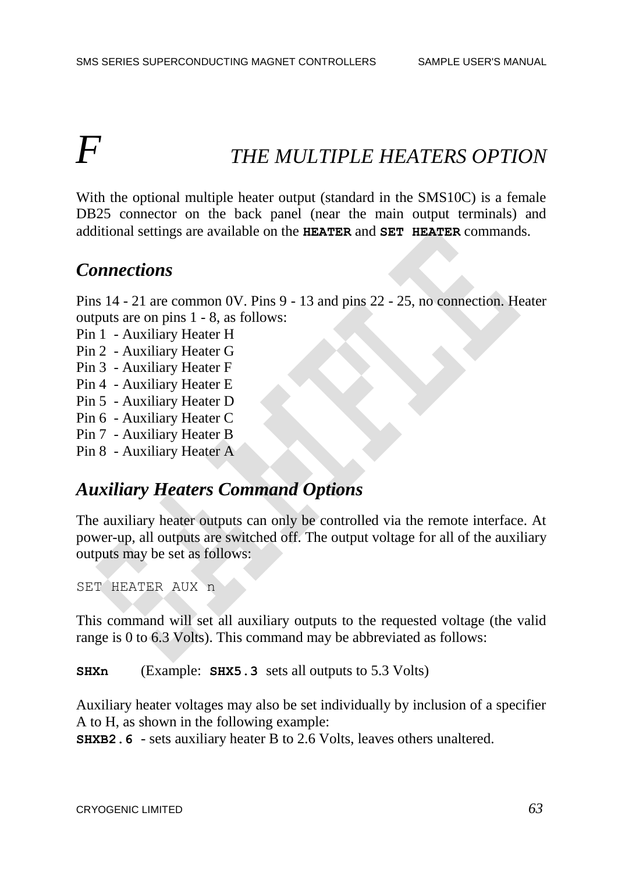# *F THE MULTIPLE HEATERS OPTION*

With the optional multiple heater output (standard in the SMS10C) is a female DB25 connector on the back panel (near the main output terminals) and additional settings are available on the **HEATER** and **SET HEATER** commands.

# *Connections*

Pins 14 - 21 are common 0V. Pins 9 - 13 and pins 22 - 25, no connection. Heater outputs are on pins 1 - 8, as follows:

Pin 1 - Auxiliary Heater H

Pin 2 - Auxiliary Heater G

- Pin 3 Auxiliary Heater F
- Pin 4 Auxiliary Heater E
- Pin 5 Auxiliary Heater D
- Pin 6 Auxiliary Heater C
- Pin 7 Auxiliary Heater B

Pin 8 - Auxiliary Heater A

# *Auxiliary Heaters Command Options*

The auxiliary heater outputs can only be controlled via the remote interface. At power-up, all outputs are switched off. The output voltage for all of the auxiliary outputs may be set as follows:

SET HEATER AUX n

This command will set all auxiliary outputs to the requested voltage (the valid range is 0 to 6.3 Volts). This command may be abbreviated as follows:

**SHXn** (Example: **SHX5.3** sets all outputs to 5.3 Volts)

Auxiliary heater voltages may also be set individually by inclusion of a specifier A to H, as shown in the following example:

**SHXB2.6** - sets auxiliary heater B to 2.6 Volts, leaves others unaltered.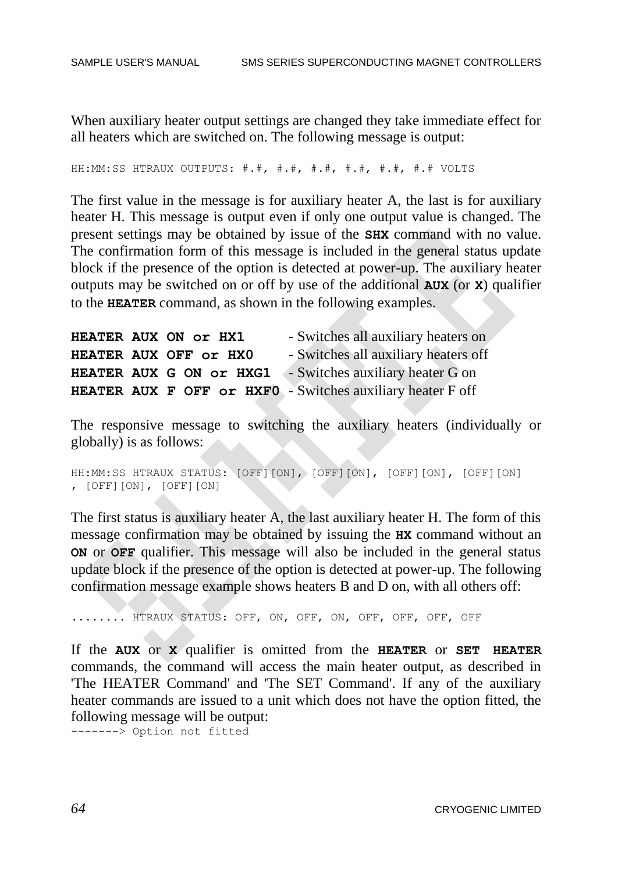When auxiliary heater output settings are changed they take immediate effect for all heaters which are switched on. The following message is output:

HH:MM:SS HTRAUX OUTPUTS: #.#, #.#, #.#, #.#, #.#, #.# VOLTS

The first value in the message is for auxiliary heater A, the last is for auxiliary heater H. This message is output even if only one output value is changed. The present settings may be obtained by issue of the **SHX** command with no value. The confirmation form of this message is included in the general status update block if the presence of the option is detected at power-up. The auxiliary heater outputs may be switched on or off by use of the additional **AUX** (or **X**) qualifier to the **HEATER** command, as shown in the following examples.

| HEATER AUX ON Or HX1                                       | - Switches all auxiliary heaters on  |
|------------------------------------------------------------|--------------------------------------|
| HEATER AUX OFF Or HXO                                      | - Switches all auxiliary heaters off |
| HEATER AUX G ON Or HXG1 - Switches auxiliary heater G on   |                                      |
| HEATER AUX F OFF Or HXFO - Switches auxiliary heater F off |                                      |

The responsive message to switching the auxiliary heaters (individually or globally) is as follows:

```
HH:MM:SS HTRAUX STATUS: [OFF][ON], [OFF][ON], [OFF][ON], [OFF][ON]
, [OFF][ON], [OFF][ON]
```
The first status is auxiliary heater A, the last auxiliary heater H. The form of this message confirmation may be obtained by issuing the **HX** command without an **ON** or **OFF** qualifier. This message will also be included in the general status update block if the presence of the option is detected at power-up. The following confirmation message example shows heaters B and D on, with all others off:

```
........ HTRAUX STATUS: OFF, ON, OFF, ON, OFF, OFF, OFF, OFF
```
If the **AUX** or **X** qualifier is omitted from the **HEATER** or **SET HEATER** commands, the command will access the main heater output, as described in 'The HEATER Command' and 'The SET Command'. If any of the auxiliary heater commands are issued to a unit which does not have the option fitted, the following message will be output:

-------> Option not fitted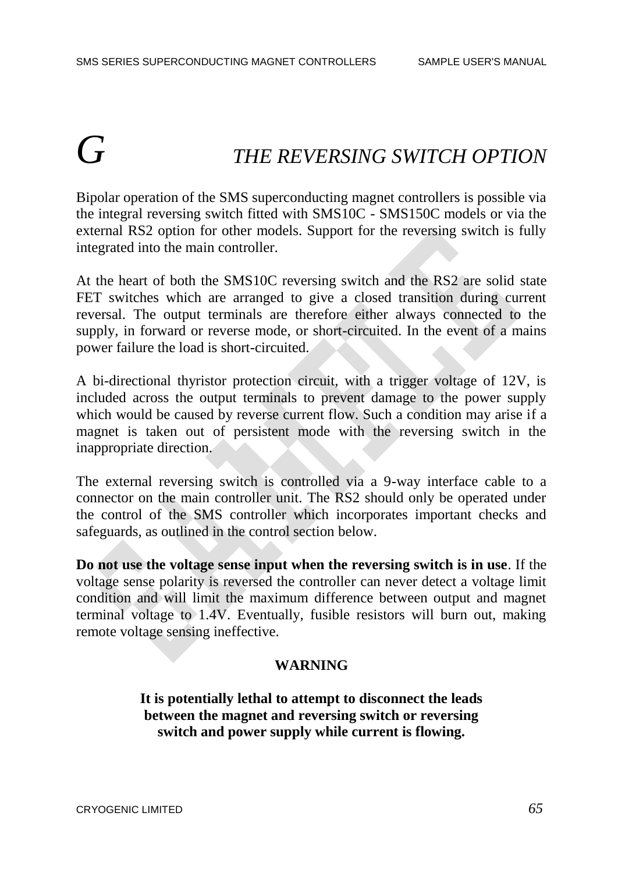# *G THE REVERSING SWITCH OPTION*

Bipolar operation of the SMS superconducting magnet controllers is possible via the integral reversing switch fitted with SMS10C - SMS150C models or via the external RS2 option for other models. Support for the reversing switch is fully integrated into the main controller.

At the heart of both the SMS10C reversing switch and the RS2 are solid state FET switches which are arranged to give a closed transition during current reversal. The output terminals are therefore either always connected to the supply, in forward or reverse mode, or short-circuited. In the event of a mains power failure the load is short-circuited.

A bi-directional thyristor protection circuit, with a trigger voltage of 12V, is included across the output terminals to prevent damage to the power supply which would be caused by reverse current flow. Such a condition may arise if a magnet is taken out of persistent mode with the reversing switch in the inappropriate direction.

The external reversing switch is controlled via a 9-way interface cable to a connector on the main controller unit. The RS2 should only be operated under the control of the SMS controller which incorporates important checks and safeguards, as outlined in the control section below.

**Do not use the voltage sense input when the reversing switch is in use**. If the voltage sense polarity is reversed the controller can never detect a voltage limit condition and will limit the maximum difference between output and magnet terminal voltage to 1.4V. Eventually, fusible resistors will burn out, making remote voltage sensing ineffective.

#### **WARNING**

**It is potentially lethal to attempt to disconnect the leads between the magnet and reversing switch or reversing switch and power supply while current is flowing.**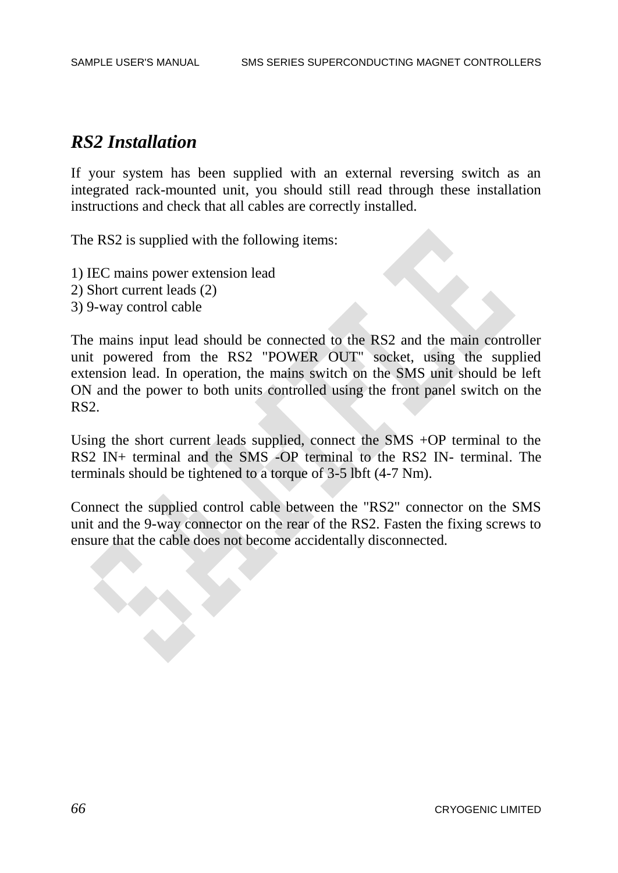# *RS2 Installation*

If your system has been supplied with an external reversing switch as an integrated rack-mounted unit, you should still read through these installation instructions and check that all cables are correctly installed.

The RS2 is supplied with the following items:

- 1) IEC mains power extension lead
- 2) Short current leads (2)
- 3) 9-way control cable

The mains input lead should be connected to the RS2 and the main controller unit powered from the RS2 "POWER OUT" socket, using the supplied extension lead. In operation, the mains switch on the SMS unit should be left ON and the power to both units controlled using the front panel switch on the RS2.

Using the short current leads supplied, connect the SMS +OP terminal to the RS2 IN+ terminal and the SMS -OP terminal to the RS2 IN- terminal. The terminals should be tightened to a torque of 3-5 lbft (4-7 Nm).

Connect the supplied control cable between the "RS2" connector on the SMS unit and the 9-way connector on the rear of the RS2. Fasten the fixing screws to ensure that the cable does not become accidentally disconnected.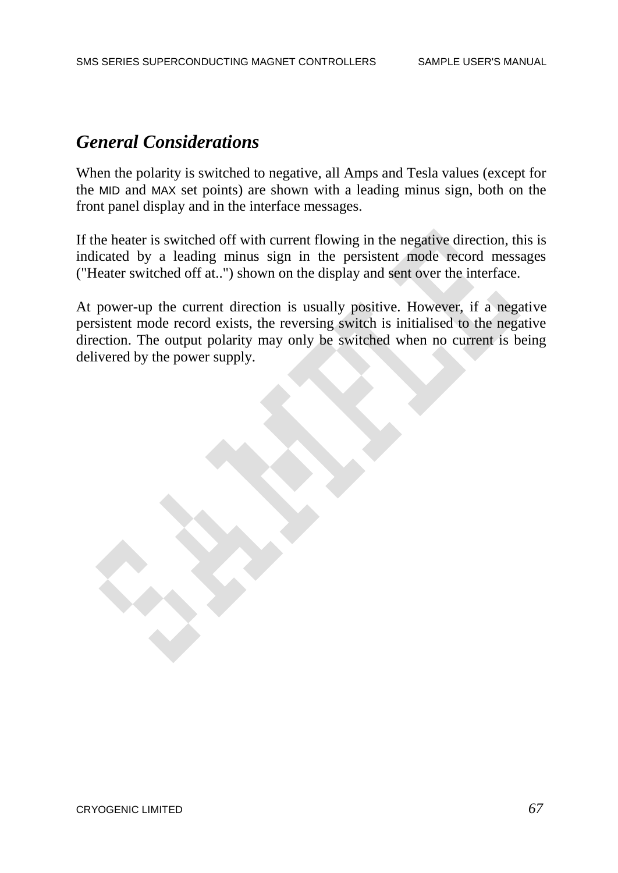# *General Considerations*

When the polarity is switched to negative, all Amps and Tesla values (except for the MID and MAX set points) are shown with a leading minus sign, both on the front panel display and in the interface messages.

If the heater is switched off with current flowing in the negative direction, this is indicated by a leading minus sign in the persistent mode record messages ("Heater switched off at..") shown on the display and sent over the interface.

At power-up the current direction is usually positive. However, if a negative persistent mode record exists, the reversing switch is initialised to the negative direction. The output polarity may only be switched when no current is being delivered by the power supply.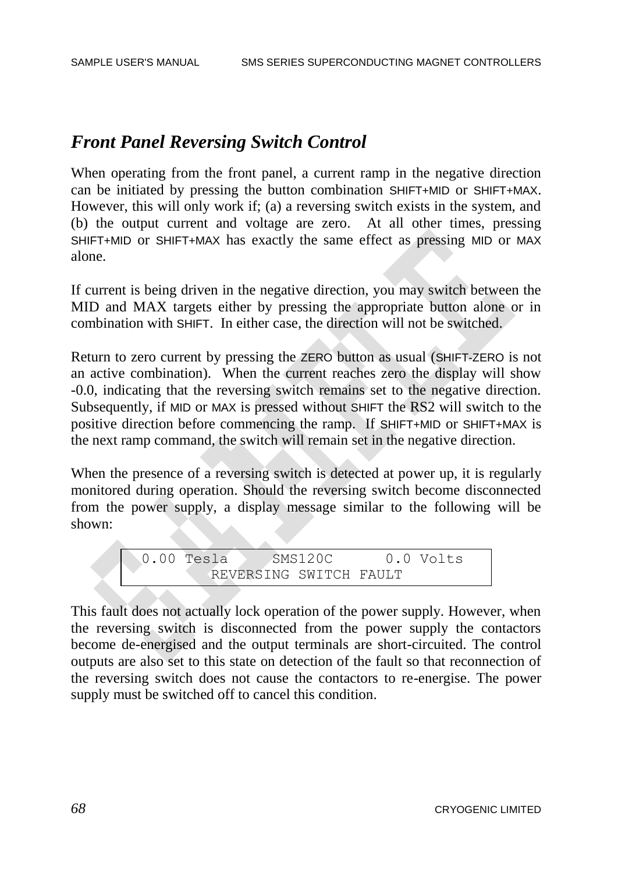# *Front Panel Reversing Switch Control*

When operating from the front panel, a current ramp in the negative direction can be initiated by pressing the button combination SHIFT+MID or SHIFT+MAX. However, this will only work if; (a) a reversing switch exists in the system, and (b) the output current and voltage are zero. At all other times, pressing SHIFT+MID or SHIFT+MAX has exactly the same effect as pressing MID or MAX alone.

If current is being driven in the negative direction, you may switch between the MID and MAX targets either by pressing the appropriate button alone or in combination with SHIFT. In either case, the direction will not be switched.

Return to zero current by pressing the ZERO button as usual (SHIFT-ZERO is not an active combination). When the current reaches zero the display will show -0.0, indicating that the reversing switch remains set to the negative direction. Subsequently, if MID or MAX is pressed without SHIFT the RS2 will switch to the positive direction before commencing the ramp. If SHIFT+MID or SHIFT+MAX is the next ramp command, the switch will remain set in the negative direction.

When the presence of a reversing switch is detected at power up, it is regularly monitored during operation. Should the reversing switch become disconnected from the power supply, a display message similar to the following will be shown:

 0.00 Tesla SMS120C 0.0 Volts REVERSING SWITCH FAULT

This fault does not actually lock operation of the power supply. However, when the reversing switch is disconnected from the power supply the contactors become de-energised and the output terminals are short-circuited. The control outputs are also set to this state on detection of the fault so that reconnection of the reversing switch does not cause the contactors to re-energise. The power supply must be switched off to cancel this condition.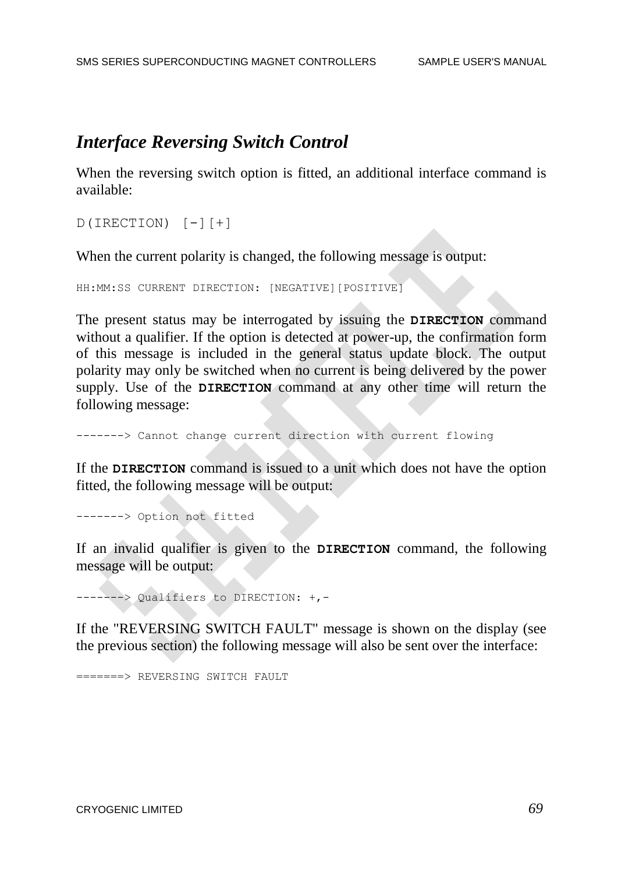# *Interface Reversing Switch Control*

When the reversing switch option is fitted, an additional interface command is available:

```
D(IRECTION) [-11]
```
When the current polarity is changed, the following message is output:

```
HH:MM:SS CURRENT DIRECTION: [NEGATIVE][POSITIVE]
```
The present status may be interrogated by issuing the **DIRECTION** command without a qualifier. If the option is detected at power-up, the confirmation form of this message is included in the general status update block. The output polarity may only be switched when no current is being delivered by the power supply. Use of the **DIRECTION** command at any other time will return the following message:

-------> Cannot change current direction with current flowing

If the **DIRECTION** command is issued to a unit which does not have the option fitted, the following message will be output:

-------> Option not fitted

If an invalid qualifier is given to the **DIRECTION** command, the following message will be output:

-------> Qualifiers to DIRECTION: +,-

If the "REVERSING SWITCH FAULT" message is shown on the display (see the previous section) the following message will also be sent over the interface:

=======> REVERSING SWITCH FAULT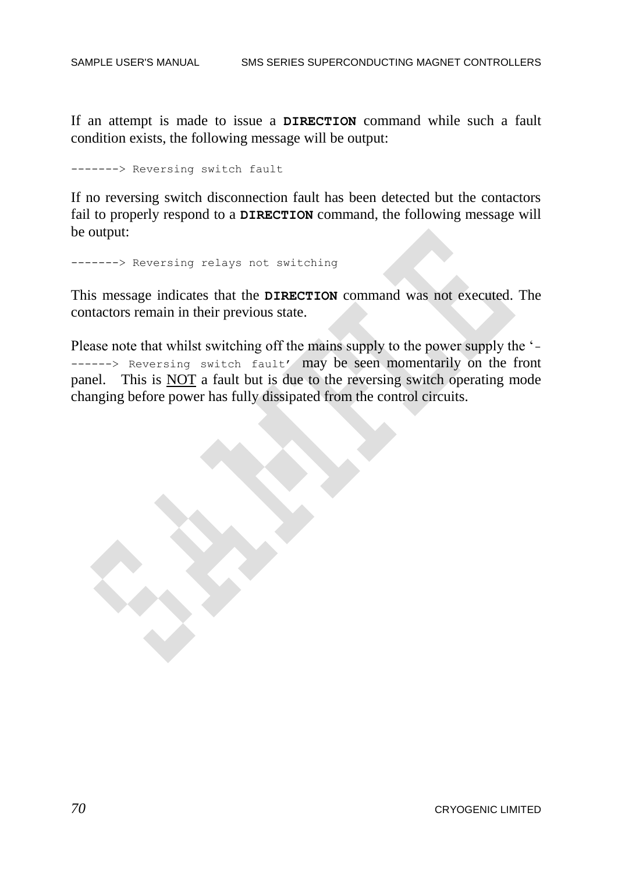If an attempt is made to issue a **DIRECTION** command while such a fault condition exists, the following message will be output:

-------> Reversing switch fault

If no reversing switch disconnection fault has been detected but the contactors fail to properly respond to a **DIRECTION** command, the following message will be output:

-------> Reversing relays not switching

This message indicates that the **DIRECTION** command was not executed. The contactors remain in their previous state.

Please note that whilst switching off the mains supply to the power supply the '- ------> Reversing switch fault' may be seen momentarily on the front panel. This is NOT a fault but is due to the reversing switch operating mode changing before power has fully dissipated from the control circuits.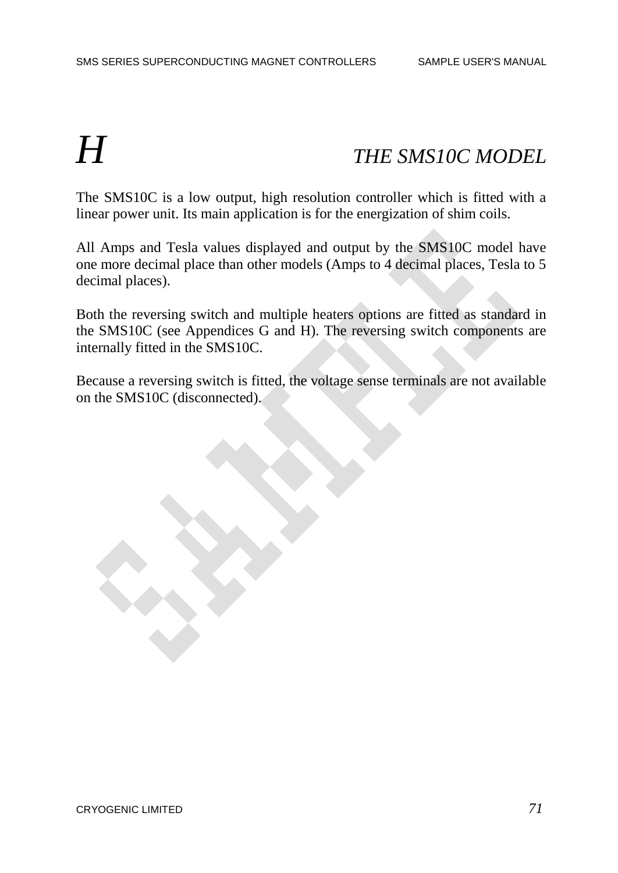## *H THE SMS10C MODEL*

The SMS10C is a low output, high resolution controller which is fitted with a linear power unit. Its main application is for the energization of shim coils.

All Amps and Tesla values displayed and output by the SMS10C model have one more decimal place than other models (Amps to 4 decimal places, Tesla to 5 decimal places).

Both the reversing switch and multiple heaters options are fitted as standard in the SMS10C (see Appendices G and H). The reversing switch components are internally fitted in the SMS10C.

Because a reversing switch is fitted, the voltage sense terminals are not available on the SMS10C (disconnected).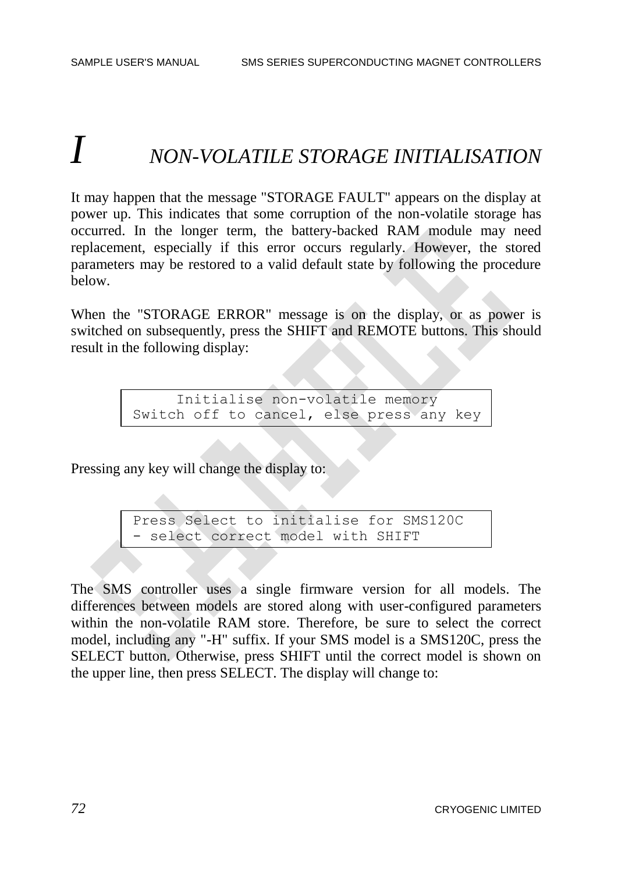# *I NON-VOLATILE STORAGE INITIALISATION*

It may happen that the message "STORAGE FAULT" appears on the display at power up. This indicates that some corruption of the non-volatile storage has occurred. In the longer term, the battery-backed RAM module may need replacement, especially if this error occurs regularly. However, the stored parameters may be restored to a valid default state by following the procedure below.

When the "STORAGE ERROR" message is on the display, or as power is switched on subsequently, press the SHIFT and REMOTE buttons. This should result in the following display:

> Initialise non-volatile memory Switch off to cancel, else press any key

Pressing any key will change the display to:

Press Select to initialise for SMS120C - select correct model with SHIFT

The SMS controller uses a single firmware version for all models. The differences between models are stored along with user-configured parameters within the non-volatile RAM store. Therefore, be sure to select the correct model, including any "-H" suffix. If your SMS model is a SMS120C, press the SELECT button. Otherwise, press SHIFT until the correct model is shown on the upper line, then press SELECT. The display will change to: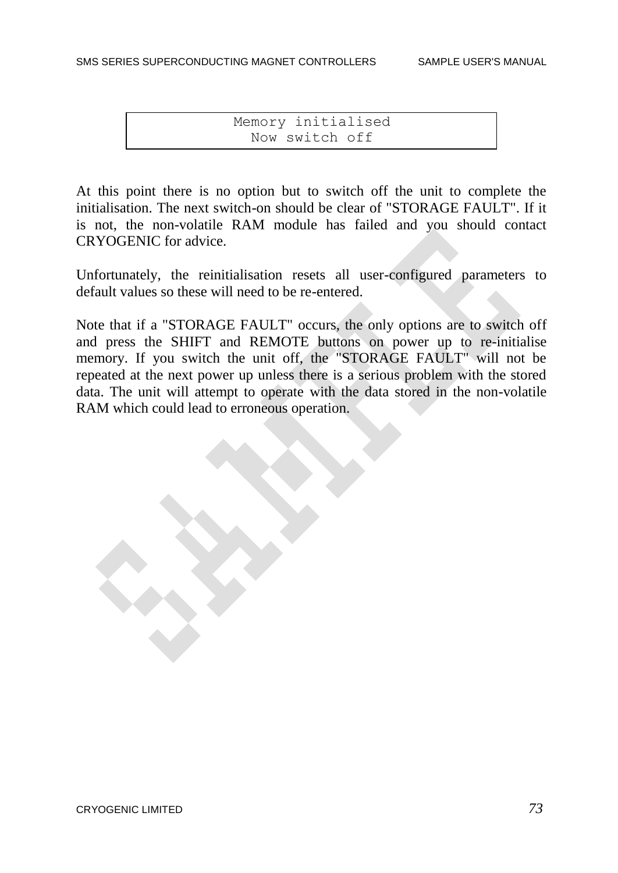Memory initialised Now switch off

At this point there is no option but to switch off the unit to complete the initialisation. The next switch-on should be clear of "STORAGE FAULT". If it is not, the non-volatile RAM module has failed and you should contact CRYOGENIC for advice.

Unfortunately, the reinitialisation resets all user-configured parameters to default values so these will need to be re-entered.

Note that if a "STORAGE FAULT" occurs, the only options are to switch off and press the SHIFT and REMOTE buttons on power up to re-initialise memory. If you switch the unit off, the "STORAGE FAULT" will not be repeated at the next power up unless there is a serious problem with the stored data. The unit will attempt to operate with the data stored in the non-volatile RAM which could lead to erroneous operation.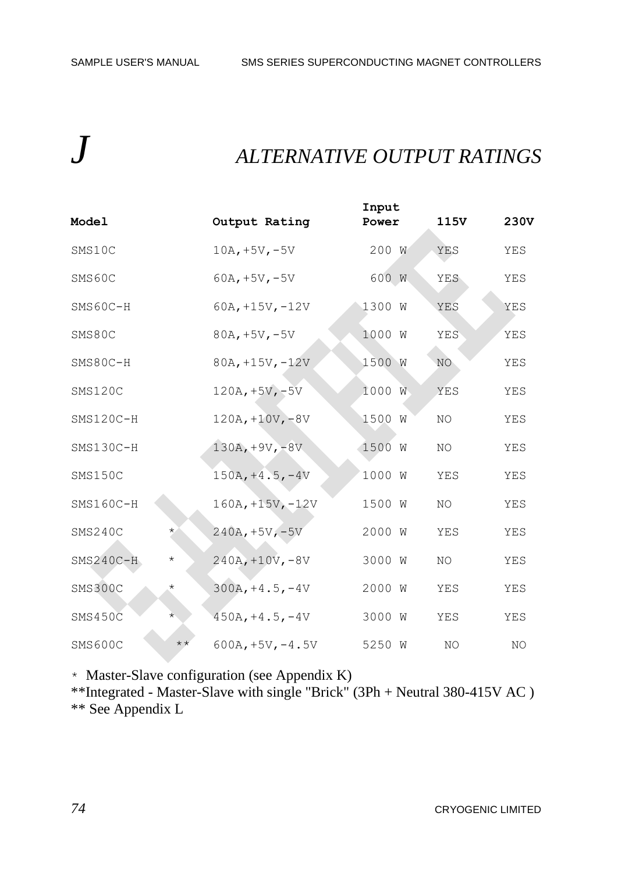## *J ALTERNATIVE OUTPUT RATINGS*

| Mode1       |              | Output Rating     |                    | Input<br>Power |   | 115 <sub>V</sub> | 230V |
|-------------|--------------|-------------------|--------------------|----------------|---|------------------|------|
| SMS10C      |              | $10A, +5V, -5V$   |                    | 200 W          |   | YES              | YES  |
| SMS60C      |              | $60A, +5V, -5V$   |                    | 600 W          |   | YES              | YES  |
| SMS60C-H    |              |                   | $60A, +15V, -12V$  | 1300 W         |   | YES              | YES  |
| SMS80C      |              | $80A, +5V, -5V$   |                    | 1000 W         |   | <b>YES</b>       | YES  |
| SMS80C-H    |              | $80A, +15V, -12V$ |                    | 1500           | W | NO <sub>1</sub>  | YES  |
| SMS120C     |              | $120A, +5V, -5V$  |                    | 1000 W         |   | YES              | YES  |
| SMS120C-H   |              |                   | $120A, +10V, -8V$  | 1500 W         |   | NO               | YES  |
| SMS130C-H   |              | $130A, +9V, -8V$  |                    | 1500 W         |   | NO.              | YES  |
| SMS150C     |              |                   | $150A, +4.5, -4V$  | 1000 W         |   | YES              | YES  |
| SMS160C-H   |              |                   | $160A, +15V, -12V$ | 1500 W         |   | NO               | YES  |
| SMS240C     | $\star$      | $240A, +5V, -5V$  |                    | 2000 W         |   | YES              | YES  |
| $SMS240C-H$ | $\star$      |                   | $240A, +10V, -8V$  | 3000 W         |   | NO               | YES  |
| SMS300C     | $\star$      |                   | $300A, +4.5, -4V$  | 2000 W         |   | YES              | YES  |
| SMS450C     | $^\star$     |                   | $450A, +4.5, -4V$  | 3000 W         |   | YES              | YES  |
| SMS600C     | $\star\star$ |                   | $600A, +5V, -4.5V$ | 5250 W         |   | NO               | NO   |

\* Master-Slave configuration (see Appendix K)

\*\*Integrated - Master-Slave with single "Brick" (3Ph + Neutral 380-415V AC ) \*\* See Appendix L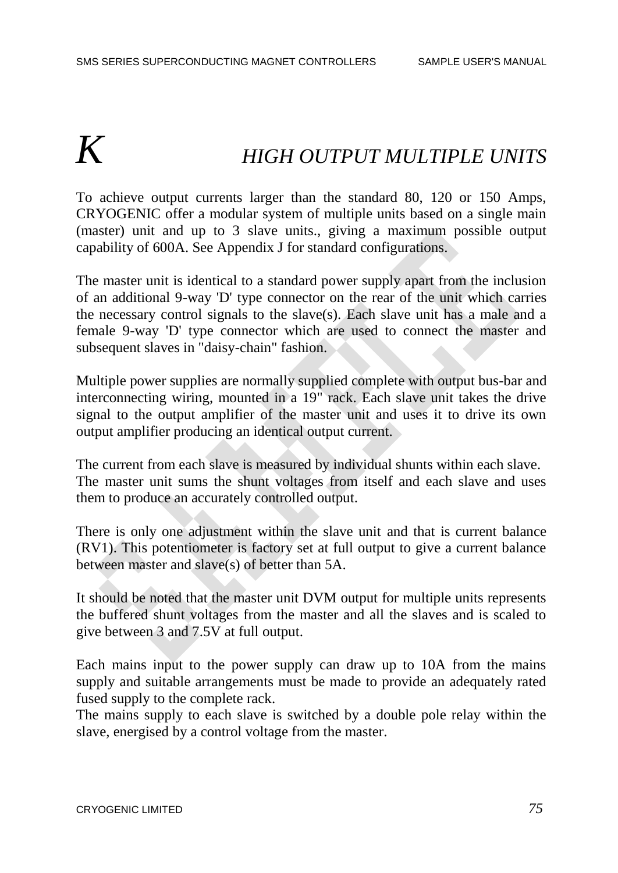# *K HIGH OUTPUT MULTIPLE UNITS*

To achieve output currents larger than the standard 80, 120 or 150 Amps, CRYOGENIC offer a modular system of multiple units based on a single main (master) unit and up to 3 slave units., giving a maximum possible output capability of 600A. See Appendix J for standard configurations.

The master unit is identical to a standard power supply apart from the inclusion of an additional 9-way 'D' type connector on the rear of the unit which carries the necessary control signals to the slave(s). Each slave unit has a male and a female 9-way 'D' type connector which are used to connect the master and subsequent slaves in "daisy-chain" fashion.

Multiple power supplies are normally supplied complete with output bus-bar and interconnecting wiring, mounted in a 19" rack. Each slave unit takes the drive signal to the output amplifier of the master unit and uses it to drive its own output amplifier producing an identical output current.

The current from each slave is measured by individual shunts within each slave. The master unit sums the shunt voltages from itself and each slave and uses them to produce an accurately controlled output.

There is only one adjustment within the slave unit and that is current balance (RV1). This potentiometer is factory set at full output to give a current balance between master and slave(s) of better than 5A.

It should be noted that the master unit DVM output for multiple units represents the buffered shunt voltages from the master and all the slaves and is scaled to give between 3 and 7.5V at full output.

Each mains input to the power supply can draw up to 10A from the mains supply and suitable arrangements must be made to provide an adequately rated fused supply to the complete rack.

The mains supply to each slave is switched by a double pole relay within the slave, energised by a control voltage from the master.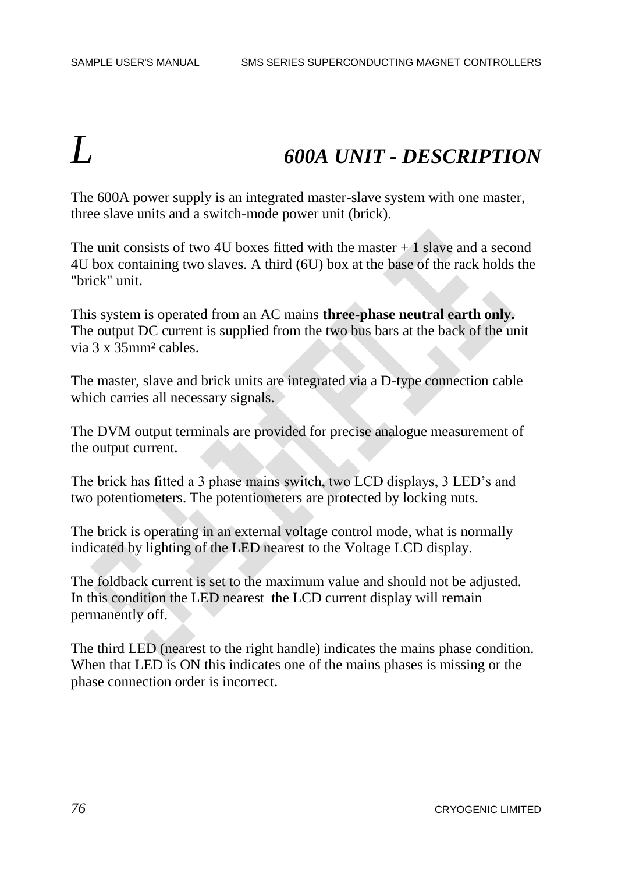## *L 600A UNIT - DESCRIPTION*

The 600A power supply is an integrated master-slave system with one master, three slave units and a switch-mode power unit (brick).

The unit consists of two 4U boxes fitted with the master  $+1$  slave and a second 4U box containing two slaves. A third (6U) box at the base of the rack holds the "brick" unit.

This system is operated from an AC mains **three-phase neutral earth only.** The output DC current is supplied from the two bus bars at the back of the unit via 3 x 35mm² cables.

The master, slave and brick units are integrated via a D-type connection cable which carries all necessary signals.

The DVM output terminals are provided for precise analogue measurement of the output current.

The brick has fitted a 3 phase mains switch, two LCD displays, 3 LED's and two potentiometers. The potentiometers are protected by locking nuts.

The brick is operating in an external voltage control mode, what is normally indicated by lighting of the LED nearest to the Voltage LCD display.

The foldback current is set to the maximum value and should not be adjusted. In this condition the LED nearest the LCD current display will remain permanently off.

The third LED (nearest to the right handle) indicates the mains phase condition. When that LED is ON this indicates one of the mains phases is missing or the phase connection order is incorrect.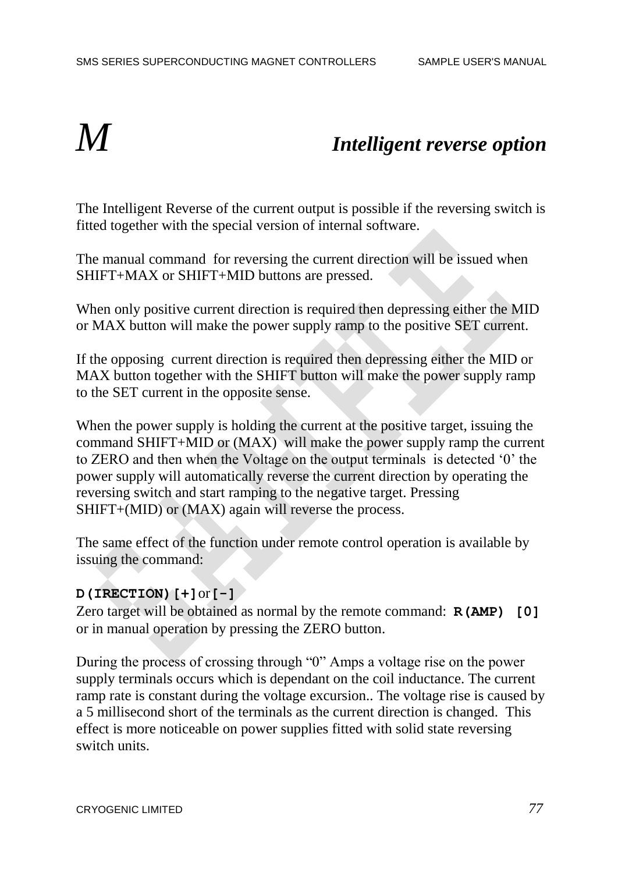## *M Intelligent reverse option*

The Intelligent Reverse of the current output is possible if the reversing switch is fitted together with the special version of internal software.

The manual command for reversing the current direction will be issued when SHIFT+MAX or SHIFT+MID buttons are pressed.

When only positive current direction is required then depressing either the MID or MAX button will make the power supply ramp to the positive SET current.

If the opposing current direction is required then depressing either the MID or MAX button together with the SHIFT button will make the power supply ramp to the SET current in the opposite sense.

When the power supply is holding the current at the positive target, issuing the command SHIFT+MID or (MAX) will make the power supply ramp the current to ZERO and then when the Voltage on the output terminals is detected '0' the power supply will automatically reverse the current direction by operating the reversing switch and start ramping to the negative target. Pressing SHIFT+(MID) or (MAX) again will reverse the process.

The same effect of the function under remote control operation is available by issuing the command:

### **D(IRECTION)[+]**or**[-]**

Zero target will be obtained as normal by the remote command: **R(AMP) [0]** or in manual operation by pressing the ZERO button.

During the process of crossing through "0" Amps a voltage rise on the power supply terminals occurs which is dependant on the coil inductance. The current ramp rate is constant during the voltage excursion.. The voltage rise is caused by a 5 millisecond short of the terminals as the current direction is changed. This effect is more noticeable on power supplies fitted with solid state reversing switch units.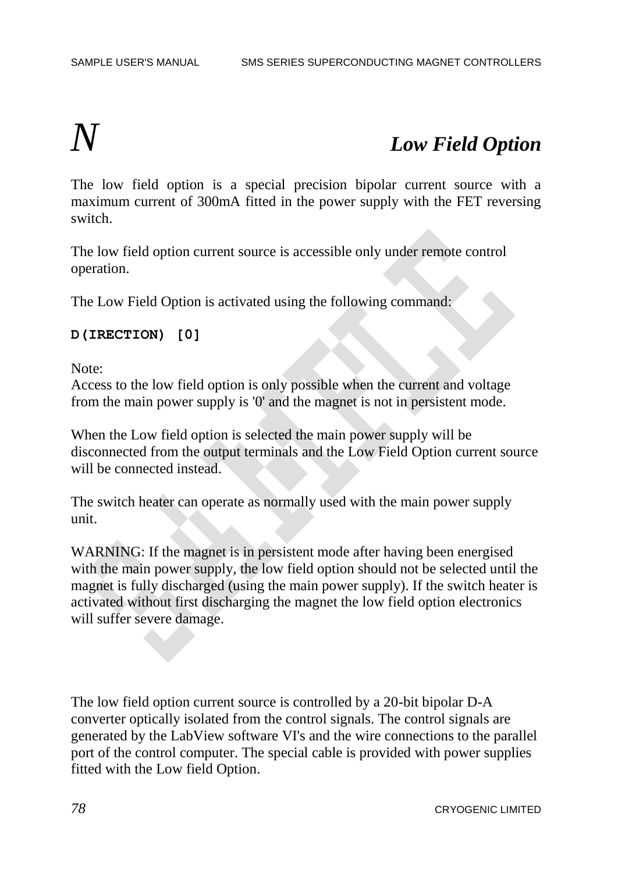### *N Low Field Option*

The low field option is a special precision bipolar current source with a maximum current of 300mA fitted in the power supply with the FET reversing switch.

The low field option current source is accessible only under remote control operation.

The Low Field Option is activated using the following command:

### **D(IRECTION) [0]**

Note:

Access to the low field option is only possible when the current and voltage from the main power supply is '0' and the magnet is not in persistent mode.

When the Low field option is selected the main power supply will be disconnected from the output terminals and the Low Field Option current source will be connected instead.

The switch heater can operate as normally used with the main power supply unit.

WARNING: If the magnet is in persistent mode after having been energised with the main power supply, the low field option should not be selected until the magnet is fully discharged (using the main power supply). If the switch heater is activated without first discharging the magnet the low field option electronics will suffer severe damage.

The low field option current source is controlled by a 20-bit bipolar D-A converter optically isolated from the control signals. The control signals are generated by the LabView software VI's and the wire connections to the parallel port of the control computer. The special cable is provided with power supplies fitted with the Low field Option.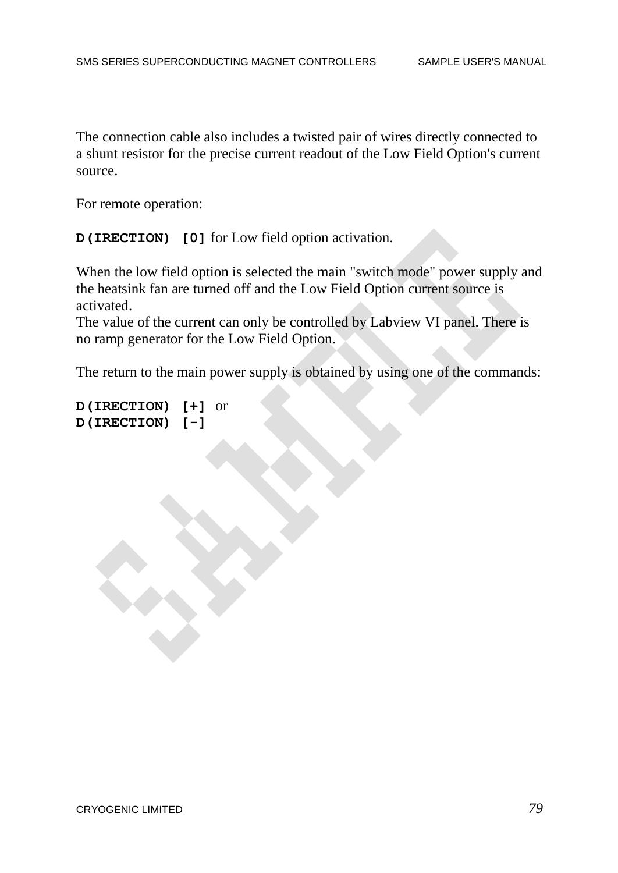The connection cable also includes a twisted pair of wires directly connected to a shunt resistor for the precise current readout of the Low Field Option's current source.

For remote operation:

**D(IRECTION) [0]** for Low field option activation.

When the low field option is selected the main "switch mode" power supply and the heatsink fan are turned off and the Low Field Option current source is activated.

The value of the current can only be controlled by Labview VI panel. There is no ramp generator for the Low Field Option.

The return to the main power supply is obtained by using one of the commands:

```
D(IRECTION) [+] or
D(IRECTION) [-]
```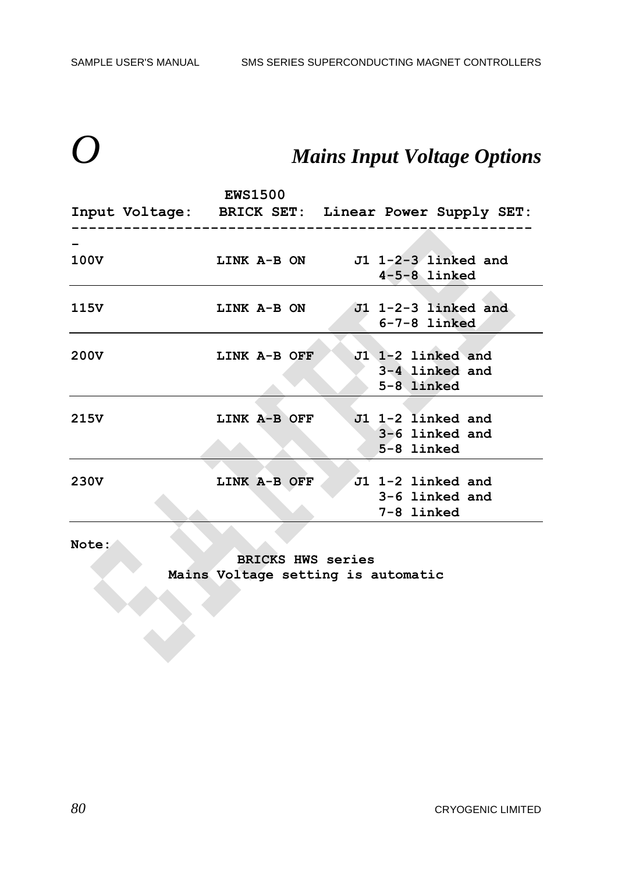## **Mains Input Voltage Options**

|                  |                                                    | <b>EWS1500</b>     |  |  |                                 |  |
|------------------|----------------------------------------------------|--------------------|--|--|---------------------------------|--|
|                  | Input Voltage: BRICK SET: Linear Power Supply SET: |                    |  |  |                                 |  |
|                  |                                                    |                    |  |  |                                 |  |
| 100V             |                                                    |                    |  |  | LINK A-B ON J1 1-2-3 linked and |  |
|                  |                                                    |                    |  |  | $4-5-8$ linked                  |  |
|                  |                                                    |                    |  |  |                                 |  |
| 115V             |                                                    | <b>LINK A-B ON</b> |  |  | $J1$ 1-2-3 linked and           |  |
|                  |                                                    |                    |  |  | $6 - 7 - 8$ linked              |  |
|                  |                                                    |                    |  |  |                                 |  |
| 200V             |                                                    | LINK A-B OFF       |  |  | J1 1-2 linked and               |  |
|                  |                                                    |                    |  |  | 3-4 linked and                  |  |
|                  |                                                    |                    |  |  | 5-8 linked                      |  |
|                  |                                                    |                    |  |  |                                 |  |
| 215V             |                                                    | LINK A-B OFF       |  |  | J1 1-2 linked and               |  |
|                  |                                                    |                    |  |  | 3-6 linked and                  |  |
|                  |                                                    |                    |  |  | 5-8 linked                      |  |
|                  |                                                    |                    |  |  |                                 |  |
| 230 <sub>V</sub> |                                                    | LINK A-B OFF       |  |  | J1 1-2 linked and               |  |
|                  |                                                    |                    |  |  | 3-6 linked and                  |  |
|                  |                                                    |                    |  |  | 7-8 linked                      |  |

**Note:**

**BRICKS HWS series Mains Voltage setting is automatic**